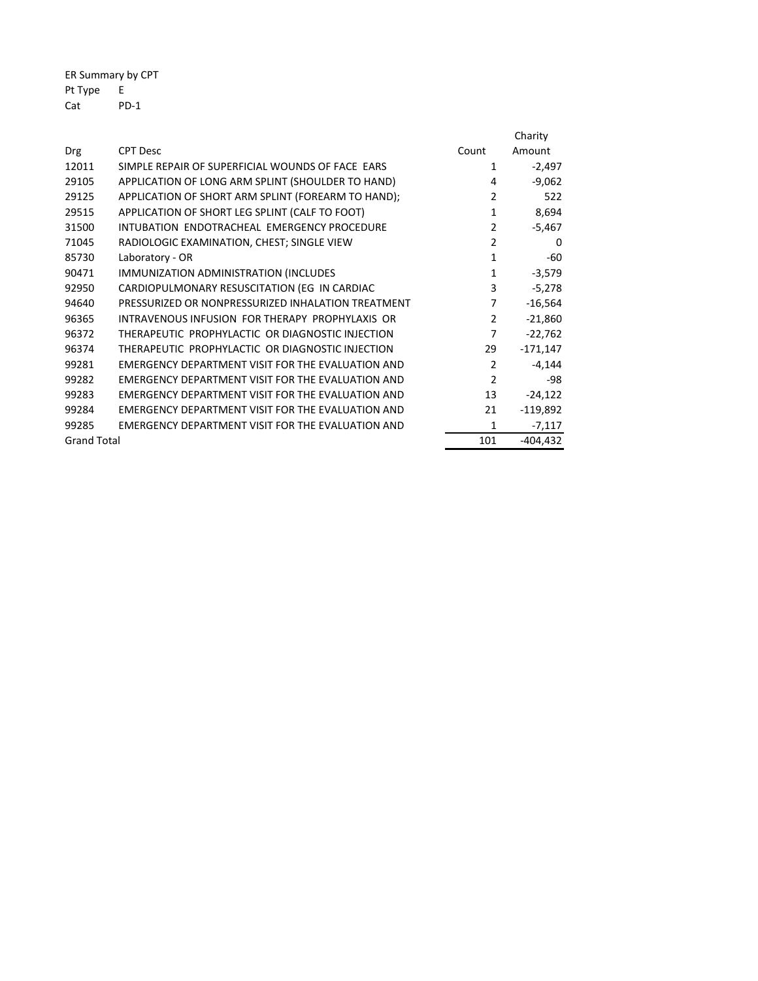ER Summary by CPT Pt Type E Cat PD-1

|                    |                                                          |                | Charity    |
|--------------------|----------------------------------------------------------|----------------|------------|
| Drg                | <b>CPT Desc</b>                                          | Count          | Amount     |
| 12011              | SIMPLE REPAIR OF SUPERFICIAL WOUNDS OF FACE EARS         | 1              | $-2,497$   |
| 29105              | APPLICATION OF LONG ARM SPLINT (SHOULDER TO HAND)        | 4              | $-9,062$   |
| 29125              | APPLICATION OF SHORT ARM SPLINT (FOREARM TO HAND);       | $\overline{2}$ | 522        |
| 29515              | APPLICATION OF SHORT LEG SPLINT (CALF TO FOOT)           | $\mathbf{1}$   | 8,694      |
| 31500              | INTUBATION ENDOTRACHEAL EMERGENCY PROCEDURE              | $\overline{2}$ | $-5,467$   |
| 71045              | RADIOLOGIC EXAMINATION, CHEST; SINGLE VIEW               | $\overline{2}$ | 0          |
| 85730              | Laboratory - OR                                          | 1              | -60        |
| 90471              | IMMUNIZATION ADMINISTRATION (INCLUDES                    | $\mathbf{1}$   | $-3,579$   |
| 92950              | CARDIOPULMONARY RESUSCITATION (EG IN CARDIAC             | 3              | $-5,278$   |
| 94640              | PRESSURIZED OR NONPRESSURIZED INHALATION TREATMENT       | 7              | $-16,564$  |
| 96365              | INTRAVENOUS INFUSION FOR THERAPY PROPHYLAXIS OR          | $\overline{2}$ | $-21,860$  |
| 96372              | THERAPEUTIC PROPHYLACTIC OR DIAGNOSTIC INJECTION         | 7              | $-22,762$  |
| 96374              | THERAPEUTIC PROPHYLACTIC OR DIAGNOSTIC INJECTION         | 29             | $-171,147$ |
| 99281              | EMERGENCY DEPARTMENT VISIT FOR THE EVALUATION AND        | $\overline{2}$ | $-4,144$   |
| 99282              | <b>EMERGENCY DEPARTMENT VISIT FOR THE EVALUATION AND</b> | $\mathcal{P}$  | -98        |
| 99283              | EMERGENCY DEPARTMENT VISIT FOR THE EVALUATION AND        | 13             | $-24,122$  |
| 99284              | EMERGENCY DEPARTMENT VISIT FOR THE EVALUATION AND        | 21             | $-119,892$ |
| 99285              | EMERGENCY DEPARTMENT VISIT FOR THE EVALUATION AND        | 1              | $-7,117$   |
| <b>Grand Total</b> |                                                          | 101            | $-404,432$ |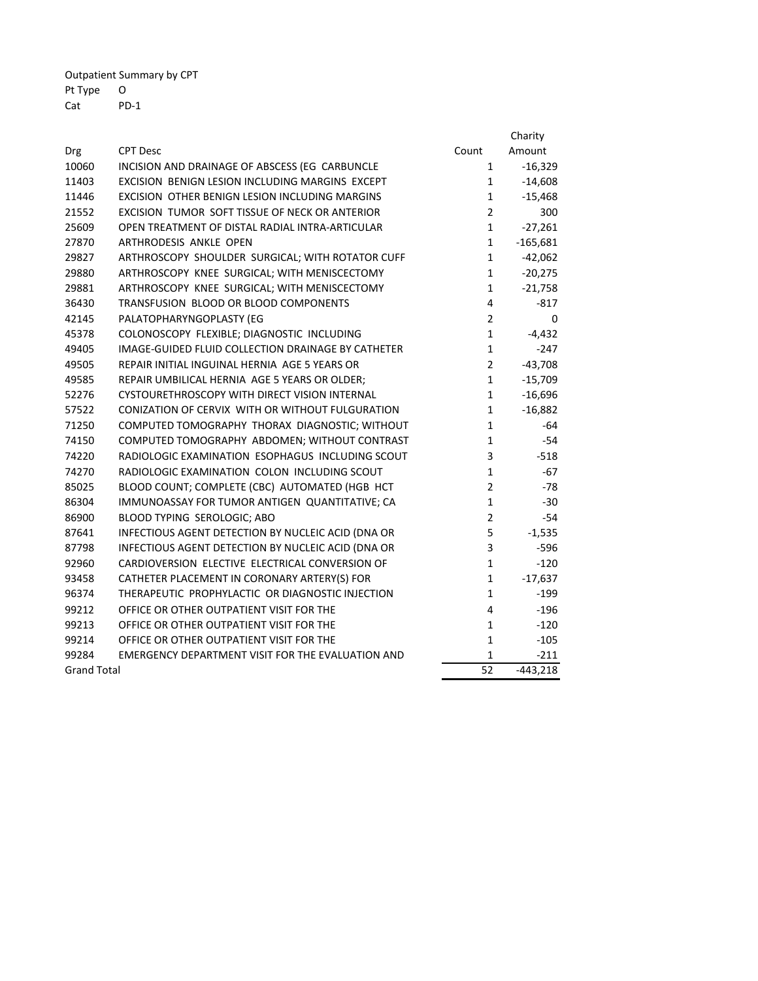Outpatient Summary by CPT Pt Type O Cat PD-1

|                                                                                                                     |                | Charity                |
|---------------------------------------------------------------------------------------------------------------------|----------------|------------------------|
| <b>CPT Desc</b><br>Drg                                                                                              | Count          | Amount                 |
| 10060<br>INCISION AND DRAINAGE OF ABSCESS (EG CARBUNCLE<br>11403<br>EXCISION BENIGN LESION INCLUDING MARGINS EXCEPT | 1              | $-16,329$              |
| 11446<br>EXCISION OTHER BENIGN LESION INCLUDING MARGINS                                                             | 1              | $-14,608$              |
|                                                                                                                     | 1              | $-15,468$              |
| 21552<br>EXCISION TUMOR SOFT TISSUE OF NECK OR ANTERIOR                                                             | $\overline{2}$ | 300                    |
| 25609<br>OPEN TREATMENT OF DISTAL RADIAL INTRA-ARTICULAR                                                            | 1<br>1         | $-27,261$              |
| 27870<br>ARTHRODESIS ANKLE OPEN                                                                                     | 1              | $-165,681$             |
| 29827<br>ARTHROSCOPY SHOULDER SURGICAL; WITH ROTATOR CUFF<br>29880<br>ARTHROSCOPY KNEE SURGICAL; WITH MENISCECTOMY  | 1              | $-42,062$<br>$-20,275$ |
|                                                                                                                     |                |                        |
| 29881<br>ARTHROSCOPY KNEE SURGICAL; WITH MENISCECTOMY                                                               | 1<br>4         | $-21,758$              |
| 36430<br>TRANSFUSION BLOOD OR BLOOD COMPONENTS                                                                      | $\overline{2}$ | $-817$                 |
| 42145<br>PALATOPHARYNGOPLASTY (EG<br>45378                                                                          | $\mathbf 1$    | 0<br>$-4,432$          |
| COLONOSCOPY FLEXIBLE; DIAGNOSTIC INCLUDING<br>49405<br>IMAGE-GUIDED FLUID COLLECTION DRAINAGE BY CATHETER           | 1              | $-247$                 |
| 49505<br>REPAIR INITIAL INGUINAL HERNIA AGE 5 YEARS OR                                                              | $\overline{2}$ | $-43,708$              |
| 49585<br>REPAIR UMBILICAL HERNIA AGE 5 YEARS OR OLDER;                                                              | 1              | $-15,709$              |
| 52276<br>CYSTOURETHROSCOPY WITH DIRECT VISION INTERNAL                                                              | 1              | $-16,696$              |
| 57522<br>CONIZATION OF CERVIX WITH OR WITHOUT FULGURATION                                                           | 1              | $-16,882$              |
| 71250<br>COMPUTED TOMOGRAPHY THORAX DIAGNOSTIC; WITHOUT                                                             | 1              | -64                    |
| 74150<br>COMPUTED TOMOGRAPHY ABDOMEN; WITHOUT CONTRAST                                                              | 1              | $-54$                  |
| RADIOLOGIC EXAMINATION ESOPHAGUS INCLUDING SCOUT<br>74220                                                           | 3              | $-518$                 |
| 74270<br>RADIOLOGIC EXAMINATION COLON INCLUDING SCOUT                                                               | 1              | -67                    |
| 85025<br>BLOOD COUNT; COMPLETE (CBC) AUTOMATED (HGB HCT                                                             | $\overline{2}$ | $-78$                  |
| 86304<br>IMMUNOASSAY FOR TUMOR ANTIGEN QUANTITATIVE; CA                                                             | $\mathbf{1}$   | $-30$                  |
| 86900<br>BLOOD TYPING SEROLOGIC; ABO                                                                                | $\overline{2}$ | $-54$                  |
| 87641<br>INFECTIOUS AGENT DETECTION BY NUCLEIC ACID (DNA OR                                                         | 5              | $-1,535$               |
| 87798<br>INFECTIOUS AGENT DETECTION BY NUCLEIC ACID (DNA OR                                                         | 3              | $-596$                 |
| 92960<br>CARDIOVERSION ELECTIVE ELECTRICAL CONVERSION OF                                                            | $\mathbf{1}$   | $-120$                 |
| 93458<br>CATHETER PLACEMENT IN CORONARY ARTERY(S) FOR                                                               | 1              | $-17,637$              |
| 96374<br>THERAPEUTIC PROPHYLACTIC OR DIAGNOSTIC INJECTION                                                           | 1              | $-199$                 |
| 99212<br>OFFICE OR OTHER OUTPATIENT VISIT FOR THE                                                                   | 4              | $-196$                 |
| 99213<br>OFFICE OR OTHER OUTPATIENT VISIT FOR THE                                                                   | 1              | $-120$                 |
| 99214<br>OFFICE OR OTHER OUTPATIENT VISIT FOR THE                                                                   | 1              | $-105$                 |
| 99284<br>EMERGENCY DEPARTMENT VISIT FOR THE EVALUATION AND                                                          | $\mathbf{1}$   | $-211$                 |
| <b>Grand Total</b>                                                                                                  | 52             | $-443,218$             |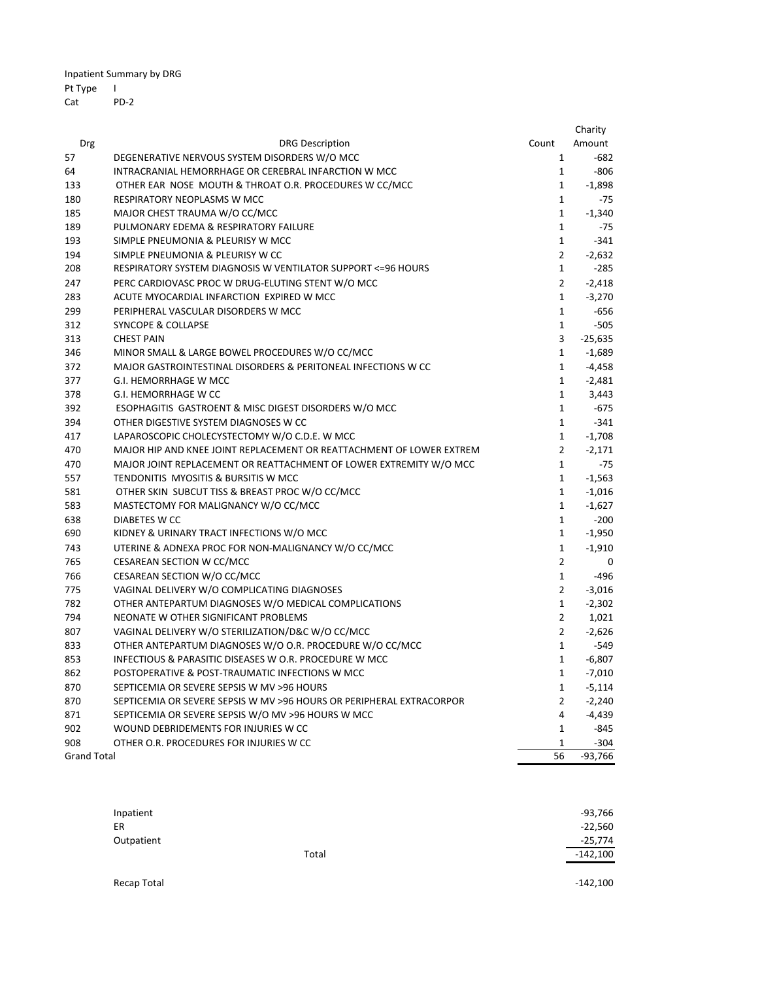Inpatient Summary by DRG

## Pt Type I

Cat PD‐2

|                    |                                                                      |                | Charity   |
|--------------------|----------------------------------------------------------------------|----------------|-----------|
| Drg                | <b>DRG Description</b>                                               | Count          | Amount    |
| 57                 | DEGENERATIVE NERVOUS SYSTEM DISORDERS W/O MCC                        | $\mathbf{1}$   | $-682$    |
| 64                 | INTRACRANIAL HEMORRHAGE OR CEREBRAL INFARCTION W MCC                 | $\mathbf{1}$   | $-806$    |
| 133                | OTHER EAR NOSE MOUTH & THROAT O.R. PROCEDURES W CC/MCC               | $\mathbf{1}$   | $-1,898$  |
| 180                | RESPIRATORY NEOPLASMS W MCC                                          | $\mathbf{1}$   | $-75$     |
| 185                | MAJOR CHEST TRAUMA W/O CC/MCC                                        | $\mathbf{1}$   | $-1,340$  |
| 189                | PULMONARY EDEMA & RESPIRATORY FAILURE                                | $\mathbf{1}$   | $-75$     |
| 193                | SIMPLE PNEUMONIA & PLEURISY W MCC                                    | $\mathbf{1}$   | $-341$    |
| 194                | SIMPLE PNEUMONIA & PLEURISY W CC                                     | $\overline{2}$ | $-2,632$  |
| 208                | RESPIRATORY SYSTEM DIAGNOSIS W VENTILATOR SUPPORT <= 96 HOURS        | $\mathbf{1}$   | $-285$    |
| 247                | PERC CARDIOVASC PROC W DRUG-ELUTING STENT W/O MCC                    | $\overline{2}$ | $-2,418$  |
| 283                | ACUTE MYOCARDIAL INFARCTION EXPIRED W MCC                            | $\mathbf{1}$   | $-3,270$  |
| 299                | PERIPHERAL VASCULAR DISORDERS W MCC                                  | $\mathbf{1}$   | $-656$    |
| 312                | <b>SYNCOPE &amp; COLLAPSE</b>                                        | $\mathbf{1}$   | $-505$    |
| 313                | <b>CHEST PAIN</b>                                                    | 3              | $-25,635$ |
| 346                | MINOR SMALL & LARGE BOWEL PROCEDURES W/O CC/MCC                      | $\mathbf{1}$   | $-1,689$  |
| 372                | MAJOR GASTROINTESTINAL DISORDERS & PERITONEAL INFECTIONS W CC        | $\mathbf{1}$   | $-4,458$  |
| 377                | <b>G.I. HEMORRHAGE W MCC</b>                                         | $\mathbf{1}$   | $-2,481$  |
| 378                | <b>G.I. HEMORRHAGE W CC</b>                                          | $\mathbf{1}$   | 3,443     |
| 392                | ESOPHAGITIS GASTROENT & MISC DIGEST DISORDERS W/O MCC                | $\mathbf{1}$   | $-675$    |
| 394                | OTHER DIGESTIVE SYSTEM DIAGNOSES W CC                                | $\mathbf{1}$   | $-341$    |
| 417                | LAPAROSCOPIC CHOLECYSTECTOMY W/O C.D.E. W MCC                        | $\mathbf{1}$   | $-1,708$  |
| 470                | MAJOR HIP AND KNEE JOINT REPLACEMENT OR REATTACHMENT OF LOWER EXTREM | $\overline{2}$ | $-2,171$  |
| 470                | MAJOR JOINT REPLACEMENT OR REATTACHMENT OF LOWER EXTREMITY W/O MCC   | $\mathbf{1}$   | $-75$     |
| 557                | TENDONITIS MYOSITIS & BURSITIS W MCC                                 | $\mathbf{1}$   | $-1,563$  |
| 581                | OTHER SKIN SUBCUT TISS & BREAST PROC W/O CC/MCC                      | $\mathbf{1}$   | $-1,016$  |
| 583                | MASTECTOMY FOR MALIGNANCY W/O CC/MCC                                 | $\mathbf{1}$   | $-1,627$  |
| 638                | DIABETES W CC                                                        | $\mathbf{1}$   | $-200$    |
| 690                | KIDNEY & URINARY TRACT INFECTIONS W/O MCC                            | $\mathbf{1}$   | $-1,950$  |
| 743                | UTERINE & ADNEXA PROC FOR NON-MALIGNANCY W/O CC/MCC                  | $\mathbf{1}$   | $-1,910$  |
| 765                | CESAREAN SECTION W CC/MCC                                            | $\overline{2}$ | 0         |
| 766                | CESAREAN SECTION W/O CC/MCC                                          | $\mathbf{1}$   | $-496$    |
| 775                | VAGINAL DELIVERY W/O COMPLICATING DIAGNOSES                          | $\overline{2}$ | $-3,016$  |
| 782                | OTHER ANTEPARTUM DIAGNOSES W/O MEDICAL COMPLICATIONS                 | $\mathbf{1}$   | $-2,302$  |
| 794                | NEONATE W OTHER SIGNIFICANT PROBLEMS                                 | $\overline{2}$ | 1,021     |
| 807                | VAGINAL DELIVERY W/O STERILIZATION/D&C W/O CC/MCC                    | $\overline{2}$ | $-2,626$  |
| 833                | OTHER ANTEPARTUM DIAGNOSES W/O O.R. PROCEDURE W/O CC/MCC             | $\mathbf{1}$   | $-549$    |
| 853                | INFECTIOUS & PARASITIC DISEASES W O.R. PROCEDURE W MCC               | $\mathbf{1}$   | $-6,807$  |
| 862                | POSTOPERATIVE & POST-TRAUMATIC INFECTIONS W MCC                      | $\mathbf{1}$   | $-7,010$  |
| 870                | SEPTICEMIA OR SEVERE SEPSIS W MV >96 HOURS                           | $\mathbf{1}$   | $-5,114$  |
| 870                | SEPTICEMIA OR SEVERE SEPSIS W MV >96 HOURS OR PERIPHERAL EXTRACORPOR | $\overline{2}$ | $-2,240$  |
| 871                | SEPTICEMIA OR SEVERE SEPSIS W/O MV >96 HOURS W MCC                   | 4              | $-4,439$  |
| 902                | WOUND DEBRIDEMENTS FOR INJURIES W CC                                 | $\mathbf{1}$   | $-845$    |
| 908                | OTHER O.R. PROCEDURES FOR INJURIES W CC                              | 1              | $-304$    |
| <b>Grand Total</b> |                                                                      | 56             | $-93,766$ |

| Inpatient  |       | $-93,766$  |
|------------|-------|------------|
| ER         |       | $-22,560$  |
| Outpatient |       | $-25,774$  |
|            | Total | $-142,100$ |
|            |       |            |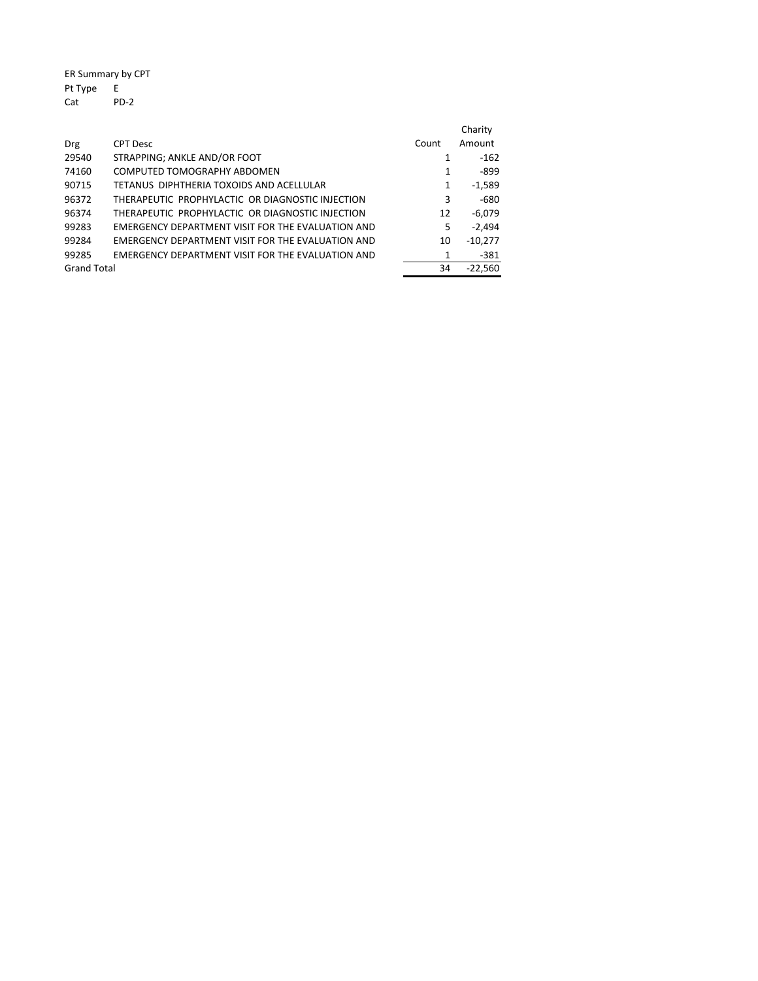ER Summary by CPT Pt Type E Cat PD‐2

| Drg                | <b>CPT Desc</b>                                   | Count | Charity<br>Amount |
|--------------------|---------------------------------------------------|-------|-------------------|
| 29540              | STRAPPING; ANKLE AND/OR FOOT                      | 1     | $-162$            |
| 74160              | COMPUTED TOMOGRAPHY ABDOMEN                       | 1     | -899              |
| 90715              | TETANUS DIPHTHERIA TOXOIDS AND ACELLULAR          | 1     | $-1,589$          |
| 96372              | THERAPEUTIC PROPHYLACTIC OR DIAGNOSTIC INJECTION  | 3     | $-680$            |
| 96374              | THERAPEUTIC PROPHYLACTIC OR DIAGNOSTIC INJECTION  | 12    | $-6.079$          |
| 99283              | EMERGENCY DEPARTMENT VISIT FOR THE EVALUATION AND | 5     | $-2.494$          |
| 99284              | EMERGENCY DEPARTMENT VISIT FOR THE EVALUATION AND | 10    | $-10,277$         |
| 99285              | EMERGENCY DEPARTMENT VISIT FOR THE EVALUATION AND | 1     | $-381$            |
| <b>Grand Total</b> |                                                   | 34    | $-22.560$         |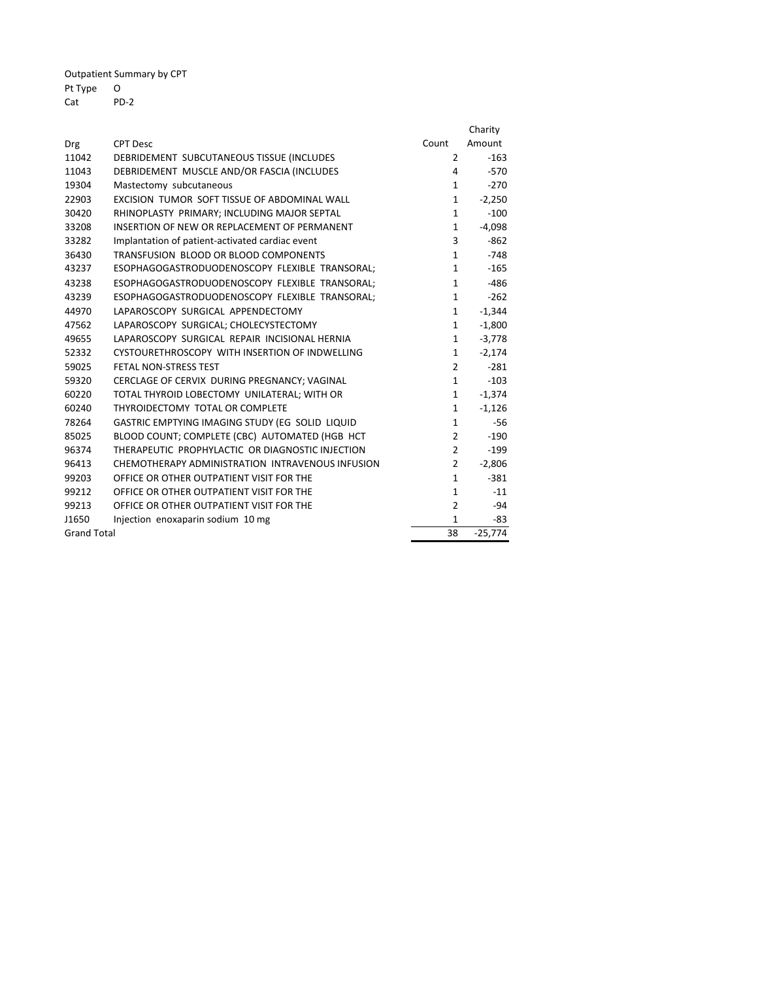Outpatient Summary by CPT

## Pt Type O

PD-2

|                    |                                                  |                | Charity   |
|--------------------|--------------------------------------------------|----------------|-----------|
| Drg                | <b>CPT Desc</b>                                  | Count          | Amount    |
| 11042              | DEBRIDEMENT SUBCUTANEOUS TISSUE (INCLUDES        | $\overline{2}$ | $-163$    |
| 11043              | DEBRIDEMENT MUSCLE AND/OR FASCIA (INCLUDES       | 4              | $-570$    |
| 19304              | Mastectomy subcutaneous                          | $\mathbf{1}$   | $-270$    |
| 22903              | EXCISION TUMOR SOFT TISSUE OF ABDOMINAL WALL     | $\mathbf{1}$   | $-2,250$  |
| 30420              | RHINOPLASTY PRIMARY; INCLUDING MAJOR SEPTAL      | $\mathbf{1}$   | $-100$    |
| 33208              | INSERTION OF NEW OR REPLACEMENT OF PERMANENT     | $\mathbf{1}$   | $-4,098$  |
| 33282              | Implantation of patient-activated cardiac event  | 3              | $-862$    |
| 36430              | TRANSFUSION BLOOD OR BLOOD COMPONENTS            | $\mathbf{1}$   | $-748$    |
| 43237              | ESOPHAGOGASTRODUODENOSCOPY FLEXIBLE TRANSORAL;   | $\mathbf{1}$   | $-165$    |
| 43238              | ESOPHAGOGASTRODUODENOSCOPY FLEXIBLE TRANSORAL;   | $\mathbf{1}$   | $-486$    |
| 43239              | ESOPHAGOGASTRODUODENOSCOPY FLEXIBLE TRANSORAL;   | $\mathbf{1}$   | $-262$    |
| 44970              | LAPAROSCOPY SURGICAL APPENDECTOMY                | $\mathbf{1}$   | $-1,344$  |
| 47562              | LAPAROSCOPY SURGICAL; CHOLECYSTECTOMY            | 1              | $-1,800$  |
| 49655              | LAPAROSCOPY SURGICAL REPAIR INCISIONAL HERNIA    | $\mathbf{1}$   | $-3,778$  |
| 52332              | CYSTOURETHROSCOPY WITH INSERTION OF INDWELLING   | $\mathbf{1}$   | $-2,174$  |
| 59025              | FETAL NON-STRESS TEST                            | $\overline{2}$ | $-281$    |
| 59320              | CERCLAGE OF CERVIX DURING PREGNANCY; VAGINAL     | $\mathbf{1}$   | $-103$    |
| 60220              | TOTAL THYROID LOBECTOMY UNILATERAL; WITH OR      | $\mathbf{1}$   | $-1,374$  |
| 60240              | THYROIDECTOMY TOTAL OR COMPLETE                  | $\mathbf{1}$   | $-1,126$  |
| 78264              | GASTRIC EMPTYING IMAGING STUDY (EG SOLID LIQUID  | $\mathbf{1}$   | $-56$     |
| 85025              | BLOOD COUNT; COMPLETE (CBC) AUTOMATED (HGB HCT   | $\overline{2}$ | $-190$    |
| 96374              | THERAPEUTIC PROPHYLACTIC OR DIAGNOSTIC INJECTION | $\overline{2}$ | $-199$    |
| 96413              | CHEMOTHERAPY ADMINISTRATION INTRAVENOUS INFUSION | $\overline{2}$ | $-2,806$  |
| 99203              | OFFICE OR OTHER OUTPATIENT VISIT FOR THE         | $\mathbf{1}$   | $-381$    |
| 99212              | OFFICE OR OTHER OUTPATIENT VISIT FOR THE         | $\mathbf{1}$   | $-11$     |
| 99213              | OFFICE OR OTHER OUTPATIENT VISIT FOR THE         | $\overline{2}$ | $-94$     |
| J1650              | Injection enoxaparin sodium 10 mg                | $\mathbf{1}$   | -83       |
| <b>Grand Total</b> |                                                  | 38             | $-25,774$ |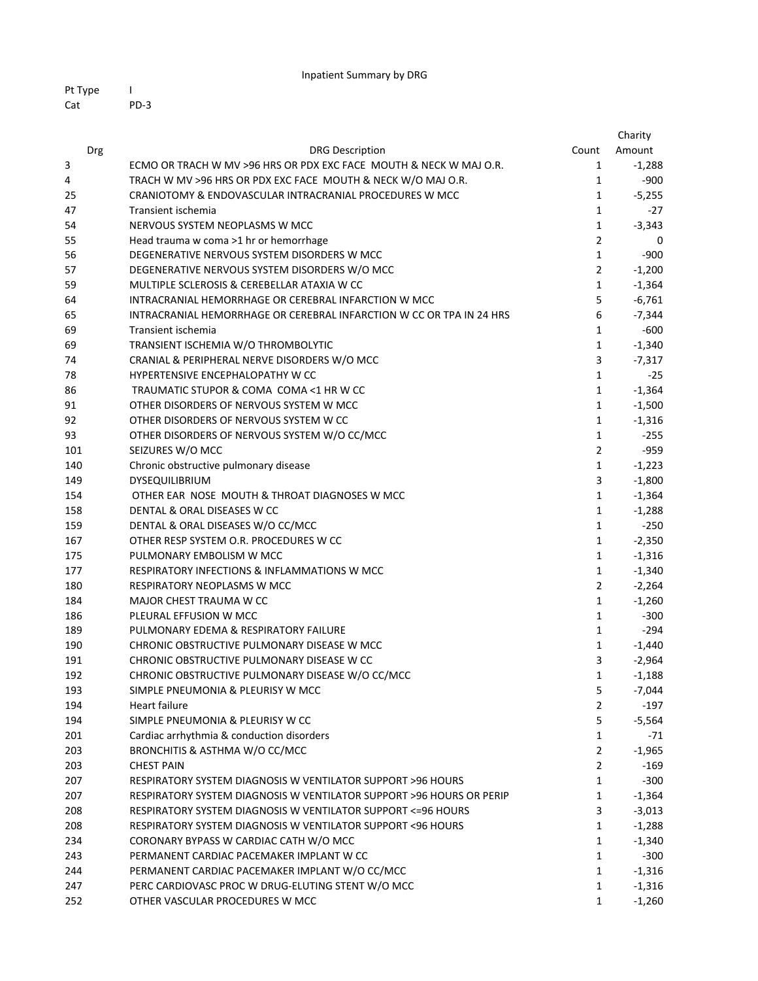| Pt Type |        |
|---------|--------|
| Cat     | $PD-3$ |

|     |                                                                         |                | Charity  |
|-----|-------------------------------------------------------------------------|----------------|----------|
| Drg | <b>DRG Description</b>                                                  | Count          | Amount   |
| 3   | ECMO OR TRACH W MV >96 HRS OR PDX EXC FACE MOUTH & NECK W MAJ O.R.      | 1              | $-1,288$ |
| 4   | TRACH W MV >96 HRS OR PDX EXC FACE MOUTH & NECK W/O MAJ O.R.            | 1              | $-900$   |
| 25  | CRANIOTOMY & ENDOVASCULAR INTRACRANIAL PROCEDURES W MCC                 | 1              | $-5,255$ |
| 47  | Transient ischemia                                                      | 1              | $-27$    |
| 54  | NERVOUS SYSTEM NEOPLASMS W MCC                                          | $\mathbf{1}$   | $-3,343$ |
| 55  | Head trauma w coma >1 hr or hemorrhage                                  | $\overline{2}$ | 0        |
| 56  | DEGENERATIVE NERVOUS SYSTEM DISORDERS W MCC                             | 1              | $-900$   |
| 57  | DEGENERATIVE NERVOUS SYSTEM DISORDERS W/O MCC                           | $\overline{2}$ | $-1,200$ |
| 59  | MULTIPLE SCLEROSIS & CEREBELLAR ATAXIA W CC                             | 1              | $-1,364$ |
| 64  | INTRACRANIAL HEMORRHAGE OR CEREBRAL INFARCTION W MCC                    | 5              | $-6,761$ |
| 65  | INTRACRANIAL HEMORRHAGE OR CEREBRAL INFARCTION W CC OR TPA IN 24 HRS    | 6              | $-7,344$ |
| 69  | Transient ischemia                                                      | $\mathbf 1$    | $-600$   |
| 69  | TRANSIENT ISCHEMIA W/O THROMBOLYTIC                                     | 1              | $-1,340$ |
| 74  | CRANIAL & PERIPHERAL NERVE DISORDERS W/O MCC                            | 3              | $-7,317$ |
| 78  | HYPERTENSIVE ENCEPHALOPATHY W CC                                        | $\mathbf{1}$   | $-25$    |
| 86  | TRAUMATIC STUPOR & COMA COMA <1 HR W CC                                 | 1              | $-1,364$ |
| 91  | OTHER DISORDERS OF NERVOUS SYSTEM W MCC                                 | $\mathbf{1}$   | $-1,500$ |
| 92  | OTHER DISORDERS OF NERVOUS SYSTEM W CC                                  | $\mathbf{1}$   | $-1,316$ |
| 93  | OTHER DISORDERS OF NERVOUS SYSTEM W/O CC/MCC                            | $\mathbf{1}$   | $-255$   |
| 101 | SEIZURES W/O MCC                                                        | $\overline{2}$ | $-959$   |
| 140 | Chronic obstructive pulmonary disease                                   | $\mathbf{1}$   | $-1,223$ |
| 149 | DYSEQUILIBRIUM                                                          | 3              | $-1,800$ |
| 154 | OTHER EAR NOSE MOUTH & THROAT DIAGNOSES W MCC                           | $\mathbf{1}$   | $-1,364$ |
| 158 | DENTAL & ORAL DISEASES W CC                                             | $\mathbf{1}$   | $-1,288$ |
| 159 | DENTAL & ORAL DISEASES W/O CC/MCC                                       | $\mathbf{1}$   | $-250$   |
| 167 | OTHER RESP SYSTEM O.R. PROCEDURES W CC                                  | $\mathbf{1}$   | $-2,350$ |
| 175 | PULMONARY EMBOLISM W MCC                                                | $\mathbf{1}$   | $-1,316$ |
| 177 | RESPIRATORY INFECTIONS & INFLAMMATIONS W MCC                            | $\mathbf{1}$   | $-1,340$ |
| 180 | RESPIRATORY NEOPLASMS W MCC                                             | $\overline{2}$ | $-2,264$ |
| 184 | MAJOR CHEST TRAUMA W CC                                                 | $\mathbf{1}$   | $-1,260$ |
| 186 | PLEURAL EFFUSION W MCC                                                  | $\mathbf{1}$   | $-300$   |
| 189 | PULMONARY EDEMA & RESPIRATORY FAILURE                                   | $\mathbf{1}$   | $-294$   |
| 190 | CHRONIC OBSTRUCTIVE PULMONARY DISEASE W MCC                             | $\mathbf{1}$   | $-1,440$ |
| 191 | CHRONIC OBSTRUCTIVE PULMONARY DISEASE W CC                              | 3              | $-2,964$ |
| 192 | CHRONIC OBSTRUCTIVE PULMONARY DISEASE W/O CC/MCC                        | 1              | $-1,188$ |
| 193 | SIMPLE PNEUMONIA & PLEURISY W MCC                                       | 5              | $-7,044$ |
| 194 | Heart failure                                                           | $\overline{2}$ | $-197$   |
| 194 | SIMPLE PNEUMONIA & PLEURISY W CC                                        | 5              | $-5,564$ |
| 201 | Cardiac arrhythmia & conduction disorders                               | 1              | -71      |
| 203 | BRONCHITIS & ASTHMA W/O CC/MCC                                          | $\overline{2}$ | $-1,965$ |
| 203 | <b>CHEST PAIN</b>                                                       | $\overline{2}$ | -169     |
| 207 | RESPIRATORY SYSTEM DIAGNOSIS W VENTILATOR SUPPORT >96 HOURS             | $\mathbf{1}$   | $-300$   |
| 207 | RESPIRATORY SYSTEM DIAGNOSIS W VENTILATOR SUPPORT >96 HOURS OR PERIP    | $\mathbf{1}$   | $-1,364$ |
| 208 | <b>RESPIRATORY SYSTEM DIAGNOSIS W VENTILATOR SUPPORT &lt;= 96 HOURS</b> | 3              | $-3,013$ |
| 208 | RESPIRATORY SYSTEM DIAGNOSIS W VENTILATOR SUPPORT <96 HOURS             | 1              | $-1,288$ |
| 234 | CORONARY BYPASS W CARDIAC CATH W/O MCC                                  | 1              | $-1,340$ |
| 243 | PERMANENT CARDIAC PACEMAKER IMPLANT W CC                                | 1              | $-300$   |
| 244 | PERMANENT CARDIAC PACEMAKER IMPLANT W/O CC/MCC                          | 1              | $-1,316$ |
| 247 | PERC CARDIOVASC PROC W DRUG-ELUTING STENT W/O MCC                       | 1              | $-1,316$ |
| 252 | OTHER VASCULAR PROCEDURES W MCC                                         | 1              | $-1,260$ |
|     |                                                                         |                |          |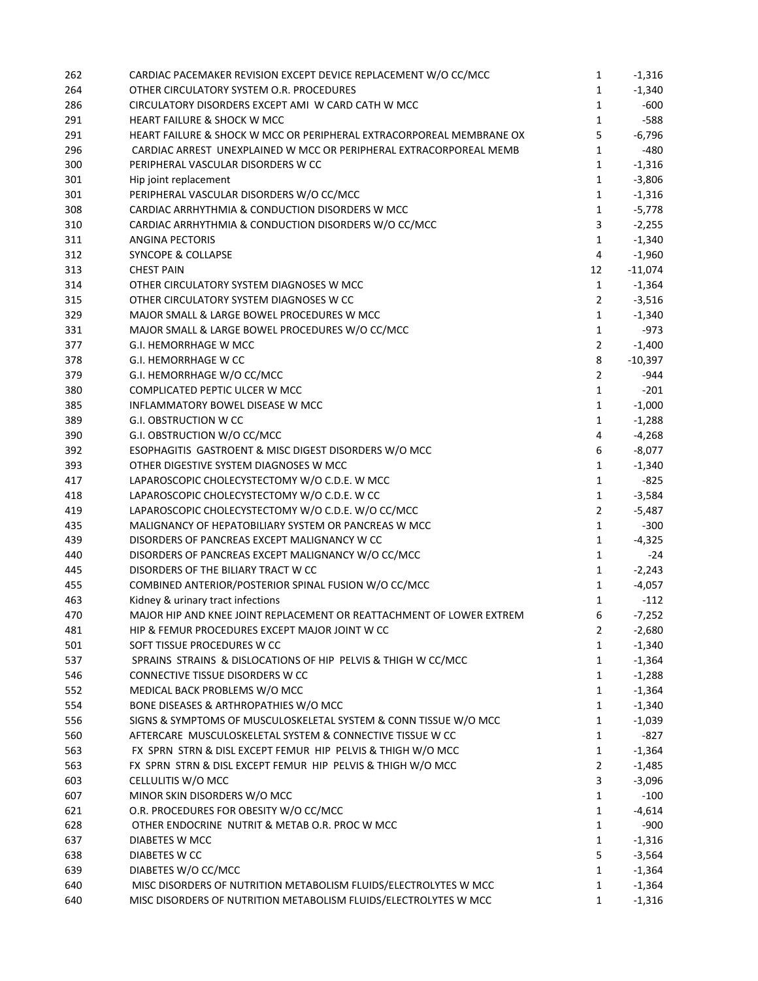| 262 | CARDIAC PACEMAKER REVISION EXCEPT DEVICE REPLACEMENT W/O CC/MCC      | 1              | $-1,316$  |
|-----|----------------------------------------------------------------------|----------------|-----------|
| 264 | OTHER CIRCULATORY SYSTEM O.R. PROCEDURES                             | 1              | $-1,340$  |
| 286 | CIRCULATORY DISORDERS EXCEPT AMI W CARD CATH W MCC                   | 1              | $-600$    |
| 291 | <b>HEART FAILURE &amp; SHOCK W MCC</b>                               | $\mathbf{1}$   | $-588$    |
| 291 | HEART FAILURE & SHOCK W MCC OR PERIPHERAL EXTRACORPOREAL MEMBRANE OX | 5              | $-6,796$  |
| 296 | CARDIAC ARREST UNEXPLAINED W MCC OR PERIPHERAL EXTRACORPOREAL MEMB   | $\mathbf{1}$   | $-480$    |
| 300 | PERIPHERAL VASCULAR DISORDERS W CC                                   | $\mathbf{1}$   | $-1,316$  |
| 301 | Hip joint replacement                                                | $\mathbf{1}$   | $-3,806$  |
| 301 | PERIPHERAL VASCULAR DISORDERS W/O CC/MCC                             | 1              | $-1,316$  |
| 308 | CARDIAC ARRHYTHMIA & CONDUCTION DISORDERS W MCC                      | $\mathbf{1}$   | $-5,778$  |
| 310 | CARDIAC ARRHYTHMIA & CONDUCTION DISORDERS W/O CC/MCC                 | 3              | $-2,255$  |
| 311 | <b>ANGINA PECTORIS</b>                                               | $\mathbf{1}$   | $-1,340$  |
| 312 | <b>SYNCOPE &amp; COLLAPSE</b>                                        | 4              | $-1,960$  |
| 313 | <b>CHEST PAIN</b>                                                    | 12             | $-11,074$ |
| 314 | OTHER CIRCULATORY SYSTEM DIAGNOSES W MCC                             | $\mathbf{1}$   | $-1,364$  |
| 315 | OTHER CIRCULATORY SYSTEM DIAGNOSES W CC                              | $\overline{2}$ | $-3,516$  |
| 329 | MAJOR SMALL & LARGE BOWEL PROCEDURES W MCC                           | $\mathbf{1}$   | $-1,340$  |
| 331 | MAJOR SMALL & LARGE BOWEL PROCEDURES W/O CC/MCC                      | $\mathbf{1}$   | $-973$    |
| 377 | G.I. HEMORRHAGE W MCC                                                | $\overline{2}$ | $-1,400$  |
| 378 | G.I. HEMORRHAGE W CC                                                 | 8              | $-10,397$ |
| 379 | G.I. HEMORRHAGE W/O CC/MCC                                           | $\overline{2}$ | -944      |
| 380 | COMPLICATED PEPTIC ULCER W MCC                                       | $\mathbf{1}$   | $-201$    |
| 385 | INFLAMMATORY BOWEL DISEASE W MCC                                     | $\mathbf{1}$   | $-1,000$  |
| 389 | <b>G.I. OBSTRUCTION W CC</b>                                         | $\mathbf{1}$   | $-1,288$  |
| 390 | G.I. OBSTRUCTION W/O CC/MCC                                          | 4              | $-4,268$  |
| 392 | ESOPHAGITIS GASTROENT & MISC DIGEST DISORDERS W/O MCC                | 6              | $-8,077$  |
| 393 | OTHER DIGESTIVE SYSTEM DIAGNOSES W MCC                               | $\mathbf{1}$   | $-1,340$  |
| 417 | LAPAROSCOPIC CHOLECYSTECTOMY W/O C.D.E. W MCC                        | $\mathbf{1}$   | $-825$    |
| 418 | LAPAROSCOPIC CHOLECYSTECTOMY W/O C.D.E. W CC                         | $\mathbf{1}$   | $-3,584$  |
| 419 | LAPAROSCOPIC CHOLECYSTECTOMY W/O C.D.E. W/O CC/MCC                   | $\overline{2}$ | $-5,487$  |
| 435 | MALIGNANCY OF HEPATOBILIARY SYSTEM OR PANCREAS W MCC                 | $\mathbf{1}$   | $-300$    |
| 439 | DISORDERS OF PANCREAS EXCEPT MALIGNANCY W CC                         | $\mathbf{1}$   | $-4,325$  |
| 440 | DISORDERS OF PANCREAS EXCEPT MALIGNANCY W/O CC/MCC                   | $\mathbf{1}$   | $-24$     |
| 445 | DISORDERS OF THE BILIARY TRACT W CC                                  | $\mathbf{1}$   | $-2,243$  |
|     |                                                                      |                |           |
| 455 | COMBINED ANTERIOR/POSTERIOR SPINAL FUSION W/O CC/MCC                 | $\mathbf{1}$   | $-4,057$  |
| 463 | Kidney & urinary tract infections                                    | $\mathbf{1}$   | $-112$    |
| 470 | MAJOR HIP AND KNEE JOINT REPLACEMENT OR REATTACHMENT OF LOWER EXTREM | 6              | $-7,252$  |
| 481 | HIP & FEMUR PROCEDURES EXCEPT MAJOR JOINT W CC                       | $\overline{2}$ | $-2,680$  |
| 501 | SOFT TISSUE PROCEDURES W CC                                          | 1              | $-1,340$  |
| 537 | SPRAINS STRAINS & DISLOCATIONS OF HIP PELVIS & THIGH W CC/MCC        | $\mathbf{1}$   | $-1,364$  |
| 546 | CONNECTIVE TISSUE DISORDERS W CC                                     | $\mathbf{1}$   | $-1,288$  |
| 552 | MEDICAL BACK PROBLEMS W/O MCC                                        | $\mathbf{1}$   | $-1,364$  |
| 554 | BONE DISEASES & ARTHROPATHIES W/O MCC                                | $\mathbf{1}$   | $-1,340$  |
| 556 | SIGNS & SYMPTOMS OF MUSCULOSKELETAL SYSTEM & CONN TISSUE W/O MCC     | $\mathbf 1$    | $-1,039$  |
| 560 | AFTERCARE MUSCULOSKELETAL SYSTEM & CONNECTIVE TISSUE W CC            | $\mathbf{1}$   | $-827$    |
| 563 | FX SPRN STRN & DISL EXCEPT FEMUR HIP PELVIS & THIGH W/O MCC          | $\mathbf 1$    | $-1,364$  |
| 563 | FX SPRN STRN & DISL EXCEPT FEMUR HIP PELVIS & THIGH W/O MCC          | $\mathbf 2$    | $-1,485$  |
| 603 | CELLULITIS W/O MCC                                                   | 3              | $-3,096$  |
| 607 | MINOR SKIN DISORDERS W/O MCC                                         | $\mathbf{1}$   | $-100$    |
| 621 | O.R. PROCEDURES FOR OBESITY W/O CC/MCC                               | 1              | $-4,614$  |
| 628 | OTHER ENDOCRINE NUTRIT & METAB O.R. PROC W MCC                       | 1              | $-900$    |
| 637 | DIABETES W MCC                                                       | $\mathbf{1}$   | $-1,316$  |
| 638 | DIABETES W CC                                                        | 5              | $-3,564$  |
| 639 | DIABETES W/O CC/MCC                                                  | $\mathbf{1}$   | $-1,364$  |
| 640 | MISC DISORDERS OF NUTRITION METABOLISM FLUIDS/ELECTROLYTES W MCC     | $\mathbf{1}$   | $-1,364$  |
| 640 | MISC DISORDERS OF NUTRITION METABOLISM FLUIDS/ELECTROLYTES W MCC     | 1              | $-1,316$  |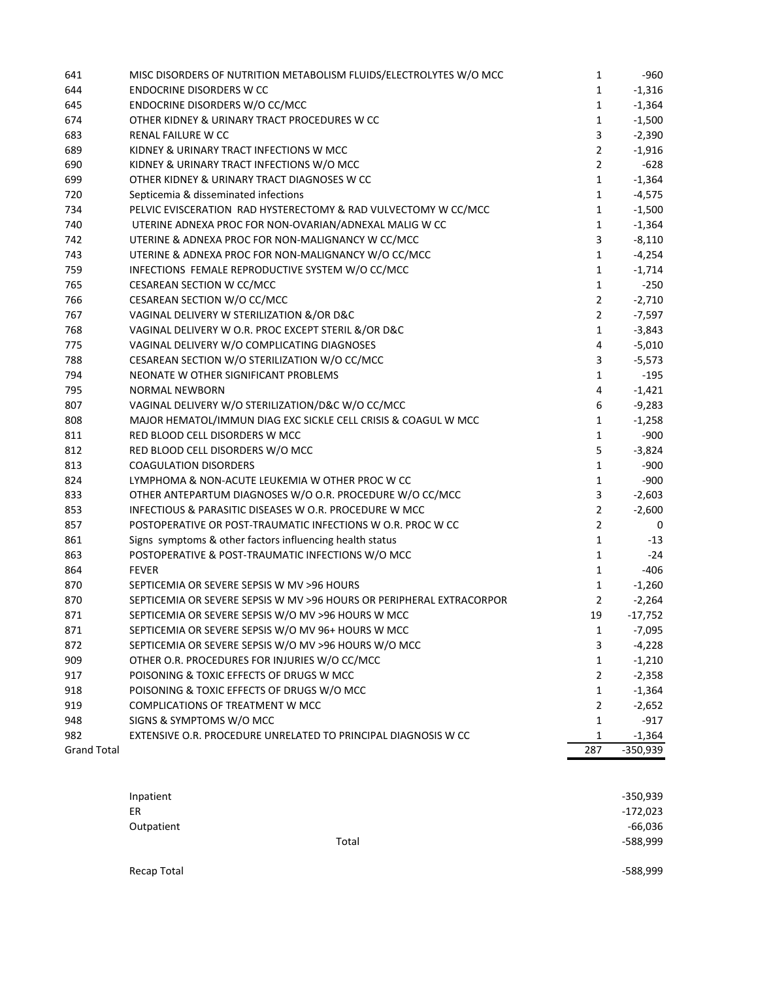| 641                | MISC DISORDERS OF NUTRITION METABOLISM FLUIDS/ELECTROLYTES W/O MCC   | $\mathbf 1$    | -960       |
|--------------------|----------------------------------------------------------------------|----------------|------------|
| 644                | <b>ENDOCRINE DISORDERS W CC</b>                                      | $\mathbf 1$    | $-1,316$   |
| 645                | ENDOCRINE DISORDERS W/O CC/MCC                                       | $\mathbf 1$    | $-1,364$   |
| 674                | OTHER KIDNEY & URINARY TRACT PROCEDURES W CC                         | $\mathbf 1$    | $-1,500$   |
| 683                | RENAL FAILURE W CC                                                   | 3              | $-2,390$   |
| 689                | KIDNEY & URINARY TRACT INFECTIONS W MCC                              | $\overline{2}$ | $-1,916$   |
| 690                | KIDNEY & URINARY TRACT INFECTIONS W/O MCC                            | $\overline{2}$ | $-628$     |
| 699                | OTHER KIDNEY & URINARY TRACT DIAGNOSES W CC                          | $\mathbf 1$    | $-1,364$   |
| 720                | Septicemia & disseminated infections                                 | $\mathbf{1}$   | $-4,575$   |
| 734                | PELVIC EVISCERATION RAD HYSTERECTOMY & RAD VULVECTOMY W CC/MCC       | $\mathbf 1$    | $-1,500$   |
| 740                | UTERINE ADNEXA PROC FOR NON-OVARIAN/ADNEXAL MALIG W CC               | 1              | $-1,364$   |
| 742                | UTERINE & ADNEXA PROC FOR NON-MALIGNANCY W CC/MCC                    | 3              | $-8,110$   |
| 743                | UTERINE & ADNEXA PROC FOR NON-MALIGNANCY W/O CC/MCC                  | $\mathbf{1}$   | $-4,254$   |
| 759                | INFECTIONS FEMALE REPRODUCTIVE SYSTEM W/O CC/MCC                     | 1              | $-1,714$   |
| 765                | CESAREAN SECTION W CC/MCC                                            | $\mathbf 1$    | $-250$     |
| 766                | CESAREAN SECTION W/O CC/MCC                                          | 2              | $-2,710$   |
| 767                | VAGINAL DELIVERY W STERILIZATION &/OR D&C                            | 2              | $-7,597$   |
| 768                | VAGINAL DELIVERY W O.R. PROC EXCEPT STERIL &/OR D&C                  | $\mathbf 1$    | $-3,843$   |
| 775                | VAGINAL DELIVERY W/O COMPLICATING DIAGNOSES                          | 4              | $-5,010$   |
| 788                | CESAREAN SECTION W/O STERILIZATION W/O CC/MCC                        | 3              | $-5,573$   |
| 794                | NEONATE W OTHER SIGNIFICANT PROBLEMS                                 | 1              | -195       |
| 795                | <b>NORMAL NEWBORN</b>                                                | 4              | $-1,421$   |
| 807                | VAGINAL DELIVERY W/O STERILIZATION/D&C W/O CC/MCC                    | 6              | $-9,283$   |
| 808                | MAJOR HEMATOL/IMMUN DIAG EXC SICKLE CELL CRISIS & COAGUL W MCC       | 1              | $-1,258$   |
| 811                | RED BLOOD CELL DISORDERS W MCC                                       | $\mathbf 1$    | $-900$     |
| 812                | RED BLOOD CELL DISORDERS W/O MCC                                     | 5              | $-3,824$   |
| 813                | <b>COAGULATION DISORDERS</b>                                         | 1              | $-900$     |
| 824                | LYMPHOMA & NON-ACUTE LEUKEMIA W OTHER PROC W CC                      | 1              | $-900$     |
| 833                | OTHER ANTEPARTUM DIAGNOSES W/O O.R. PROCEDURE W/O CC/MCC             | 3              | $-2,603$   |
| 853                | INFECTIOUS & PARASITIC DISEASES W O.R. PROCEDURE W MCC               | 2              | $-2,600$   |
| 857                | POSTOPERATIVE OR POST-TRAUMATIC INFECTIONS W O.R. PROC W CC          | $\overline{2}$ | 0          |
| 861                | Signs symptoms & other factors influencing health status             | $\mathbf{1}$   | -13        |
| 863                | POSTOPERATIVE & POST-TRAUMATIC INFECTIONS W/O MCC                    | 1              | $-24$      |
| 864                | <b>FEVER</b>                                                         | 1              | $-406$     |
| 870                | SEPTICEMIA OR SEVERE SEPSIS W MV >96 HOURS                           | 1              | $-1,260$   |
| 870                | SEPTICEMIA OR SEVERE SEPSIS W MV >96 HOURS OR PERIPHERAL EXTRACORPOR | $\overline{2}$ | $-2,264$   |
| 871                | SEPTICEMIA OR SEVERE SEPSIS W/O MV >96 HOURS W MCC                   | 19             | $-17,752$  |
| 871                | SEPTICEMIA OR SEVERE SEPSIS W/O MV 96+ HOURS W MCC                   | 1              | $-7,095$   |
| 872                | SEPTICEMIA OR SEVERE SEPSIS W/O MV >96 HOURS W/O MCC                 | 3              | $-4,228$   |
| 909                | OTHER O.R. PROCEDURES FOR INJURIES W/O CC/MCC                        | 1              | $-1,210$   |
| 917                | POISONING & TOXIC EFFECTS OF DRUGS W MCC                             | 2              | $-2,358$   |
| 918                | POISONING & TOXIC EFFECTS OF DRUGS W/O MCC                           | $\mathbf 1$    | $-1,364$   |
| 919                | <b>COMPLICATIONS OF TREATMENT W MCC</b>                              | 2              | $-2,652$   |
| 948                | SIGNS & SYMPTOMS W/O MCC                                             | 1              | -917       |
| 982                | EXTENSIVE O.R. PROCEDURE UNRELATED TO PRINCIPAL DIAGNOSIS W CC       | 1              | $-1,364$   |
| <b>Grand Total</b> |                                                                      | 287            | $-350,939$ |
|                    |                                                                      |                |            |

| Inpatient  |       | $-350,939$ |
|------------|-------|------------|
| <b>ER</b>  |       | $-172,023$ |
| Outpatient |       | $-66,036$  |
|            | Total | $-588,999$ |
|            |       |            |

Recap Total **Figure 2018** – 588,999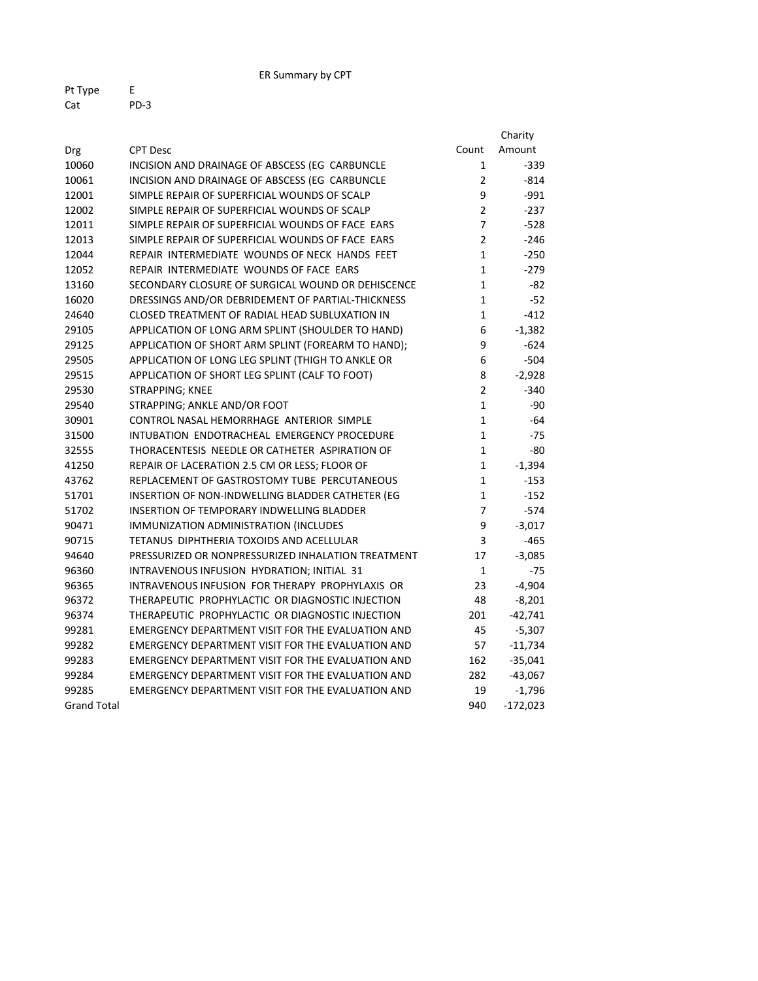ER Summary by CPT

| Pt Type | F    |
|---------|------|
| Cat     | PD-3 |

|                    |                                                    |                | Charity    |
|--------------------|----------------------------------------------------|----------------|------------|
| Drg                | <b>CPT Desc</b>                                    | Count          | Amount     |
| 10060              | INCISION AND DRAINAGE OF ABSCESS (EG CARBUNCLE     | 1              | $-339$     |
| 10061              | INCISION AND DRAINAGE OF ABSCESS (EG CARBUNCLE     | 2              | $-814$     |
| 12001              | SIMPLE REPAIR OF SUPERFICIAL WOUNDS OF SCALP       | 9              | $-991$     |
| 12002              | SIMPLE REPAIR OF SUPERFICIAL WOUNDS OF SCALP       | $\overline{2}$ | $-237$     |
| 12011              | SIMPLE REPAIR OF SUPERFICIAL WOUNDS OF FACE EARS   | 7              | $-528$     |
| 12013              | SIMPLE REPAIR OF SUPERFICIAL WOUNDS OF FACE EARS   | $\overline{2}$ | $-246$     |
| 12044              | REPAIR INTERMEDIATE WOUNDS OF NECK HANDS FEET      | $\mathbf{1}$   | $-250$     |
| 12052              | REPAIR INTERMEDIATE WOUNDS OF FACE EARS            | $\mathbf{1}$   | $-279$     |
| 13160              | SECONDARY CLOSURE OF SURGICAL WOUND OR DEHISCENCE  | $\mathbf{1}$   | -82        |
| 16020              | DRESSINGS AND/OR DEBRIDEMENT OF PARTIAL-THICKNESS  | 1              | $-52$      |
| 24640              | CLOSED TREATMENT OF RADIAL HEAD SUBLUXATION IN     | 1              | $-412$     |
| 29105              | APPLICATION OF LONG ARM SPLINT (SHOULDER TO HAND)  | 6              | $-1,382$   |
| 29125              | APPLICATION OF SHORT ARM SPLINT (FOREARM TO HAND); | 9              | $-624$     |
| 29505              | APPLICATION OF LONG LEG SPLINT (THIGH TO ANKLE OR  | 6              | $-504$     |
| 29515              | APPLICATION OF SHORT LEG SPLINT (CALF TO FOOT)     | 8              | $-2,928$   |
| 29530              | STRAPPING; KNEE                                    | $\overline{2}$ | $-340$     |
| 29540              | STRAPPING; ANKLE AND/OR FOOT                       | $\mathbf{1}$   | -90        |
| 30901              | CONTROL NASAL HEMORRHAGE ANTERIOR SIMPLE           | $\mathbf{1}$   | -64        |
| 31500              | INTUBATION ENDOTRACHEAL EMERGENCY PROCEDURE        | $\mathbf{1}$   | $-75$      |
| 32555              | THORACENTESIS NEEDLE OR CATHETER ASPIRATION OF     | $\mathbf{1}$   | -80        |
| 41250              | REPAIR OF LACERATION 2.5 CM OR LESS; FLOOR OF      | $\mathbf{1}$   | $-1,394$   |
| 43762              | REPLACEMENT OF GASTROSTOMY TUBE PERCUTANEOUS       | $\mathbf{1}$   | $-153$     |
| 51701              | INSERTION OF NON-INDWELLING BLADDER CATHETER (EG   | 1              | $-152$     |
| 51702              | INSERTION OF TEMPORARY INDWELLING BLADDER          | $\overline{7}$ | $-574$     |
| 90471              | IMMUNIZATION ADMINISTRATION (INCLUDES              | 9              | $-3,017$   |
| 90715              | TETANUS DIPHTHERIA TOXOIDS AND ACELLULAR           | 3              | $-465$     |
| 94640              | PRESSURIZED OR NONPRESSURIZED INHALATION TREATMENT | 17             | $-3,085$   |
| 96360              | INTRAVENOUS INFUSION HYDRATION; INITIAL 31         | $\mathbf{1}$   | $-75$      |
| 96365              | INTRAVENOUS INFUSION FOR THERAPY PROPHYLAXIS OR    | 23             | $-4,904$   |
| 96372              | THERAPEUTIC PROPHYLACTIC OR DIAGNOSTIC INJECTION   | 48             | $-8,201$   |
| 96374              | THERAPEUTIC PROPHYLACTIC OR DIAGNOSTIC INJECTION   | 201            | $-42,741$  |
| 99281              | EMERGENCY DEPARTMENT VISIT FOR THE EVALUATION AND  | 45             | $-5,307$   |
| 99282              | EMERGENCY DEPARTMENT VISIT FOR THE EVALUATION AND  | 57             | $-11,734$  |
| 99283              | EMERGENCY DEPARTMENT VISIT FOR THE EVALUATION AND  | 162            | $-35,041$  |
| 99284              | EMERGENCY DEPARTMENT VISIT FOR THE EVALUATION AND  | 282            | $-43,067$  |
| 99285              | EMERGENCY DEPARTMENT VISIT FOR THE EVALUATION AND  | 19             | $-1,796$   |
| <b>Grand Total</b> |                                                    | 940            | $-172,023$ |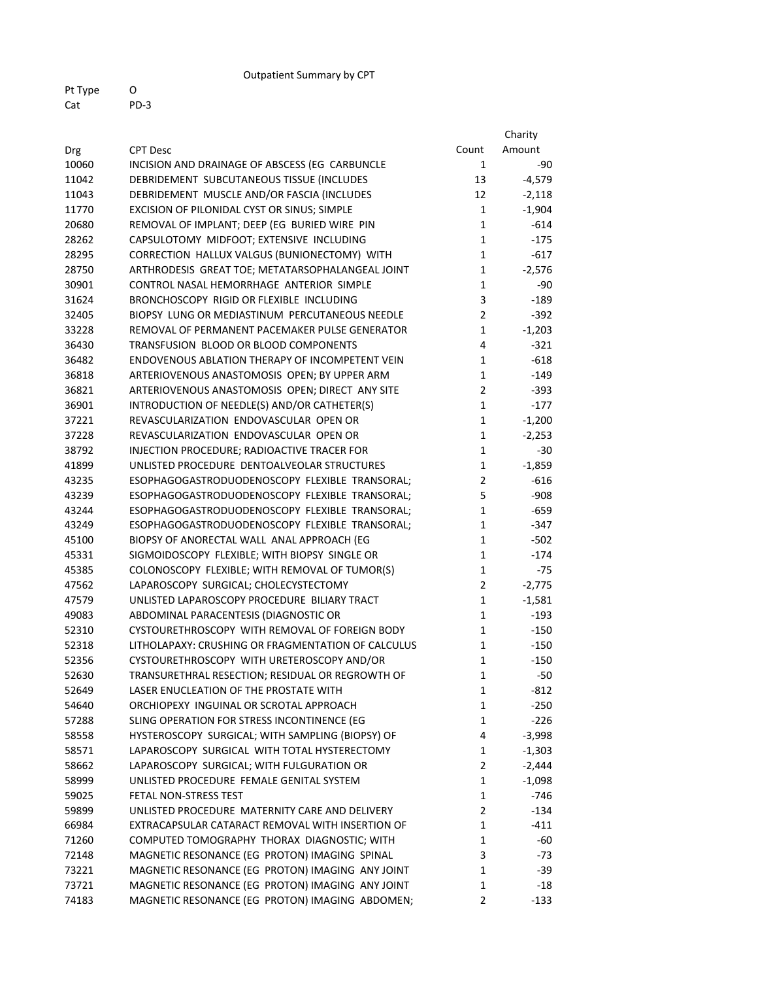Outpatient Summary by CPT

Pt Type O Cat PD‐3

|       |                                                    |                | Charity  |
|-------|----------------------------------------------------|----------------|----------|
| Drg   | <b>CPT Desc</b>                                    | Count          | Amount   |
| 10060 | INCISION AND DRAINAGE OF ABSCESS (EG CARBUNCLE     | $\mathbf{1}$   | -90      |
| 11042 | DEBRIDEMENT SUBCUTANEOUS TISSUE (INCLUDES          | 13             | $-4,579$ |
| 11043 | DEBRIDEMENT MUSCLE AND/OR FASCIA (INCLUDES         | 12             | $-2,118$ |
| 11770 | EXCISION OF PILONIDAL CYST OR SINUS; SIMPLE        | $\mathbf{1}$   | $-1,904$ |
| 20680 | REMOVAL OF IMPLANT; DEEP (EG BURIED WIRE PIN       | $\mathbf{1}$   | $-614$   |
| 28262 | CAPSULOTOMY MIDFOOT; EXTENSIVE INCLUDING           | $\mathbf{1}$   | $-175$   |
| 28295 | CORRECTION HALLUX VALGUS (BUNIONECTOMY) WITH       | $\mathbf{1}$   | $-617$   |
| 28750 | ARTHRODESIS GREAT TOE; METATARSOPHALANGEAL JOINT   | 1              | $-2,576$ |
| 30901 | CONTROL NASAL HEMORRHAGE ANTERIOR SIMPLE           | $\mathbf{1}$   | $-90$    |
| 31624 | BRONCHOSCOPY RIGID OR FLEXIBLE INCLUDING           | 3              | $-189$   |
| 32405 | BIOPSY LUNG OR MEDIASTINUM PERCUTANEOUS NEEDLE     | $\overline{2}$ | $-392$   |
| 33228 | REMOVAL OF PERMANENT PACEMAKER PULSE GENERATOR     | 1              | $-1,203$ |
| 36430 | TRANSFUSION BLOOD OR BLOOD COMPONENTS              | 4              | $-321$   |
| 36482 | ENDOVENOUS ABLATION THERAPY OF INCOMPETENT VEIN    | 1              | $-618$   |
| 36818 | ARTERIOVENOUS ANASTOMOSIS OPEN; BY UPPER ARM       | 1              | $-149$   |
| 36821 | ARTERIOVENOUS ANASTOMOSIS OPEN; DIRECT ANY SITE    | $\overline{2}$ | -393     |
| 36901 | INTRODUCTION OF NEEDLE(S) AND/OR CATHETER(S)       | 1              | $-177$   |
| 37221 | REVASCULARIZATION ENDOVASCULAR OPEN OR             | $\mathbf{1}$   | $-1,200$ |
| 37228 | REVASCULARIZATION ENDOVASCULAR OPEN OR             | $\mathbf{1}$   | $-2,253$ |
| 38792 | INJECTION PROCEDURE; RADIOACTIVE TRACER FOR        | $\mathbf{1}$   | $-30$    |
| 41899 | UNLISTED PROCEDURE DENTOALVEOLAR STRUCTURES        | $\mathbf{1}$   | $-1,859$ |
| 43235 | ESOPHAGOGASTRODUODENOSCOPY FLEXIBLE TRANSORAL;     | $\overline{2}$ | $-616$   |
| 43239 | ESOPHAGOGASTRODUODENOSCOPY FLEXIBLE TRANSORAL;     | 5              | $-908$   |
| 43244 | ESOPHAGOGASTRODUODENOSCOPY FLEXIBLE TRANSORAL;     | $\mathbf{1}$   | $-659$   |
| 43249 | ESOPHAGOGASTRODUODENOSCOPY FLEXIBLE TRANSORAL;     | 1              | -347     |
| 45100 | BIOPSY OF ANORECTAL WALL ANAL APPROACH (EG         | 1              | $-502$   |
| 45331 | SIGMOIDOSCOPY FLEXIBLE; WITH BIOPSY SINGLE OR      | 1              | $-174$   |
| 45385 | COLONOSCOPY FLEXIBLE; WITH REMOVAL OF TUMOR(S)     | 1              | $-75$    |
| 47562 | LAPAROSCOPY SURGICAL; CHOLECYSTECTOMY              | $\overline{2}$ | $-2,775$ |
| 47579 | UNLISTED LAPAROSCOPY PROCEDURE BILIARY TRACT       | $\mathbf{1}$   | $-1,581$ |
| 49083 | ABDOMINAL PARACENTESIS (DIAGNOSTIC OR              | 1              | $-193$   |
| 52310 | CYSTOURETHROSCOPY WITH REMOVAL OF FOREIGN BODY     | 1              | $-150$   |
| 52318 | LITHOLAPAXY: CRUSHING OR FRAGMENTATION OF CALCULUS | $\mathbf{1}$   | $-150$   |
| 52356 | CYSTOURETHROSCOPY WITH URETEROSCOPY AND/OR         | $\mathbf 1$    | $-150$   |
| 52630 | TRANSURETHRAL RESECTION; RESIDUAL OR REGROWTH OF   | $\mathbf{1}$   | $-50$    |
| 52649 | LASER ENUCLEATION OF THE PROSTATE WITH             | 1              | $-812$   |
| 54640 | ORCHIOPEXY INGUINAL OR SCROTAL APPROACH            | 1              | $-250$   |
| 57288 | SLING OPERATION FOR STRESS INCONTINENCE (EG        | $\mathbf{1}$   | $-226$   |
| 58558 | HYSTEROSCOPY SURGICAL; WITH SAMPLING (BIOPSY) OF   | 4              | $-3,998$ |
| 58571 | LAPAROSCOPY SURGICAL WITH TOTAL HYSTERECTOMY       | $\mathbf{1}$   | $-1,303$ |
| 58662 | LAPAROSCOPY SURGICAL; WITH FULGURATION OR          | $\overline{2}$ | $-2,444$ |
| 58999 | UNLISTED PROCEDURE FEMALE GENITAL SYSTEM           | $\mathbf{1}$   | $-1,098$ |
| 59025 | FETAL NON-STRESS TEST                              | $\mathbf{1}$   | $-746$   |
| 59899 | UNLISTED PROCEDURE MATERNITY CARE AND DELIVERY     | $\overline{2}$ | $-134$   |
| 66984 | EXTRACAPSULAR CATARACT REMOVAL WITH INSERTION OF   | $\mathbf{1}$   | $-411$   |
| 71260 | COMPUTED TOMOGRAPHY THORAX DIAGNOSTIC; WITH        | $\mathbf{1}$   | -60      |
| 72148 | MAGNETIC RESONANCE (EG PROTON) IMAGING SPINAL      | 3              | -73      |
| 73221 | MAGNETIC RESONANCE (EG PROTON) IMAGING ANY JOINT   | $\mathbf{1}$   | $-39$    |
| 73721 | MAGNETIC RESONANCE (EG PROTON) IMAGING ANY JOINT   | 1              | $-18$    |
| 74183 | MAGNETIC RESONANCE (EG PROTON) IMAGING ABDOMEN;    | $\mathbf{2}$   | $-133$   |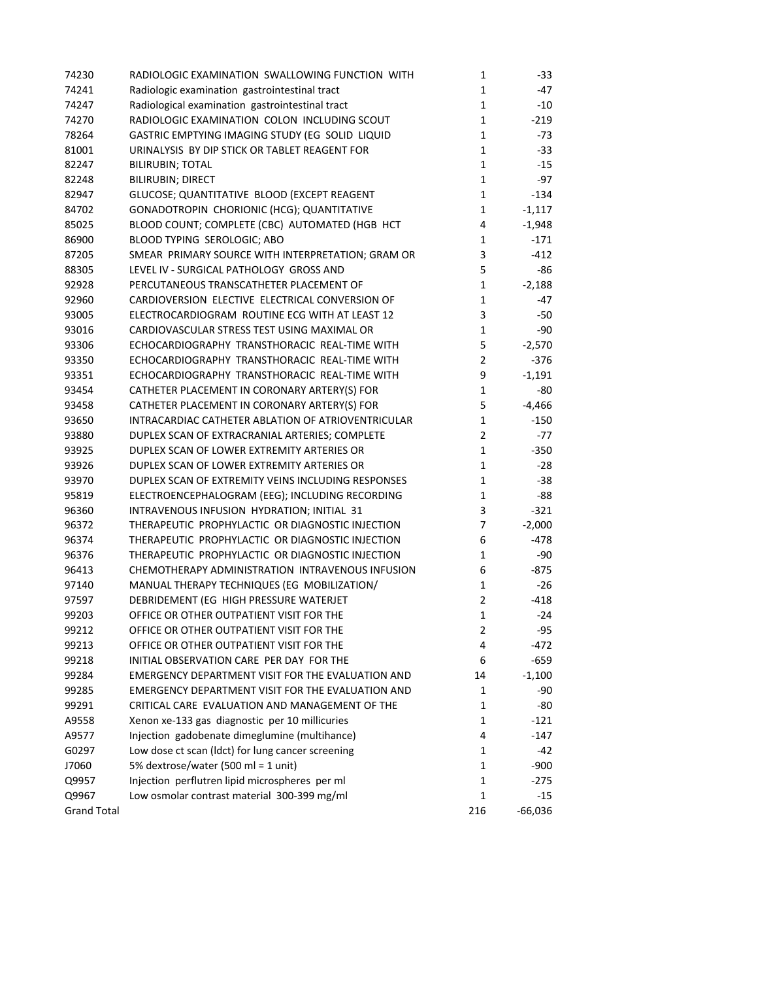| 74230              | RADIOLOGIC EXAMINATION SWALLOWING FUNCTION WITH    | 1              | $-33$     |
|--------------------|----------------------------------------------------|----------------|-----------|
| 74241              | Radiologic examination gastrointestinal tract      | $\mathbf{1}$   | $-47$     |
| 74247              | Radiological examination gastrointestinal tract    | $\mathbf 1$    | $-10$     |
| 74270              | RADIOLOGIC EXAMINATION COLON INCLUDING SCOUT       | $\mathbf 1$    | $-219$    |
| 78264              | GASTRIC EMPTYING IMAGING STUDY (EG SOLID LIQUID    | $\mathbf{1}$   | $-73$     |
| 81001              | URINALYSIS BY DIP STICK OR TABLET REAGENT FOR      | $\mathbf 1$    | $-33$     |
| 82247              | <b>BILIRUBIN; TOTAL</b>                            | $\mathbf 1$    | $-15$     |
| 82248              | <b>BILIRUBIN; DIRECT</b>                           | $\mathbf 1$    | $-97$     |
| 82947              | GLUCOSE; QUANTITATIVE BLOOD (EXCEPT REAGENT        | $\mathbf 1$    | $-134$    |
| 84702              | GONADOTROPIN CHORIONIC (HCG); QUANTITATIVE         | $\mathbf{1}$   | $-1,117$  |
| 85025              | BLOOD COUNT; COMPLETE (CBC) AUTOMATED (HGB HCT     | 4              | $-1,948$  |
| 86900              | BLOOD TYPING SEROLOGIC; ABO                        | $\mathbf{1}$   | $-171$    |
| 87205              | SMEAR PRIMARY SOURCE WITH INTERPRETATION; GRAM OR  | 3              | $-412$    |
| 88305              | LEVEL IV - SURGICAL PATHOLOGY GROSS AND            | 5              | -86       |
| 92928              | PERCUTANEOUS TRANSCATHETER PLACEMENT OF            | $\mathbf{1}$   | $-2,188$  |
| 92960              | CARDIOVERSION ELECTIVE ELECTRICAL CONVERSION OF    | $\mathbf{1}$   | $-47$     |
| 93005              | ELECTROCARDIOGRAM ROUTINE ECG WITH AT LEAST 12     | 3              | $-50$     |
| 93016              | CARDIOVASCULAR STRESS TEST USING MAXIMAL OR        | $\mathbf{1}$   | $-90$     |
| 93306              | ECHOCARDIOGRAPHY TRANSTHORACIC REAL-TIME WITH      | 5              | $-2,570$  |
| 93350              | ECHOCARDIOGRAPHY TRANSTHORACIC REAL-TIME WITH      | $\overline{2}$ | $-376$    |
| 93351              | ECHOCARDIOGRAPHY TRANSTHORACIC REAL-TIME WITH      | 9              | $-1,191$  |
| 93454              | CATHETER PLACEMENT IN CORONARY ARTERY(S) FOR       | $\mathbf{1}$   | -80       |
| 93458              | CATHETER PLACEMENT IN CORONARY ARTERY(S) FOR       | 5              | $-4,466$  |
| 93650              | INTRACARDIAC CATHETER ABLATION OF ATRIOVENTRICULAR | $\mathbf{1}$   | $-150$    |
| 93880              | DUPLEX SCAN OF EXTRACRANIAL ARTERIES; COMPLETE     | $\overline{2}$ | $-77$     |
| 93925              | DUPLEX SCAN OF LOWER EXTREMITY ARTERIES OR         | $\mathbf{1}$   | $-350$    |
| 93926              | DUPLEX SCAN OF LOWER EXTREMITY ARTERIES OR         | $\mathbf{1}$   | $-28$     |
| 93970              | DUPLEX SCAN OF EXTREMITY VEINS INCLUDING RESPONSES | $\mathbf{1}$   | $-38$     |
| 95819              | ELECTROENCEPHALOGRAM (EEG); INCLUDING RECORDING    | $\mathbf{1}$   | -88       |
| 96360              | INTRAVENOUS INFUSION HYDRATION; INITIAL 31         | 3              | $-321$    |
| 96372              | THERAPEUTIC PROPHYLACTIC OR DIAGNOSTIC INJECTION   | $\overline{7}$ | $-2,000$  |
| 96374              | THERAPEUTIC PROPHYLACTIC OR DIAGNOSTIC INJECTION   | 6              | $-478$    |
| 96376              | THERAPEUTIC PROPHYLACTIC OR DIAGNOSTIC INJECTION   | $\mathbf{1}$   | $-90$     |
| 96413              | CHEMOTHERAPY ADMINISTRATION INTRAVENOUS INFUSION   | 6              | $-875$    |
| 97140              | MANUAL THERAPY TECHNIQUES (EG MOBILIZATION/        | $\mathbf{1}$   | $-26$     |
|                    |                                                    |                |           |
| 97597              | DEBRIDEMENT (EG HIGH PRESSURE WATERJET             | 2              | $-418$    |
| 99203              | OFFICE OR OTHER OUTPATIENT VISIT FOR THE           | $\mathbf{1}$   | $-24$     |
| 99212              | OFFICE OR OTHER OUTPATIENT VISIT FOR THE           | 2              | -95       |
| 99213              | OFFICE OR OTHER OUTPATIENT VISIT FOR THE           | 4              | $-472$    |
| 99218              | INITIAL OBSERVATION CARE PER DAY FOR THE           | 6              | $-659$    |
| 99284              | EMERGENCY DEPARTMENT VISIT FOR THE EVALUATION AND  | 14             | $-1,100$  |
| 99285              | EMERGENCY DEPARTMENT VISIT FOR THE EVALUATION AND  | 1              | -90       |
| 99291              | CRITICAL CARE EVALUATION AND MANAGEMENT OF THE     | 1              | $-80$     |
| A9558              | Xenon xe-133 gas diagnostic per 10 millicuries     | 1              | $-121$    |
| A9577              | Injection gadobenate dimeglumine (multihance)      | 4              | -147      |
| G0297              | Low dose ct scan (ldct) for lung cancer screening  | $\mathbf{1}$   | -42       |
| J7060              | 5% dextrose/water (500 ml = 1 unit)                | 1              | $-900$    |
| Q9957              | Injection perflutren lipid microspheres per ml     | 1              | $-275$    |
| Q9967              | Low osmolar contrast material 300-399 mg/ml        | $\mathbf{1}$   | $-15$     |
| <b>Grand Total</b> |                                                    | 216            | $-66,036$ |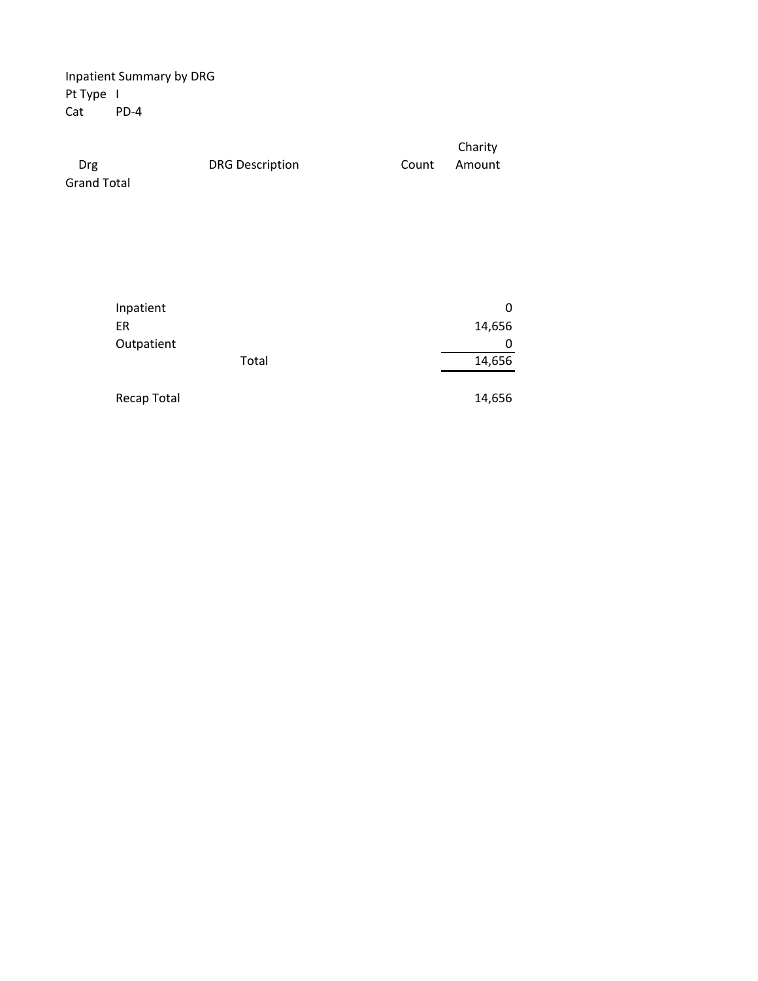Inpatient Summary by DRG Pt Type I Cat PD‐4

|                    |                        |       | Charity |  |
|--------------------|------------------------|-------|---------|--|
| Drg                | <b>DRG Description</b> | Count | Amount  |  |
| <b>Grand Total</b> |                        |       |         |  |

| Inpatient<br>ER    |       | 0<br>14,656 |
|--------------------|-------|-------------|
| Outpatient         |       |             |
|                    | Total | 14,656      |
| <b>Recap Total</b> |       | 14,656      |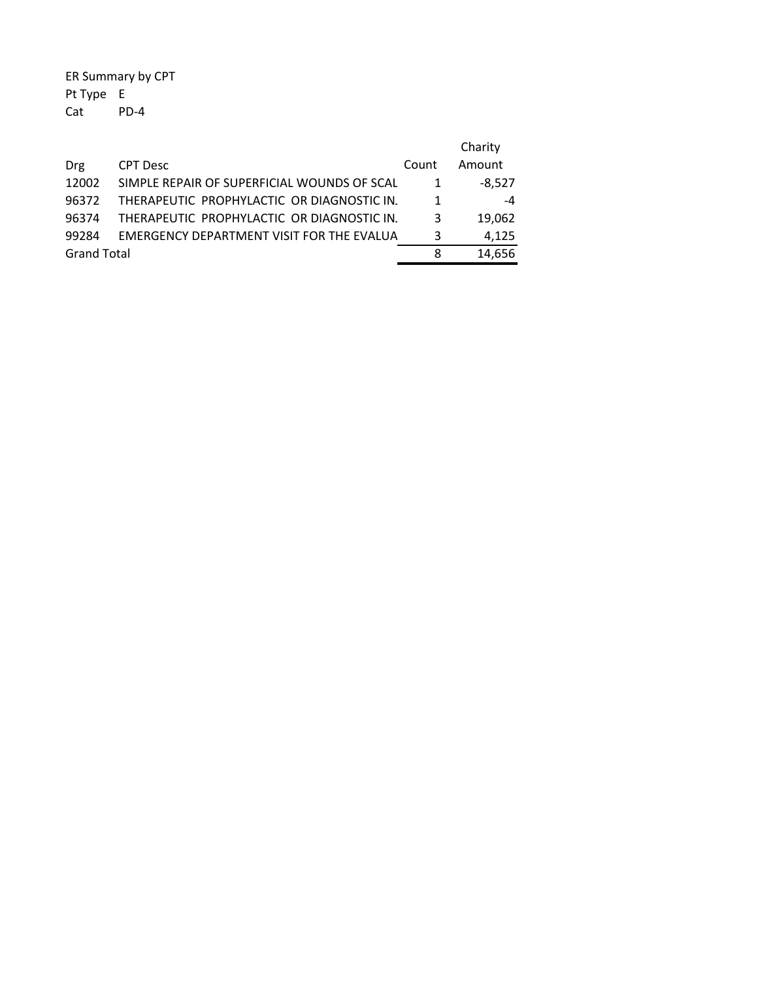ER Summary by CPT Pt Type E Cat PD‐4

|                    |                                             |       | Charity  |
|--------------------|---------------------------------------------|-------|----------|
| Drg                | <b>CPT Desc</b>                             | Count | Amount   |
| 12002              | SIMPLE REPAIR OF SUPERFICIAL WOUNDS OF SCAL |       | $-8.527$ |
| 96372              | THERAPEUTIC PROPHYLACTIC OR DIAGNOSTIC IN.  |       | -4       |
| 96374              | THERAPEUTIC PROPHYLACTIC OR DIAGNOSTIC IN.  | 3     | 19.062   |
| 99284              | EMERGENCY DEPARTMENT VISIT FOR THE EVALUA   | 3     | 4,125    |
| <b>Grand Total</b> |                                             | 8     | 14.656   |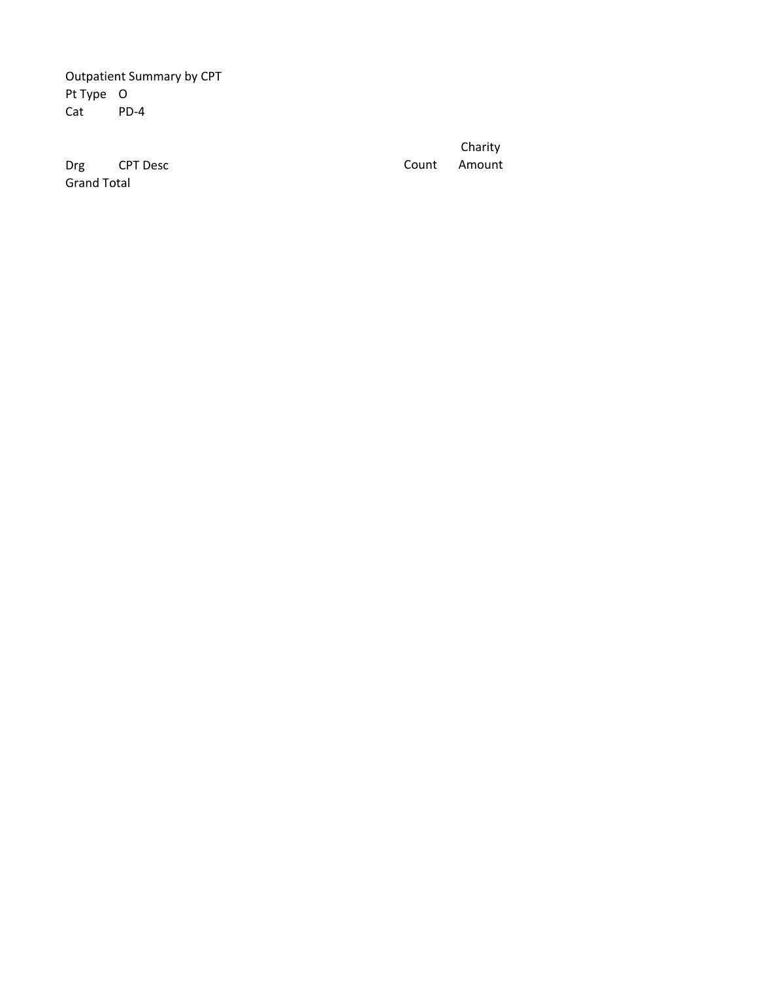Outpatient Summary by CPT Pt Type O Cat PD-4

Drg CPT Desc Grand Total

Count Charity Amount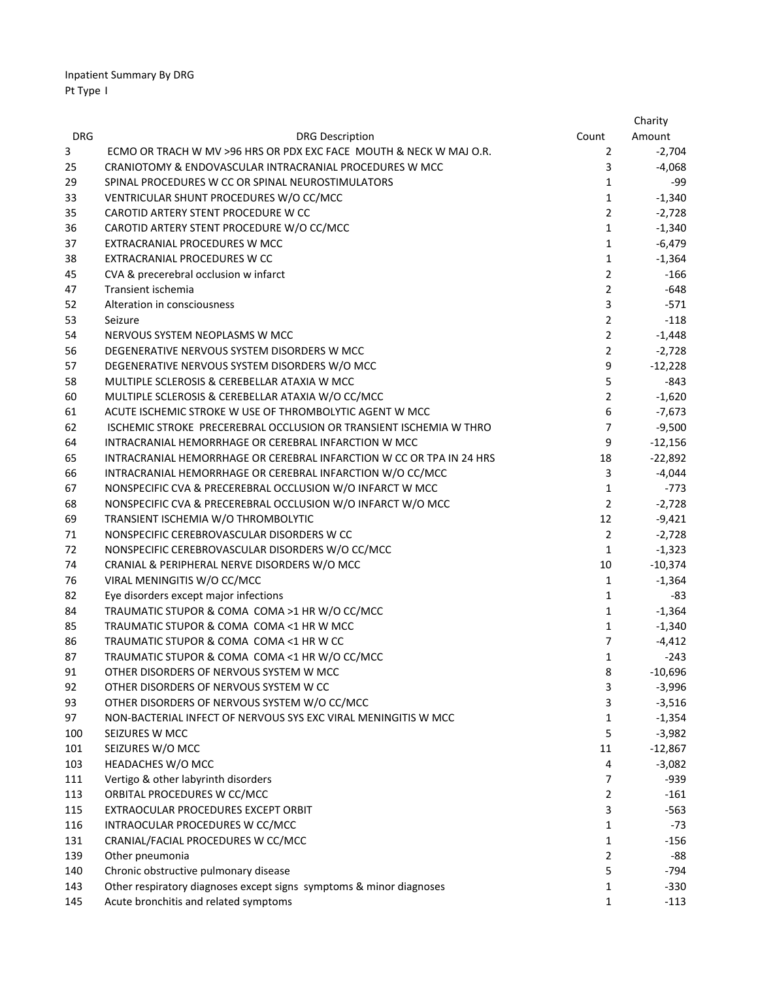|            |                                                                      |                | Charity   |
|------------|----------------------------------------------------------------------|----------------|-----------|
| <b>DRG</b> | <b>DRG Description</b>                                               | Count          | Amount    |
| 3          | ECMO OR TRACH W MV >96 HRS OR PDX EXC FACE MOUTH & NECK W MAJ O.R.   | 2              | $-2,704$  |
| 25         | CRANIOTOMY & ENDOVASCULAR INTRACRANIAL PROCEDURES W MCC              | 3              | $-4,068$  |
| 29         | SPINAL PROCEDURES W CC OR SPINAL NEUROSTIMULATORS                    | 1              | -99       |
| 33         | VENTRICULAR SHUNT PROCEDURES W/O CC/MCC                              | $\mathbf{1}$   | $-1,340$  |
| 35         | CAROTID ARTERY STENT PROCEDURE W CC                                  | $\overline{2}$ | $-2,728$  |
| 36         | CAROTID ARTERY STENT PROCEDURE W/O CC/MCC                            | $\mathbf{1}$   | $-1,340$  |
| 37         | EXTRACRANIAL PROCEDURES W MCC                                        | 1              | $-6,479$  |
| 38         | EXTRACRANIAL PROCEDURES W CC                                         | 1              | $-1,364$  |
| 45         | CVA & precerebral occlusion w infarct                                | $\overline{2}$ | $-166$    |
| 47         | Transient ischemia                                                   | $\overline{2}$ | $-648$    |
| 52         | Alteration in consciousness                                          | 3              | $-571$    |
| 53         | Seizure                                                              | $\overline{2}$ | $-118$    |
| 54         | NERVOUS SYSTEM NEOPLASMS W MCC                                       | $\overline{2}$ | $-1,448$  |
| 56         | DEGENERATIVE NERVOUS SYSTEM DISORDERS W MCC                          | $\overline{2}$ | $-2,728$  |
| 57         | DEGENERATIVE NERVOUS SYSTEM DISORDERS W/O MCC                        | 9              | $-12,228$ |
| 58         | MULTIPLE SCLEROSIS & CEREBELLAR ATAXIA W MCC                         | 5              | -843      |
| 60         | MULTIPLE SCLEROSIS & CEREBELLAR ATAXIA W/O CC/MCC                    | $\overline{2}$ | $-1,620$  |
| 61         | ACUTE ISCHEMIC STROKE W USE OF THROMBOLYTIC AGENT W MCC              | 6              | $-7,673$  |
| 62         | ISCHEMIC STROKE PRECEREBRAL OCCLUSION OR TRANSIENT ISCHEMIA W THRO   | $\overline{7}$ | $-9,500$  |
| 64         | INTRACRANIAL HEMORRHAGE OR CEREBRAL INFARCTION W MCC                 | 9              | $-12,156$ |
| 65         | INTRACRANIAL HEMORRHAGE OR CEREBRAL INFARCTION W CC OR TPA IN 24 HRS | 18             | $-22,892$ |
| 66         | INTRACRANIAL HEMORRHAGE OR CEREBRAL INFARCTION W/O CC/MCC            | 3              | $-4,044$  |
| 67         | NONSPECIFIC CVA & PRECEREBRAL OCCLUSION W/O INFARCT W MCC            | $\mathbf{1}$   | $-773$    |
| 68         | NONSPECIFIC CVA & PRECEREBRAL OCCLUSION W/O INFARCT W/O MCC          | $\overline{2}$ | $-2,728$  |
| 69         | TRANSIENT ISCHEMIA W/O THROMBOLYTIC                                  | 12             | $-9,421$  |
| 71         | NONSPECIFIC CEREBROVASCULAR DISORDERS W CC                           | $\overline{2}$ | $-2,728$  |
| 72         | NONSPECIFIC CEREBROVASCULAR DISORDERS W/O CC/MCC                     | $\mathbf{1}$   | $-1,323$  |
| 74         | CRANIAL & PERIPHERAL NERVE DISORDERS W/O MCC                         | 10             | $-10,374$ |
| 76         | VIRAL MENINGITIS W/O CC/MCC                                          | 1              | $-1,364$  |
| 82         | Eye disorders except major infections                                | $\mathbf{1}$   | -83       |
| 84         | TRAUMATIC STUPOR & COMA COMA >1 HR W/O CC/MCC                        | $\mathbf{1}$   | $-1,364$  |
| 85         | TRAUMATIC STUPOR & COMA COMA <1 HR W MCC                             | $\mathbf{1}$   | $-1,340$  |
| 86         | TRAUMATIC STUPOR & COMA COMA <1 HR W CC                              | $\overline{7}$ | $-4,412$  |
| 87         | TRAUMATIC STUPOR & COMA COMA <1 HR W/O CC/MCC                        | 1              | $-243$    |
| 91         | OTHER DISORDERS OF NERVOUS SYSTEM W MCC                              | 8              | $-10,696$ |
| 92         | OTHER DISORDERS OF NERVOUS SYSTEM W CC                               | 3              | $-3,996$  |
| 93         | OTHER DISORDERS OF NERVOUS SYSTEM W/O CC/MCC                         | 3              | $-3,516$  |
| 97         | NON-BACTERIAL INFECT OF NERVOUS SYS EXC VIRAL MENINGITIS W MCC       | 1              | $-1,354$  |
| 100        | SEIZURES W MCC                                                       | 5              | $-3,982$  |
| 101        | SEIZURES W/O MCC                                                     | 11             | $-12,867$ |
| 103        | HEADACHES W/O MCC                                                    | 4              | $-3,082$  |
| 111        | Vertigo & other labyrinth disorders                                  | $\overline{7}$ | -939      |
| 113        | ORBITAL PROCEDURES W CC/MCC                                          | $\overline{2}$ | $-161$    |
| 115        | EXTRAOCULAR PROCEDURES EXCEPT ORBIT                                  | 3              | $-563$    |
| 116        | INTRAOCULAR PROCEDURES W CC/MCC                                      | $\mathbf{1}$   | $-73$     |
| 131        | CRANIAL/FACIAL PROCEDURES W CC/MCC                                   | $\mathbf{1}$   | $-156$    |
| 139        | Other pneumonia                                                      | $\overline{2}$ | -88       |
| 140        | Chronic obstructive pulmonary disease                                | 5              | -794      |
| 143        | Other respiratory diagnoses except signs symptoms & minor diagnoses  | 1              | $-330$    |
| 145        | Acute bronchitis and related symptoms                                | 1              | $-113$    |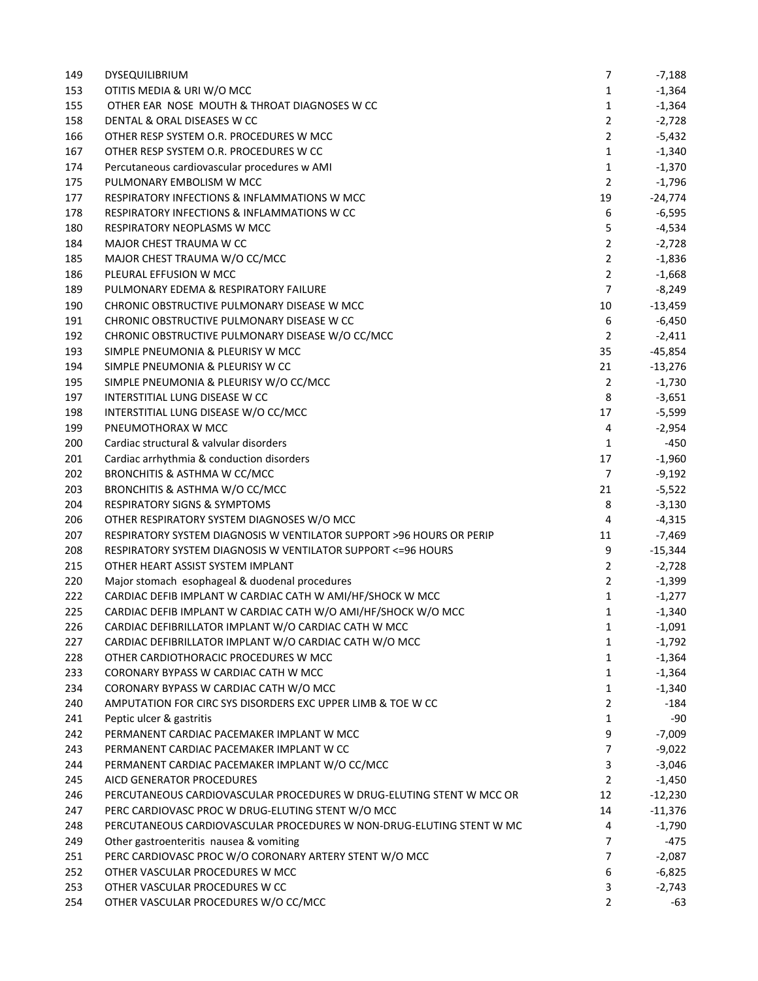| 149 | <b>DYSEQUILIBRIUM</b>                                                | 7              | -7,188    |
|-----|----------------------------------------------------------------------|----------------|-----------|
| 153 | OTITIS MEDIA & URI W/O MCC                                           | $\mathbf{1}$   | $-1,364$  |
| 155 | OTHER EAR NOSE MOUTH & THROAT DIAGNOSES W CC                         | $\mathbf{1}$   | $-1,364$  |
| 158 | DENTAL & ORAL DISEASES W CC                                          | $\overline{2}$ | $-2,728$  |
| 166 | OTHER RESP SYSTEM O.R. PROCEDURES W MCC                              | $\overline{2}$ | -5,432    |
| 167 | OTHER RESP SYSTEM O.R. PROCEDURES W CC                               | $\mathbf{1}$   | $-1,340$  |
| 174 | Percutaneous cardiovascular procedures w AMI                         | $\mathbf{1}$   | $-1,370$  |
| 175 | PULMONARY EMBOLISM W MCC                                             | $\overline{2}$ | $-1,796$  |
| 177 | RESPIRATORY INFECTIONS & INFLAMMATIONS W MCC                         | 19             | $-24,774$ |
| 178 | <b>RESPIRATORY INFECTIONS &amp; INFLAMMATIONS W CC</b>               | 6              | $-6,595$  |
| 180 | RESPIRATORY NEOPLASMS W MCC                                          | 5              | $-4,534$  |
| 184 | MAJOR CHEST TRAUMA W CC                                              | $\overline{2}$ | $-2,728$  |
| 185 | MAJOR CHEST TRAUMA W/O CC/MCC                                        | $\overline{2}$ | $-1,836$  |
| 186 | PLEURAL EFFUSION W MCC                                               | $\overline{2}$ | $-1,668$  |
| 189 | PULMONARY EDEMA & RESPIRATORY FAILURE                                | $\overline{7}$ | $-8,249$  |
| 190 | CHRONIC OBSTRUCTIVE PULMONARY DISEASE W MCC                          | 10             | $-13,459$ |
| 191 | CHRONIC OBSTRUCTIVE PULMONARY DISEASE W CC                           | 6              | $-6,450$  |
| 192 | CHRONIC OBSTRUCTIVE PULMONARY DISEASE W/O CC/MCC                     | $\overline{2}$ | $-2,411$  |
| 193 | SIMPLE PNEUMONIA & PLEURISY W MCC                                    | 35             | $-45,854$ |
| 194 | SIMPLE PNEUMONIA & PLEURISY W CC                                     | 21             | $-13,276$ |
| 195 | SIMPLE PNEUMONIA & PLEURISY W/O CC/MCC                               | $\overline{2}$ | $-1,730$  |
| 197 | INTERSTITIAL LUNG DISEASE W CC                                       | 8              | $-3,651$  |
| 198 | INTERSTITIAL LUNG DISEASE W/O CC/MCC                                 | 17             | $-5,599$  |
| 199 | PNEUMOTHORAX W MCC                                                   | 4              | $-2,954$  |
| 200 | Cardiac structural & valvular disorders                              | $\mathbf{1}$   | $-450$    |
| 201 | Cardiac arrhythmia & conduction disorders                            | 17             | $-1,960$  |
|     |                                                                      | $\overline{7}$ |           |
| 202 | BRONCHITIS & ASTHMA W CC/MCC                                         | 21             | $-9,192$  |
| 203 | BRONCHITIS & ASTHMA W/O CC/MCC                                       |                | $-5,522$  |
| 204 | <b>RESPIRATORY SIGNS &amp; SYMPTOMS</b>                              | 8              | $-3,130$  |
| 206 | OTHER RESPIRATORY SYSTEM DIAGNOSES W/O MCC                           | 4              | $-4,315$  |
| 207 | RESPIRATORY SYSTEM DIAGNOSIS W VENTILATOR SUPPORT >96 HOURS OR PERIP | 11             | $-7,469$  |
| 208 | RESPIRATORY SYSTEM DIAGNOSIS W VENTILATOR SUPPORT <= 96 HOURS        | 9              | $-15,344$ |
| 215 | OTHER HEART ASSIST SYSTEM IMPLANT                                    | $\overline{2}$ | $-2,728$  |
| 220 | Major stomach esophageal & duodenal procedures                       | $\overline{2}$ | $-1,399$  |
| 222 | CARDIAC DEFIB IMPLANT W CARDIAC CATH W AMI/HF/SHOCK W MCC            | $\mathbf{1}$   | $-1,277$  |
| 225 | CARDIAC DEFIB IMPLANT W CARDIAC CATH W/O AMI/HF/SHOCK W/O MCC        | $\mathbf{1}$   | $-1,340$  |
| 226 | CARDIAC DEFIBRILLATOR IMPLANT W/O CARDIAC CATH W MCC                 | 1              | $-1,091$  |
| 227 | CARDIAC DEFIBRILLATOR IMPLANT W/O CARDIAC CATH W/O MCC               | 1              | $-1,792$  |
| 228 | OTHER CARDIOTHORACIC PROCEDURES W MCC                                | 1              | $-1,364$  |
| 233 | CORONARY BYPASS W CARDIAC CATH W MCC                                 | 1              | $-1,364$  |
| 234 | CORONARY BYPASS W CARDIAC CATH W/O MCC                               | 1              | $-1,340$  |
| 240 | AMPUTATION FOR CIRC SYS DISORDERS EXC UPPER LIMB & TOE W CC          | $\overline{2}$ | $-184$    |
| 241 | Peptic ulcer & gastritis                                             | $\mathbf{1}$   | -90       |
| 242 | PERMANENT CARDIAC PACEMAKER IMPLANT W MCC                            | 9              | $-7,009$  |
| 243 | PERMANENT CARDIAC PACEMAKER IMPLANT W CC                             | $\overline{7}$ | $-9,022$  |
| 244 | PERMANENT CARDIAC PACEMAKER IMPLANT W/O CC/MCC                       | 3              | $-3,046$  |
| 245 | AICD GENERATOR PROCEDURES                                            | $\overline{2}$ | $-1,450$  |
| 246 | PERCUTANEOUS CARDIOVASCULAR PROCEDURES W DRUG-ELUTING STENT W MCC OR | 12             | $-12,230$ |
| 247 | PERC CARDIOVASC PROC W DRUG-ELUTING STENT W/O MCC                    | 14             | $-11,376$ |
| 248 | PERCUTANEOUS CARDIOVASCULAR PROCEDURES W NON-DRUG-ELUTING STENT W MC | 4              | $-1,790$  |
| 249 | Other gastroenteritis nausea & vomiting                              | $\overline{7}$ | -475      |
| 251 | PERC CARDIOVASC PROC W/O CORONARY ARTERY STENT W/O MCC               | $\overline{7}$ | $-2,087$  |
| 252 | OTHER VASCULAR PROCEDURES W MCC                                      | 6              | $-6,825$  |
| 253 | OTHER VASCULAR PROCEDURES W CC                                       | 3              | $-2,743$  |
| 254 | OTHER VASCULAR PROCEDURES W/O CC/MCC                                 | $\overline{2}$ | -63       |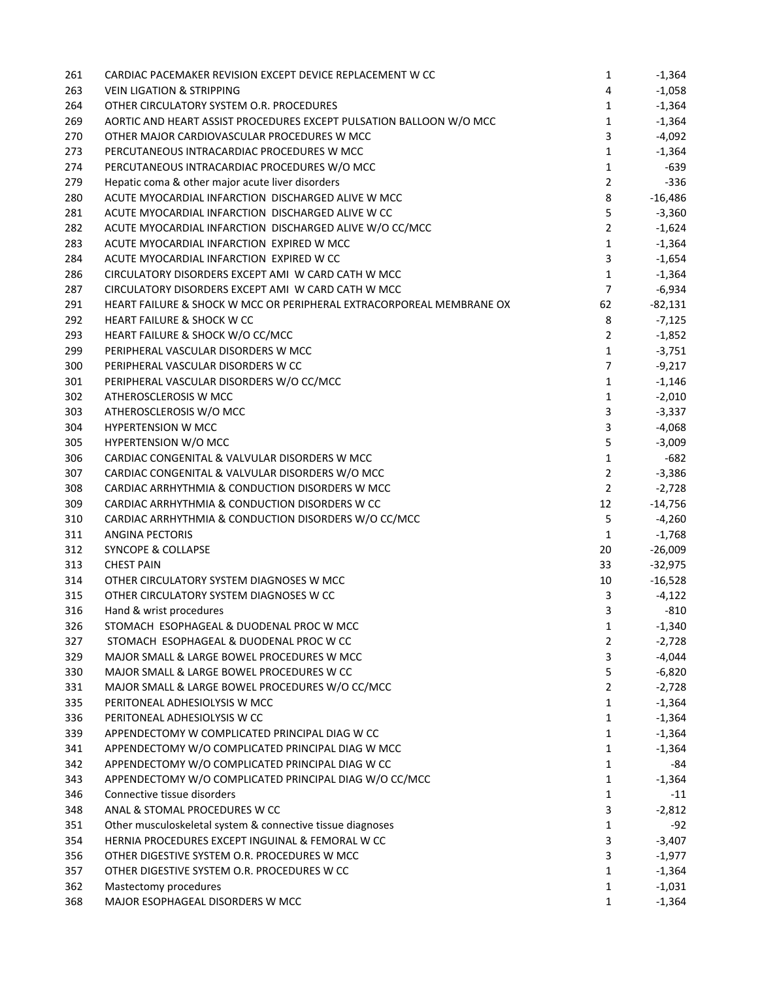| 261 | CARDIAC PACEMAKER REVISION EXCEPT DEVICE REPLACEMENT W CC            | 1              | $-1,364$        |
|-----|----------------------------------------------------------------------|----------------|-----------------|
| 263 | <b>VEIN LIGATION &amp; STRIPPING</b>                                 | 4              | $-1,058$        |
| 264 | OTHER CIRCULATORY SYSTEM O.R. PROCEDURES                             | 1              | $-1,364$        |
| 269 | AORTIC AND HEART ASSIST PROCEDURES EXCEPT PULSATION BALLOON W/O MCC  | $\mathbf{1}$   | $-1,364$        |
| 270 | OTHER MAJOR CARDIOVASCULAR PROCEDURES W MCC                          | 3              | -4,092          |
| 273 | PERCUTANEOUS INTRACARDIAC PROCEDURES W MCC                           | $\mathbf{1}$   | $-1,364$        |
| 274 | PERCUTANEOUS INTRACARDIAC PROCEDURES W/O MCC                         | $\mathbf{1}$   | -639            |
| 279 | Hepatic coma & other major acute liver disorders                     | $\overline{2}$ | $-336$          |
| 280 | ACUTE MYOCARDIAL INFARCTION DISCHARGED ALIVE W MCC                   | 8              | $-16,486$       |
| 281 | ACUTE MYOCARDIAL INFARCTION DISCHARGED ALIVE W CC                    | 5              | $-3,360$        |
| 282 | ACUTE MYOCARDIAL INFARCTION DISCHARGED ALIVE W/O CC/MCC              | $\overline{2}$ | $-1,624$        |
| 283 | ACUTE MYOCARDIAL INFARCTION EXPIRED W MCC                            | $\mathbf{1}$   | $-1,364$        |
| 284 | ACUTE MYOCARDIAL INFARCTION EXPIRED W CC                             | 3              | $-1,654$        |
| 286 | CIRCULATORY DISORDERS EXCEPT AMI W CARD CATH W MCC                   | $\mathbf{1}$   | $-1,364$        |
| 287 | CIRCULATORY DISORDERS EXCEPT AMI W CARD CATH W MCC                   | $\overline{7}$ | $-6,934$        |
| 291 | HEART FAILURE & SHOCK W MCC OR PERIPHERAL EXTRACORPOREAL MEMBRANE OX | 62             | $-82,131$       |
| 292 | <b>HEART FAILURE &amp; SHOCK W CC</b>                                | 8              | $-7,125$        |
| 293 | HEART FAILURE & SHOCK W/O CC/MCC                                     | $\overline{2}$ | $-1,852$        |
| 299 | PERIPHERAL VASCULAR DISORDERS W MCC                                  | $\mathbf{1}$   | $-3,751$        |
| 300 | PERIPHERAL VASCULAR DISORDERS W CC                                   | $\overline{7}$ | $-9,217$        |
| 301 | PERIPHERAL VASCULAR DISORDERS W/O CC/MCC                             | $\mathbf{1}$   | $-1,146$        |
| 302 | ATHEROSCLEROSIS W MCC                                                | $\mathbf{1}$   | $-2,010$        |
| 303 | ATHEROSCLEROSIS W/O MCC                                              | 3              | $-3,337$        |
| 304 | <b>HYPERTENSION W MCC</b>                                            | 3              | -4,068          |
| 305 | <b>HYPERTENSION W/O MCC</b>                                          | 5              | $-3,009$        |
| 306 | CARDIAC CONGENITAL & VALVULAR DISORDERS W MCC                        | $\mathbf{1}$   | $-682$          |
| 307 | CARDIAC CONGENITAL & VALVULAR DISORDERS W/O MCC                      | $\overline{2}$ | $-3,386$        |
| 308 | CARDIAC ARRHYTHMIA & CONDUCTION DISORDERS W MCC                      | $\overline{2}$ | $-2,728$        |
| 309 | CARDIAC ARRHYTHMIA & CONDUCTION DISORDERS W CC                       | 12             | $-14,756$       |
| 310 | CARDIAC ARRHYTHMIA & CONDUCTION DISORDERS W/O CC/MCC                 | 5              | $-4,260$        |
| 311 | ANGINA PECTORIS                                                      | $\mathbf{1}$   | $-1,768$        |
| 312 | <b>SYNCOPE &amp; COLLAPSE</b>                                        | 20             | $-26,009$       |
| 313 | <b>CHEST PAIN</b>                                                    | 33             | $-32,975$       |
| 314 | OTHER CIRCULATORY SYSTEM DIAGNOSES W MCC                             | 10             | $-16,528$       |
| 315 | OTHER CIRCULATORY SYSTEM DIAGNOSES W CC                              | 3              | $-4,122$        |
| 316 | Hand & wrist procedures                                              | 3              | $-810$          |
| 326 | STOMACH ESOPHAGEAL & DUODENAL PROC W MCC                             | 1              | $-1,340$        |
| 327 | STOMACH ESOPHAGEAL & DUODENAL PROC W CC                              | $\overline{2}$ | $-2,728$        |
| 329 | MAJOR SMALL & LARGE BOWEL PROCEDURES W MCC                           | 3              | $-4,044$        |
| 330 | MAJOR SMALL & LARGE BOWEL PROCEDURES W CC                            | 5              | $-6,820$        |
| 331 | MAJOR SMALL & LARGE BOWEL PROCEDURES W/O CC/MCC                      | $\overline{2}$ | $-2,728$        |
| 335 | PERITONEAL ADHESIOLYSIS W MCC                                        | 1              | $-1,364$        |
| 336 | PERITONEAL ADHESIOLYSIS W CC                                         | 1              | $-1,364$        |
| 339 | APPENDECTOMY W COMPLICATED PRINCIPAL DIAG W CC                       | 1              | $-1,364$        |
| 341 | APPENDECTOMY W/O COMPLICATED PRINCIPAL DIAG W MCC                    | 1              |                 |
| 342 | APPENDECTOMY W/O COMPLICATED PRINCIPAL DIAG W CC                     | 1              | $-1,364$<br>-84 |
| 343 | APPENDECTOMY W/O COMPLICATED PRINCIPAL DIAG W/O CC/MCC               | $\mathbf{1}$   |                 |
|     | Connective tissue disorders                                          | $\mathbf{1}$   | $-1,364$        |
| 346 | ANAL & STOMAL PROCEDURES W CC                                        |                | $-11$           |
| 348 |                                                                      | 3              | $-2,812$        |
| 351 | Other musculoskeletal system & connective tissue diagnoses           | 1              | $-92$           |
| 354 | HERNIA PROCEDURES EXCEPT INGUINAL & FEMORAL W CC                     | 3              | $-3,407$        |
| 356 | OTHER DIGESTIVE SYSTEM O.R. PROCEDURES W MCC                         | 3              | $-1,977$        |
| 357 | OTHER DIGESTIVE SYSTEM O.R. PROCEDURES W CC                          | $\mathbf{1}$   | $-1,364$        |
| 362 | Mastectomy procedures                                                | 1              | $-1,031$        |
| 368 | MAJOR ESOPHAGEAL DISORDERS W MCC                                     | 1              | $-1,364$        |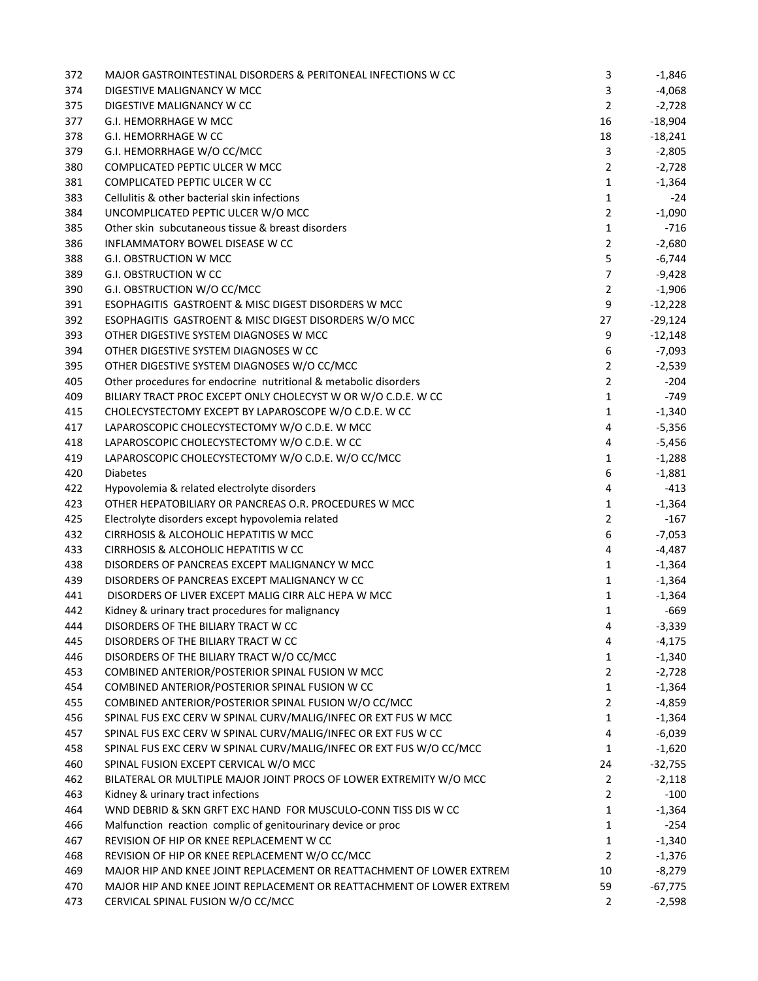| 372 | MAJOR GASTROINTESTINAL DISORDERS & PERITONEAL INFECTIONS W CC        | 3              | $-1,846$  |
|-----|----------------------------------------------------------------------|----------------|-----------|
| 374 | DIGESTIVE MALIGNANCY W MCC                                           | 3              | $-4,068$  |
| 375 | DIGESTIVE MALIGNANCY W CC                                            | 2              | $-2,728$  |
| 377 | <b>G.I. HEMORRHAGE W MCC</b>                                         | 16             | $-18,904$ |
| 378 | G.I. HEMORRHAGE W CC                                                 | 18             | $-18,241$ |
| 379 | G.I. HEMORRHAGE W/O CC/MCC                                           | 3              | $-2,805$  |
| 380 | COMPLICATED PEPTIC ULCER W MCC                                       | $\overline{2}$ | $-2,728$  |
| 381 | COMPLICATED PEPTIC ULCER W CC                                        | 1              | $-1,364$  |
| 383 | Cellulitis & other bacterial skin infections                         | 1              | -24       |
| 384 | UNCOMPLICATED PEPTIC ULCER W/O MCC                                   | $\overline{2}$ | $-1,090$  |
| 385 | Other skin subcutaneous tissue & breast disorders                    | 1              | $-716$    |
| 386 | INFLAMMATORY BOWEL DISEASE W CC                                      | $\overline{2}$ | $-2,680$  |
| 388 | <b>G.I. OBSTRUCTION W MCC</b>                                        | 5              | $-6,744$  |
| 389 | <b>G.I. OBSTRUCTION W CC</b>                                         | $\overline{7}$ | -9,428    |
| 390 | G.I. OBSTRUCTION W/O CC/MCC                                          | $\overline{2}$ | $-1,906$  |
| 391 | ESOPHAGITIS GASTROENT & MISC DIGEST DISORDERS W MCC                  | 9              | $-12,228$ |
| 392 | ESOPHAGITIS GASTROENT & MISC DIGEST DISORDERS W/O MCC                | 27             | $-29,124$ |
| 393 | OTHER DIGESTIVE SYSTEM DIAGNOSES W MCC                               | 9              | $-12,148$ |
| 394 | OTHER DIGESTIVE SYSTEM DIAGNOSES W CC                                | 6              | $-7,093$  |
| 395 | OTHER DIGESTIVE SYSTEM DIAGNOSES W/O CC/MCC                          | $\overline{2}$ | $-2,539$  |
| 405 | Other procedures for endocrine nutritional & metabolic disorders     | $\overline{2}$ | $-204$    |
| 409 | BILIARY TRACT PROC EXCEPT ONLY CHOLECYST W OR W/O C.D.E. W CC        | $\mathbf{1}$   | $-749$    |
| 415 | CHOLECYSTECTOMY EXCEPT BY LAPAROSCOPE W/O C.D.E. W CC                | 1              | $-1,340$  |
|     | LAPAROSCOPIC CHOLECYSTECTOMY W/O C.D.E. W MCC                        | 4              |           |
| 417 |                                                                      |                | $-5,356$  |
| 418 | LAPAROSCOPIC CHOLECYSTECTOMY W/O C.D.E. W CC                         | 4              | -5,456    |
| 419 | LAPAROSCOPIC CHOLECYSTECTOMY W/O C.D.E. W/O CC/MCC                   | 1              | $-1,288$  |
| 420 | <b>Diabetes</b>                                                      | 6              | $-1,881$  |
| 422 | Hypovolemia & related electrolyte disorders                          | 4              | $-413$    |
| 423 | OTHER HEPATOBILIARY OR PANCREAS O.R. PROCEDURES W MCC                | $\mathbf{1}$   | $-1,364$  |
| 425 | Electrolyte disorders except hypovolemia related                     | $\overline{2}$ | $-167$    |
| 432 | CIRRHOSIS & ALCOHOLIC HEPATITIS W MCC                                | 6              | $-7,053$  |
| 433 | CIRRHOSIS & ALCOHOLIC HEPATITIS W CC                                 | 4              | -4,487    |
| 438 | DISORDERS OF PANCREAS EXCEPT MALIGNANCY W MCC                        | 1              | $-1,364$  |
| 439 | DISORDERS OF PANCREAS EXCEPT MALIGNANCY W CC                         | $\mathbf{1}$   | $-1,364$  |
| 441 | DISORDERS OF LIVER EXCEPT MALIG CIRR ALC HEPA W MCC                  | $\mathbf{1}$   | $-1,364$  |
| 442 | Kidney & urinary tract procedures for malignancy                     | $\mathbf{1}$   | -669      |
| 444 | DISORDERS OF THE BILIARY TRACT W CC                                  | 4              | $-3,339$  |
| 445 | DISORDERS OF THE BILIARY TRACT W CC                                  | 4              | -4,175    |
| 446 | DISORDERS OF THE BILIARY TRACT W/O CC/MCC                            | $\mathbf{1}$   | $-1,340$  |
| 453 | COMBINED ANTERIOR/POSTERIOR SPINAL FUSION W MCC                      | $\overline{2}$ | $-2,728$  |
| 454 | COMBINED ANTERIOR/POSTERIOR SPINAL FUSION W CC                       | $\mathbf{1}$   | $-1,364$  |
| 455 | COMBINED ANTERIOR/POSTERIOR SPINAL FUSION W/O CC/MCC                 | $\overline{2}$ | $-4,859$  |
| 456 | SPINAL FUS EXC CERV W SPINAL CURV/MALIG/INFEC OR EXT FUS W MCC       | 1              | $-1,364$  |
| 457 | SPINAL FUS EXC CERV W SPINAL CURV/MALIG/INFEC OR EXT FUS W CC        | 4              | $-6,039$  |
| 458 | SPINAL FUS EXC CERV W SPINAL CURV/MALIG/INFEC OR EXT FUS W/O CC/MCC  | $\mathbf{1}$   | $-1,620$  |
| 460 | SPINAL FUSION EXCEPT CERVICAL W/O MCC                                | 24             | $-32,755$ |
| 462 | BILATERAL OR MULTIPLE MAJOR JOINT PROCS OF LOWER EXTREMITY W/O MCC   | $\overline{2}$ | $-2,118$  |
| 463 | Kidney & urinary tract infections                                    | $\overline{2}$ | $-100$    |
| 464 | WND DEBRID & SKN GRFT EXC HAND FOR MUSCULO-CONN TISS DIS W CC        | $\mathbf{1}$   | $-1,364$  |
| 466 | Malfunction reaction complic of genitourinary device or proc         | $\mathbf{1}$   | $-254$    |
| 467 | REVISION OF HIP OR KNEE REPLACEMENT W CC                             | $\mathbf{1}$   | $-1,340$  |
| 468 | REVISION OF HIP OR KNEE REPLACEMENT W/O CC/MCC                       | $\overline{2}$ | $-1,376$  |
| 469 | MAJOR HIP AND KNEE JOINT REPLACEMENT OR REATTACHMENT OF LOWER EXTREM | 10             | $-8,279$  |
| 470 | MAJOR HIP AND KNEE JOINT REPLACEMENT OR REATTACHMENT OF LOWER EXTREM | 59             | $-67,775$ |
| 473 | CERVICAL SPINAL FUSION W/O CC/MCC                                    | $\overline{2}$ | $-2,598$  |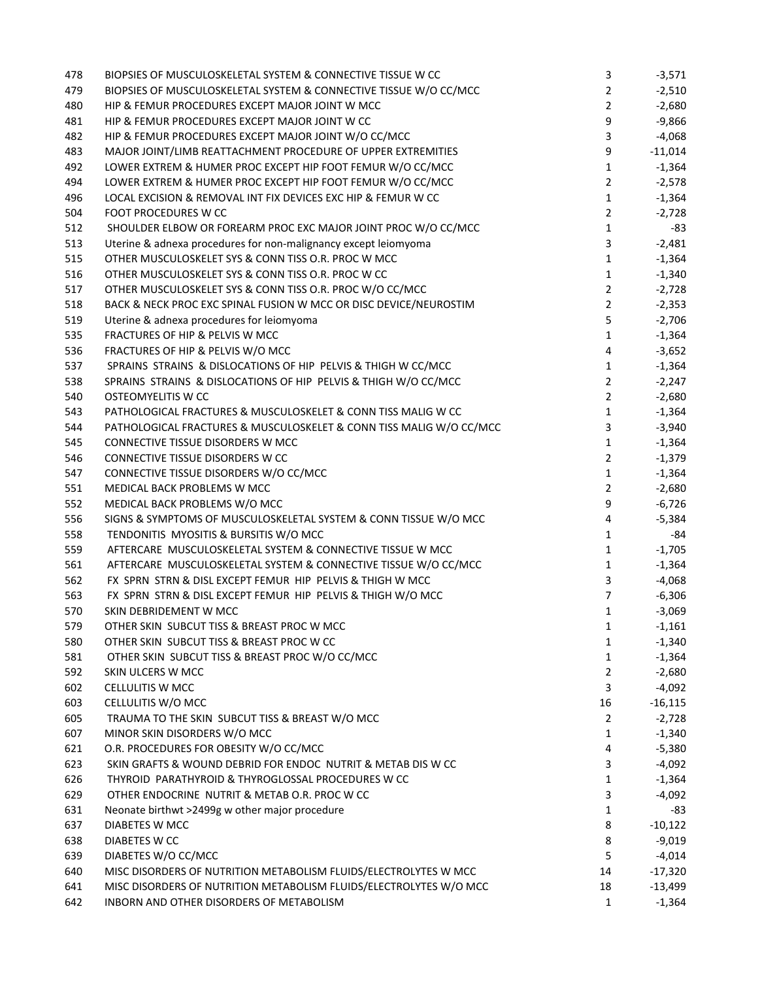| 478 | BIOPSIES OF MUSCULOSKELETAL SYSTEM & CONNECTIVE TISSUE W CC                                                                            | 3              | $-3,571$  |
|-----|----------------------------------------------------------------------------------------------------------------------------------------|----------------|-----------|
| 479 | BIOPSIES OF MUSCULOSKELETAL SYSTEM & CONNECTIVE TISSUE W/O CC/MCC                                                                      | $\overline{2}$ | $-2,510$  |
| 480 | HIP & FEMUR PROCEDURES EXCEPT MAJOR JOINT W MCC                                                                                        | $\overline{2}$ | $-2,680$  |
| 481 | HIP & FEMUR PROCEDURES EXCEPT MAJOR JOINT W CC                                                                                         | 9              | $-9,866$  |
| 482 | HIP & FEMUR PROCEDURES EXCEPT MAJOR JOINT W/O CC/MCC                                                                                   | 3              | $-4,068$  |
| 483 | MAJOR JOINT/LIMB REATTACHMENT PROCEDURE OF UPPER EXTREMITIES                                                                           | 9              | $-11,014$ |
| 492 | LOWER EXTREM & HUMER PROC EXCEPT HIP FOOT FEMUR W/O CC/MCC                                                                             | $\mathbf{1}$   | $-1,364$  |
| 494 | LOWER EXTREM & HUMER PROC EXCEPT HIP FOOT FEMUR W/O CC/MCC                                                                             | $\overline{2}$ | $-2,578$  |
| 496 | LOCAL EXCISION & REMOVAL INT FIX DEVICES EXC HIP & FEMUR W CC                                                                          | $\mathbf{1}$   | $-1,364$  |
| 504 | FOOT PROCEDURES W CC                                                                                                                   | $\overline{2}$ | $-2,728$  |
| 512 | SHOULDER ELBOW OR FOREARM PROC EXC MAJOR JOINT PROC W/O CC/MCC                                                                         | $\mathbf{1}$   | -83       |
| 513 | Uterine & adnexa procedures for non-malignancy except leiomyoma                                                                        | 3              | $-2,481$  |
| 515 | OTHER MUSCULOSKELET SYS & CONN TISS O.R. PROC W MCC                                                                                    | $\mathbf{1}$   | $-1,364$  |
| 516 | OTHER MUSCULOSKELET SYS & CONN TISS O.R. PROC W CC                                                                                     | $\mathbf{1}$   | $-1,340$  |
| 517 | OTHER MUSCULOSKELET SYS & CONN TISS O.R. PROC W/O CC/MCC                                                                               | $\overline{2}$ | $-2,728$  |
| 518 | BACK & NECK PROC EXC SPINAL FUSION W MCC OR DISC DEVICE/NEUROSTIM                                                                      | $\overline{2}$ | $-2,353$  |
| 519 | Uterine & adnexa procedures for leiomyoma                                                                                              | 5              | $-2,706$  |
| 535 | FRACTURES OF HIP & PELVIS W MCC                                                                                                        | $\mathbf{1}$   | $-1,364$  |
| 536 | FRACTURES OF HIP & PELVIS W/O MCC                                                                                                      | 4              | $-3,652$  |
| 537 | SPRAINS STRAINS & DISLOCATIONS OF HIP PELVIS & THIGH W CC/MCC                                                                          | $\mathbf{1}$   | $-1,364$  |
| 538 | SPRAINS STRAINS & DISLOCATIONS OF HIP PELVIS & THIGH W/O CC/MCC                                                                        | $\overline{2}$ | $-2,247$  |
| 540 | OSTEOMYELITIS W CC                                                                                                                     | $\overline{2}$ | $-2,680$  |
| 543 | PATHOLOGICAL FRACTURES & MUSCULOSKELET & CONN TISS MALIG W CC                                                                          | $\mathbf{1}$   | $-1,364$  |
| 544 | PATHOLOGICAL FRACTURES & MUSCULOSKELET & CONN TISS MALIG W/O CC/MCC                                                                    | 3              | $-3,940$  |
| 545 | CONNECTIVE TISSUE DISORDERS W MCC                                                                                                      | $\mathbf{1}$   | $-1,364$  |
| 546 | CONNECTIVE TISSUE DISORDERS W CC                                                                                                       | $\overline{2}$ | $-1,379$  |
| 547 | CONNECTIVE TISSUE DISORDERS W/O CC/MCC                                                                                                 | $\mathbf{1}$   | $-1,364$  |
| 551 | MEDICAL BACK PROBLEMS W MCC                                                                                                            | $\overline{2}$ | $-2,680$  |
| 552 | MEDICAL BACK PROBLEMS W/O MCC                                                                                                          | 9              | $-6,726$  |
| 556 | SIGNS & SYMPTOMS OF MUSCULOSKELETAL SYSTEM & CONN TISSUE W/O MCC                                                                       | $\overline{4}$ | $-5,384$  |
| 558 | TENDONITIS MYOSITIS & BURSITIS W/O MCC                                                                                                 | $\mathbf{1}$   | -84       |
| 559 | AFTERCARE MUSCULOSKELETAL SYSTEM & CONNECTIVE TISSUE W MCC                                                                             | $\mathbf{1}$   | $-1,705$  |
| 561 | AFTERCARE MUSCULOSKELETAL SYSTEM & CONNECTIVE TISSUE W/O CC/MCC                                                                        | $\mathbf{1}$   | $-1,364$  |
| 562 | FX SPRN STRN & DISL EXCEPT FEMUR HIP PELVIS & THIGH W MCC                                                                              | 3              | $-4,068$  |
| 563 | FX SPRN STRN & DISL EXCEPT FEMUR HIP PELVIS & THIGH W/O MCC                                                                            | $\overline{7}$ | $-6,306$  |
| 570 | SKIN DEBRIDEMENT W MCC                                                                                                                 | $\mathbf{1}$   | $-3,069$  |
| 579 | OTHER SKIN SUBCUT TISS & BREAST PROC W MCC                                                                                             | 1              | -1,161    |
| 580 | OTHER SKIN SUBCUT TISS & BREAST PROC W CC                                                                                              | 1              | $-1,340$  |
| 581 | OTHER SKIN SUBCUT TISS & BREAST PROC W/O CC/MCC                                                                                        | $\mathbf{1}$   | $-1,364$  |
| 592 | SKIN ULCERS W MCC                                                                                                                      | $\mathbf{2}$   | $-2,680$  |
| 602 | <b>CELLULITIS W MCC</b>                                                                                                                | 3              | $-4,092$  |
| 603 | CELLULITIS W/O MCC                                                                                                                     | 16             | $-16,115$ |
| 605 | TRAUMA TO THE SKIN SUBCUT TISS & BREAST W/O MCC                                                                                        | $\overline{2}$ | $-2,728$  |
| 607 | MINOR SKIN DISORDERS W/O MCC                                                                                                           | 1              | $-1,340$  |
| 621 | O.R. PROCEDURES FOR OBESITY W/O CC/MCC                                                                                                 | 4              | $-5,380$  |
| 623 | SKIN GRAFTS & WOUND DEBRID FOR ENDOC NUTRIT & METAB DIS W CC                                                                           | 3              | $-4,092$  |
| 626 | THYROID PARATHYROID & THYROGLOSSAL PROCEDURES W CC                                                                                     | 1              | $-1,364$  |
| 629 | OTHER ENDOCRINE NUTRIT & METAB O.R. PROC W CC                                                                                          | 3              | $-4,092$  |
| 631 | Neonate birthwt >2499g w other major procedure                                                                                         | $\mathbf{1}$   | -83       |
| 637 | DIABETES W MCC                                                                                                                         | 8              | $-10,122$ |
| 638 | DIABETES W CC                                                                                                                          | 8              | $-9,019$  |
| 639 | DIABETES W/O CC/MCC                                                                                                                    | 5              | $-4,014$  |
| 640 |                                                                                                                                        | 14             | $-17,320$ |
| 641 | MISC DISORDERS OF NUTRITION METABOLISM FLUIDS/ELECTROLYTES W MCC<br>MISC DISORDERS OF NUTRITION METABOLISM FLUIDS/ELECTROLYTES W/O MCC | 18             | $-13,499$ |
| 642 | INBORN AND OTHER DISORDERS OF METABOLISM                                                                                               | $\mathbf{1}$   | $-1,364$  |
|     |                                                                                                                                        |                |           |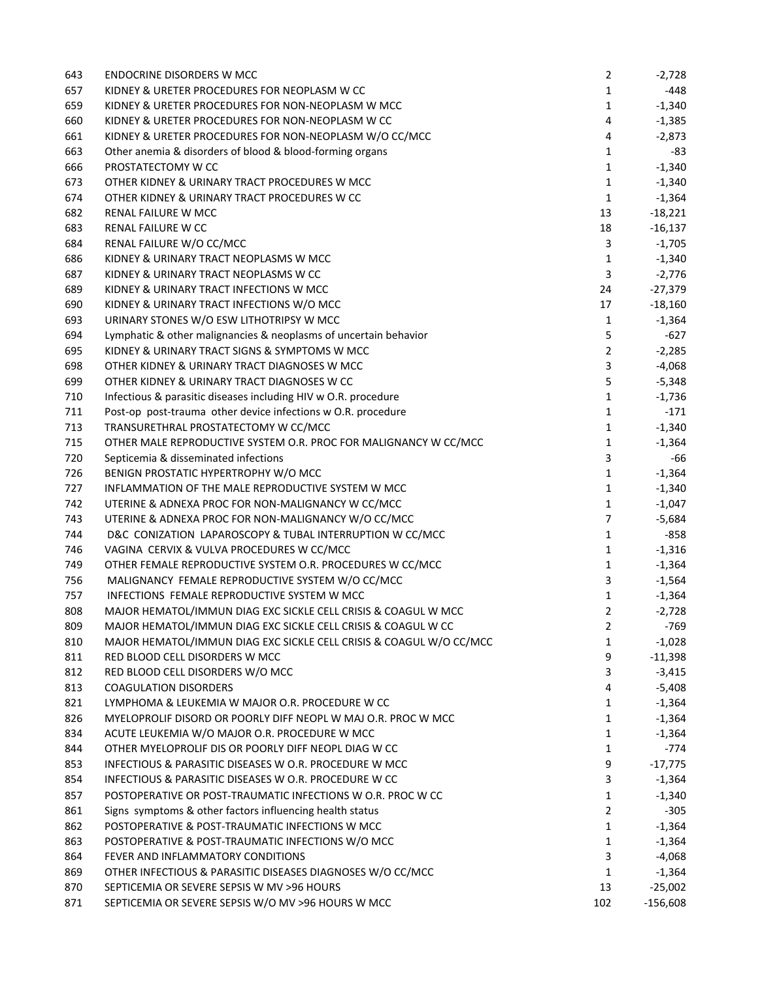| 643 | <b>ENDOCRINE DISORDERS W MCC</b>                                    | $\overline{2}$ | $-2,728$   |
|-----|---------------------------------------------------------------------|----------------|------------|
| 657 | KIDNEY & URETER PROCEDURES FOR NEOPLASM W CC                        | $\mathbf{1}$   | -448       |
| 659 | KIDNEY & URETER PROCEDURES FOR NON-NEOPLASM W MCC                   | $\mathbf{1}$   | $-1,340$   |
| 660 | KIDNEY & URETER PROCEDURES FOR NON-NEOPLASM W CC                    | 4              | $-1,385$   |
| 661 | KIDNEY & URETER PROCEDURES FOR NON-NEOPLASM W/O CC/MCC              | 4              | $-2,873$   |
| 663 | Other anemia & disorders of blood & blood-forming organs            | 1              | -83        |
| 666 | PROSTATECTOMY W CC                                                  | $\mathbf{1}$   | $-1,340$   |
| 673 | OTHER KIDNEY & URINARY TRACT PROCEDURES W MCC                       | $\mathbf{1}$   | $-1,340$   |
| 674 | OTHER KIDNEY & URINARY TRACT PROCEDURES W CC                        | $\mathbf{1}$   | $-1,364$   |
| 682 | RENAL FAILURE W MCC                                                 | 13             | $-18,221$  |
| 683 | <b>RENAL FAILURE W CC</b>                                           | 18             | $-16,137$  |
| 684 | RENAL FAILURE W/O CC/MCC                                            | 3              | $-1,705$   |
| 686 | KIDNEY & URINARY TRACT NEOPLASMS W MCC                              | $\mathbf{1}$   | $-1,340$   |
| 687 | KIDNEY & URINARY TRACT NEOPLASMS W CC                               | 3              | $-2,776$   |
| 689 | KIDNEY & URINARY TRACT INFECTIONS W MCC                             | 24             | $-27,379$  |
| 690 | KIDNEY & URINARY TRACT INFECTIONS W/O MCC                           | 17             | $-18,160$  |
| 693 | URINARY STONES W/O ESW LITHOTRIPSY W MCC                            | $\mathbf{1}$   | $-1,364$   |
| 694 | Lymphatic & other malignancies & neoplasms of uncertain behavior    | 5              | $-627$     |
| 695 | KIDNEY & URINARY TRACT SIGNS & SYMPTOMS W MCC                       | $\overline{2}$ | $-2,285$   |
| 698 | OTHER KIDNEY & URINARY TRACT DIAGNOSES W MCC                        | 3              | $-4,068$   |
| 699 | OTHER KIDNEY & URINARY TRACT DIAGNOSES W CC                         | 5              | $-5,348$   |
| 710 | Infectious & parasitic diseases including HIV w O.R. procedure      | $\mathbf{1}$   | $-1,736$   |
| 711 | Post-op post-trauma other device infections w O.R. procedure        | $\mathbf{1}$   | $-171$     |
| 713 | TRANSURETHRAL PROSTATECTOMY W CC/MCC                                | $\mathbf{1}$   | $-1,340$   |
| 715 | OTHER MALE REPRODUCTIVE SYSTEM O.R. PROC FOR MALIGNANCY W CC/MCC    | 1              | $-1,364$   |
| 720 | Septicemia & disseminated infections                                | 3              | -66        |
| 726 | BENIGN PROSTATIC HYPERTROPHY W/O MCC                                | $\mathbf{1}$   | $-1,364$   |
| 727 | INFLAMMATION OF THE MALE REPRODUCTIVE SYSTEM W MCC                  | $\mathbf{1}$   | $-1,340$   |
| 742 | UTERINE & ADNEXA PROC FOR NON-MALIGNANCY W CC/MCC                   | $\mathbf{1}$   | $-1,047$   |
| 743 | UTERINE & ADNEXA PROC FOR NON-MALIGNANCY W/O CC/MCC                 | $\overline{7}$ | $-5,684$   |
| 744 | D&C CONIZATION LAPAROSCOPY & TUBAL INTERRUPTION W CC/MCC            | $\mathbf{1}$   | $-858$     |
| 746 | VAGINA CERVIX & VULVA PROCEDURES W CC/MCC                           | $\mathbf{1}$   | $-1,316$   |
| 749 | OTHER FEMALE REPRODUCTIVE SYSTEM O.R. PROCEDURES W CC/MCC           | $\mathbf{1}$   | $-1,364$   |
| 756 | MALIGNANCY FEMALE REPRODUCTIVE SYSTEM W/O CC/MCC                    | 3              | $-1,564$   |
| 757 | INFECTIONS FEMALE REPRODUCTIVE SYSTEM W MCC                         | $\mathbf{1}$   | $-1,364$   |
| 808 | MAJOR HEMATOL/IMMUN DIAG EXC SICKLE CELL CRISIS & COAGUL W MCC      | $\overline{2}$ | $-2,728$   |
| 809 | MAJOR HEMATOL/IMMUN DIAG EXC SICKLE CELL CRISIS & COAGUL W CC       | 2              | $-769$     |
| 810 | MAJOR HEMATOL/IMMUN DIAG EXC SICKLE CELL CRISIS & COAGUL W/O CC/MCC | 1              | $-1,028$   |
| 811 | RED BLOOD CELL DISORDERS W MCC                                      | 9              | $-11,398$  |
| 812 | RED BLOOD CELL DISORDERS W/O MCC                                    | 3              | $-3,415$   |
| 813 | <b>COAGULATION DISORDERS</b>                                        | 4              | $-5,408$   |
| 821 | LYMPHOMA & LEUKEMIA W MAJOR O.R. PROCEDURE W CC                     | 1              | $-1,364$   |
| 826 | MYELOPROLIF DISORD OR POORLY DIFF NEOPL W MAJ O.R. PROC W MCC       | 1              | $-1,364$   |
| 834 | ACUTE LEUKEMIA W/O MAJOR O.R. PROCEDURE W MCC                       | $\mathbf{1}$   | $-1,364$   |
| 844 | OTHER MYELOPROLIF DIS OR POORLY DIFF NEOPL DIAG W CC                | $\mathbf{1}$   | $-774$     |
| 853 | INFECTIOUS & PARASITIC DISEASES W O.R. PROCEDURE W MCC              | 9              | $-17,775$  |
| 854 | INFECTIOUS & PARASITIC DISEASES W O.R. PROCEDURE W CC               | 3              | $-1,364$   |
| 857 | POSTOPERATIVE OR POST-TRAUMATIC INFECTIONS W O.R. PROC W CC         | $\mathbf{1}$   | $-1,340$   |
| 861 | Signs symptoms & other factors influencing health status            | $\overline{2}$ | $-305$     |
| 862 | POSTOPERATIVE & POST-TRAUMATIC INFECTIONS W MCC                     | $\mathbf{1}$   | $-1,364$   |
| 863 | POSTOPERATIVE & POST-TRAUMATIC INFECTIONS W/O MCC                   | $\mathbf{1}$   | $-1,364$   |
| 864 | FEVER AND INFLAMMATORY CONDITIONS                                   | 3              | $-4,068$   |
| 869 | OTHER INFECTIOUS & PARASITIC DISEASES DIAGNOSES W/O CC/MCC          | 1              | $-1,364$   |
| 870 | SEPTICEMIA OR SEVERE SEPSIS W MV >96 HOURS                          | 13             | $-25,002$  |
| 871 | SEPTICEMIA OR SEVERE SEPSIS W/O MV >96 HOURS W MCC                  | 102            | $-156,608$ |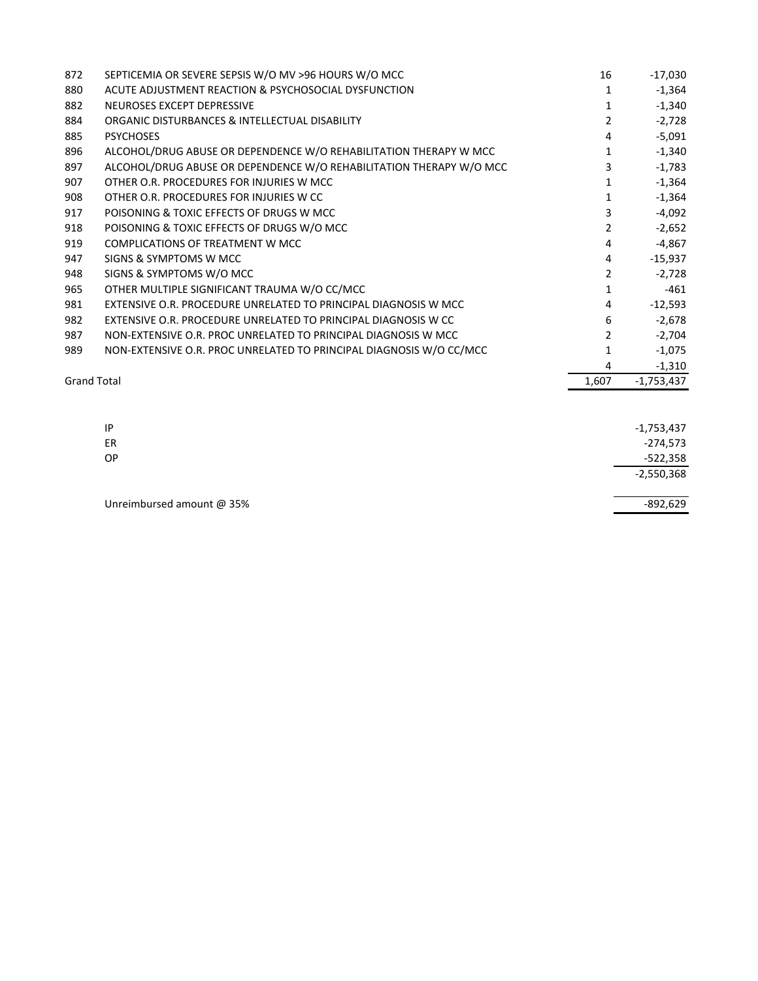| 872                | SEPTICEMIA OR SEVERE SEPSIS W/O MV >96 HOURS W/O MCC                | 16    | $-17,030$    |
|--------------------|---------------------------------------------------------------------|-------|--------------|
| 880                | ACUTE ADJUSTMENT REACTION & PSYCHOSOCIAL DYSFUNCTION                | 1     | $-1,364$     |
| 882                | NEUROSES EXCEPT DEPRESSIVE                                          | 1     | $-1,340$     |
| 884                | ORGANIC DISTURBANCES & INTELLECTUAL DISABILITY                      | 2     | $-2,728$     |
| 885                | <b>PSYCHOSES</b>                                                    | 4     | $-5,091$     |
| 896                | ALCOHOL/DRUG ABUSE OR DEPENDENCE W/O REHABILITATION THERAPY W MCC   | 1     | $-1,340$     |
| 897                | ALCOHOL/DRUG ABUSE OR DEPENDENCE W/O REHABILITATION THERAPY W/O MCC | 3     | $-1,783$     |
| 907                | OTHER O.R. PROCEDURES FOR INJURIES W MCC                            |       | $-1,364$     |
| 908                | OTHER O.R. PROCEDURES FOR INJURIES W CC                             | 1     | $-1,364$     |
| 917                | POISONING & TOXIC EFFECTS OF DRUGS W MCC                            | 3     | $-4,092$     |
| 918                | POISONING & TOXIC EFFECTS OF DRUGS W/O MCC                          | 2     | $-2,652$     |
| 919                | <b>COMPLICATIONS OF TREATMENT W MCC</b>                             | 4     | $-4,867$     |
| 947                | SIGNS & SYMPTOMS W MCC                                              | 4     | $-15,937$    |
| 948                | SIGNS & SYMPTOMS W/O MCC                                            | 2     | $-2,728$     |
| 965                | OTHER MULTIPLE SIGNIFICANT TRAUMA W/O CC/MCC                        | 1     | $-461$       |
| 981                | EXTENSIVE O.R. PROCEDURE UNRELATED TO PRINCIPAL DIAGNOSIS W MCC     | 4     | $-12,593$    |
| 982                | EXTENSIVE O.R. PROCEDURE UNRELATED TO PRINCIPAL DIAGNOSIS W CC      | 6     | $-2,678$     |
| 987                | NON-EXTENSIVE O.R. PROC UNRELATED TO PRINCIPAL DIAGNOSIS W MCC      | 2     | $-2,704$     |
| 989                | NON-EXTENSIVE O.R. PROC UNRELATED TO PRINCIPAL DIAGNOSIS W/O CC/MCC | 1     | $-1,075$     |
|                    |                                                                     | 4     | $-1,310$     |
| <b>Grand Total</b> |                                                                     | 1,607 | $-1,753,437$ |

| IP                        | $-1,753,437$ |
|---------------------------|--------------|
| ER                        | $-274,573$   |
| <b>OP</b>                 | $-522,358$   |
|                           | $-2,550,368$ |
|                           |              |
| Unreimbursed amount @ 35% | $-892,629$   |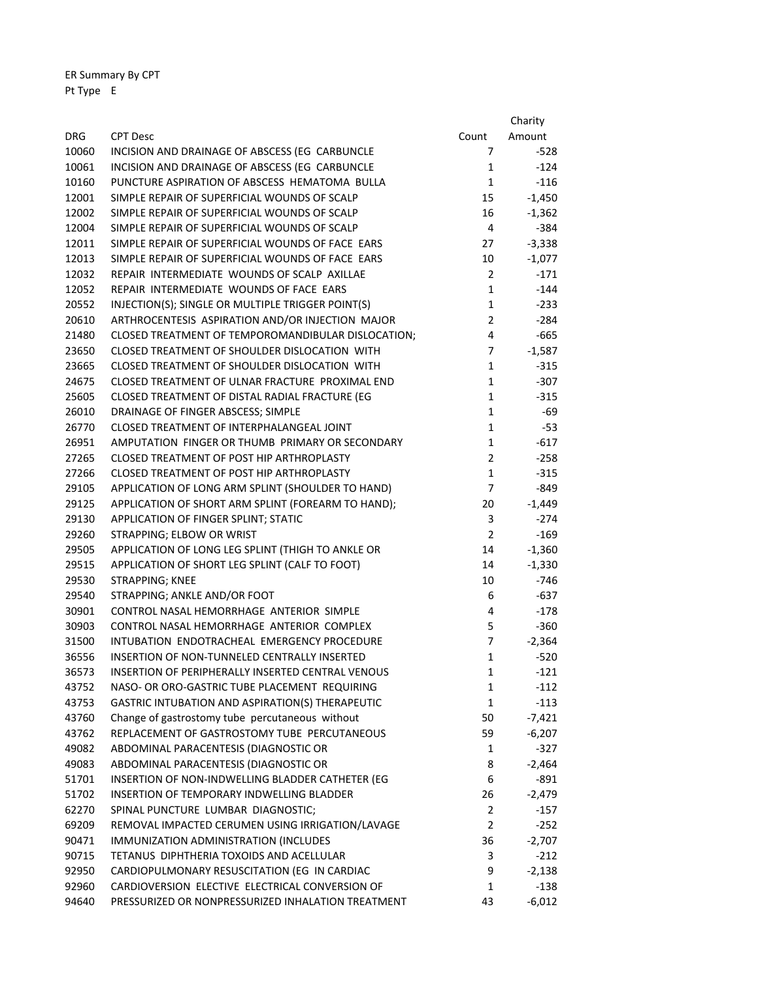ER Summary By CPT Pt Type E

|            |                                                     |                | Charity  |
|------------|-----------------------------------------------------|----------------|----------|
| <b>DRG</b> | <b>CPT Desc</b>                                     | Count          | Amount   |
| 10060      | INCISION AND DRAINAGE OF ABSCESS (EG CARBUNCLE      | 7              | $-528$   |
| 10061      | INCISION AND DRAINAGE OF ABSCESS (EG CARBUNCLE      | 1              | $-124$   |
| 10160      | PUNCTURE ASPIRATION OF ABSCESS HEMATOMA BULLA       | $\mathbf{1}$   | $-116$   |
| 12001      | SIMPLE REPAIR OF SUPERFICIAL WOUNDS OF SCALP        | 15             | $-1,450$ |
| 12002      | SIMPLE REPAIR OF SUPERFICIAL WOUNDS OF SCALP        | 16             | $-1,362$ |
| 12004      | SIMPLE REPAIR OF SUPERFICIAL WOUNDS OF SCALP        | 4              | $-384$   |
| 12011      | SIMPLE REPAIR OF SUPERFICIAL WOUNDS OF FACE EARS    | 27             | $-3,338$ |
| 12013      | SIMPLE REPAIR OF SUPERFICIAL WOUNDS OF FACE EARS    | 10             | $-1,077$ |
| 12032      | REPAIR INTERMEDIATE WOUNDS OF SCALP AXILLAE         | $\overline{2}$ | $-171$   |
| 12052      | REPAIR INTERMEDIATE WOUNDS OF FACE EARS             | $\mathbf{1}$   | $-144$   |
| 20552      | INJECTION(S); SINGLE OR MULTIPLE TRIGGER POINT(S)   | $\mathbf{1}$   | $-233$   |
| 20610      | ARTHROCENTESIS ASPIRATION AND/OR INJECTION MAJOR    | $\overline{2}$ | $-284$   |
| 21480      | CLOSED TREATMENT OF TEMPOROMANDIBULAR DISLOCATION;  | 4              | $-665$   |
| 23650      | CLOSED TREATMENT OF SHOULDER DISLOCATION WITH       | 7              | $-1,587$ |
| 23665      | CLOSED TREATMENT OF SHOULDER DISLOCATION WITH       | $\mathbf{1}$   | $-315$   |
| 24675      | CLOSED TREATMENT OF ULNAR FRACTURE PROXIMAL END     | $\mathbf{1}$   | $-307$   |
| 25605      | CLOSED TREATMENT OF DISTAL RADIAL FRACTURE (EG      | $\mathbf{1}$   | $-315$   |
| 26010      | DRAINAGE OF FINGER ABSCESS; SIMPLE                  | $\mathbf{1}$   | $-69$    |
| 26770      | CLOSED TREATMENT OF INTERPHALANGEAL JOINT           | $\mathbf{1}$   | $-53$    |
| 26951      | AMPUTATION FINGER OR THUMB PRIMARY OR SECONDARY     | $\mathbf{1}$   | $-617$   |
| 27265      | CLOSED TREATMENT OF POST HIP ARTHROPLASTY           | $\overline{2}$ | $-258$   |
| 27266      | CLOSED TREATMENT OF POST HIP ARTHROPLASTY           | $\mathbf{1}$   | $-315$   |
| 29105      | APPLICATION OF LONG ARM SPLINT (SHOULDER TO HAND)   | 7              | $-849$   |
| 29125      | APPLICATION OF SHORT ARM SPLINT (FOREARM TO HAND);  | 20             | $-1,449$ |
| 29130      | APPLICATION OF FINGER SPLINT; STATIC                | 3              | $-274$   |
| 29260      | STRAPPING; ELBOW OR WRIST                           | $\overline{2}$ | $-169$   |
| 29505      | APPLICATION OF LONG LEG SPLINT (THIGH TO ANKLE OR   | 14             | $-1,360$ |
| 29515      | APPLICATION OF SHORT LEG SPLINT (CALF TO FOOT)      | 14             | $-1,330$ |
| 29530      | STRAPPING; KNEE                                     | 10             | $-746$   |
| 29540      | STRAPPING; ANKLE AND/OR FOOT                        | 6              | $-637$   |
| 30901      | CONTROL NASAL HEMORRHAGE ANTERIOR SIMPLE            | 4              | $-178$   |
| 30903      | CONTROL NASAL HEMORRHAGE ANTERIOR COMPLEX           | 5.             | $-360$   |
| 31500      | INTUBATION ENDOTRACHEAL EMERGENCY PROCEDURE         | $\overline{7}$ | $-2,364$ |
| 36556      | <b>INSERTION OF NON-TUNNELED CENTRALLY INSERTED</b> | 1              | $-520$   |
| 36573      | INSERTION OF PERIPHERALLY INSERTED CENTRAL VENOUS   | 1              | $-121$   |
| 43752      | NASO- OR ORO-GASTRIC TUBE PLACEMENT REQUIRING       | 1              | $-112$   |
| 43753      | GASTRIC INTUBATION AND ASPIRATION(S) THERAPEUTIC    | 1              | $-113$   |
| 43760      | Change of gastrostomy tube percutaneous without     | 50             | $-7,421$ |
| 43762      | REPLACEMENT OF GASTROSTOMY TUBE PERCUTANEOUS        | 59             | $-6,207$ |
| 49082      | ABDOMINAL PARACENTESIS (DIAGNOSTIC OR               | 1              | $-327$   |
| 49083      | ABDOMINAL PARACENTESIS (DIAGNOSTIC OR               | 8              | $-2,464$ |
| 51701      | INSERTION OF NON-INDWELLING BLADDER CATHETER (EG    | 6              | $-891$   |
| 51702      | INSERTION OF TEMPORARY INDWELLING BLADDER           | 26             | -2,479   |
| 62270      | SPINAL PUNCTURE LUMBAR DIAGNOSTIC;                  | $\overline{2}$ | $-157$   |
| 69209      | REMOVAL IMPACTED CERUMEN USING IRRIGATION/LAVAGE    | $\overline{2}$ | $-252$   |
| 90471      | IMMUNIZATION ADMINISTRATION (INCLUDES               | 36             | $-2,707$ |
| 90715      | TETANUS DIPHTHERIA TOXOIDS AND ACELLULAR            | 3              | $-212$   |
| 92950      | CARDIOPULMONARY RESUSCITATION (EG IN CARDIAC        | 9              | $-2,138$ |
| 92960      | CARDIOVERSION ELECTIVE ELECTRICAL CONVERSION OF     | 1              | $-138$   |
| 94640      | PRESSURIZED OR NONPRESSURIZED INHALATION TREATMENT  | 43             | $-6,012$ |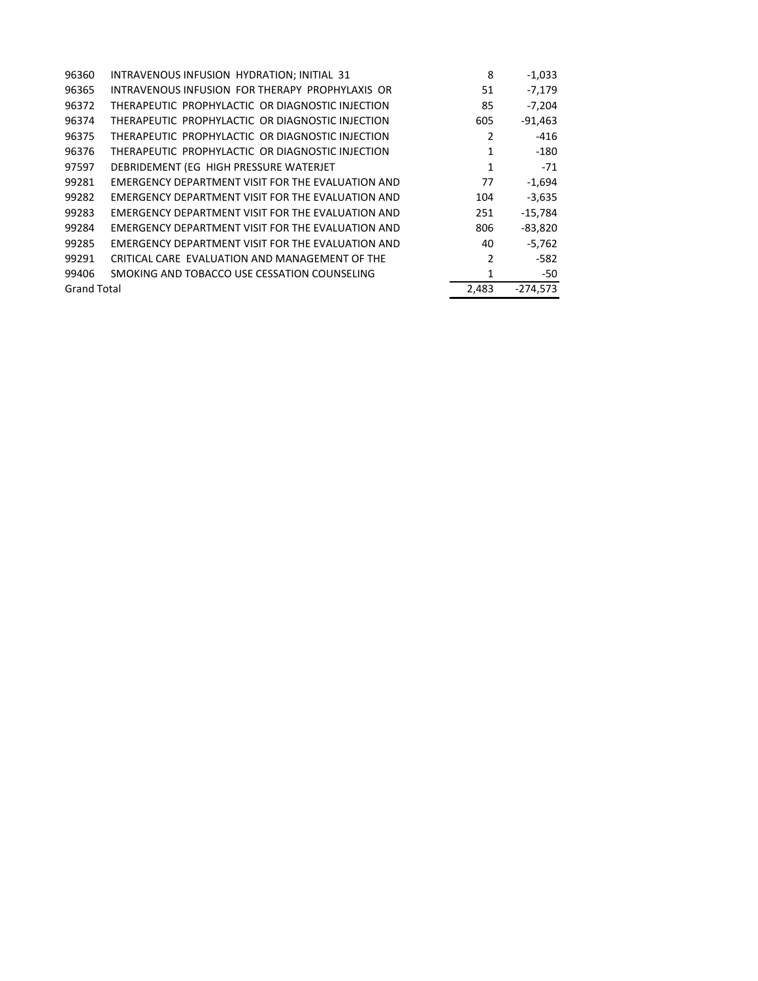| 96360              | INTRAVENOUS INFUSION HYDRATION; INITIAL 31        | 8     | $-1,033$   |
|--------------------|---------------------------------------------------|-------|------------|
| 96365              | INTRAVENOUS INFUSION FOR THERAPY PROPHYLAXIS OR   | 51    | $-7,179$   |
| 96372              | THERAPEUTIC PROPHYLACTIC OR DIAGNOSTIC INJECTION  | 85    | $-7,204$   |
| 96374              | THERAPEUTIC PROPHYLACTIC OR DIAGNOSTIC INJECTION  | 605   | $-91,463$  |
| 96375              | THERAPEUTIC PROPHYLACTIC OR DIAGNOSTIC INJECTION  | 2     | -416       |
| 96376              | THERAPEUTIC PROPHYLACTIC OR DIAGNOSTIC INJECTION  | 1     | -180       |
| 97597              | DEBRIDEMENT (EG HIGH PRESSURE WATERJET            | 1     | $-71$      |
| 99281              | EMERGENCY DEPARTMENT VISIT FOR THE EVALUATION AND | 77    | $-1,694$   |
| 99282              | EMERGENCY DEPARTMENT VISIT FOR THE EVALUATION AND | 104   | $-3,635$   |
| 99283              | EMERGENCY DEPARTMENT VISIT FOR THE EVALUATION AND | 251   | $-15,784$  |
| 99284              | EMERGENCY DEPARTMENT VISIT FOR THE EVALUATION AND | 806   | $-83,820$  |
| 99285              | EMERGENCY DEPARTMENT VISIT FOR THE EVALUATION AND | 40    | $-5.762$   |
| 99291              | CRITICAL CARE EVALUATION AND MANAGEMENT OF THE    | 2     | -582       |
| 99406              | SMOKING AND TOBACCO USE CESSATION COUNSELING      | 1     | -50        |
| <b>Grand Total</b> |                                                   | 2,483 | $-274,573$ |
|                    |                                                   |       |            |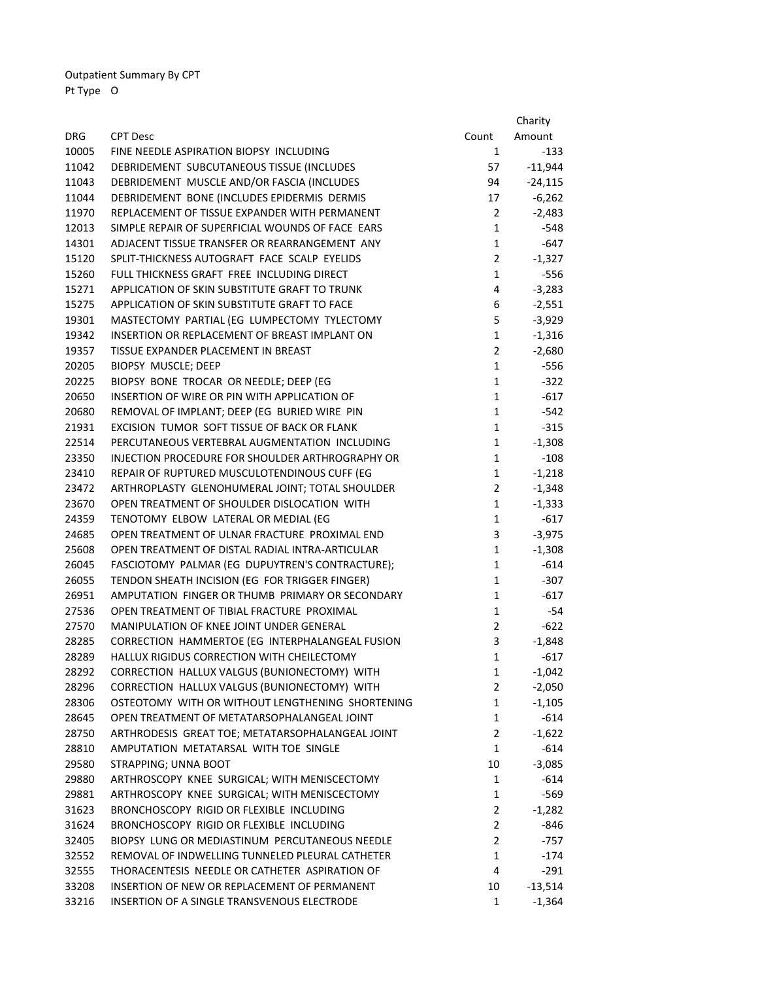Outpatient Summary By CPT Pt Type O

|            |                                                  |                | Charity   |
|------------|--------------------------------------------------|----------------|-----------|
| <b>DRG</b> | <b>CPT Desc</b>                                  | Count          | Amount    |
| 10005      | FINE NEEDLE ASPIRATION BIOPSY INCLUDING          | $\mathbf{1}$   | $-133$    |
| 11042      | DEBRIDEMENT SUBCUTANEOUS TISSUE (INCLUDES        | 57             | $-11,944$ |
| 11043      | DEBRIDEMENT MUSCLE AND/OR FASCIA (INCLUDES       | 94             | $-24,115$ |
| 11044      | DEBRIDEMENT BONE (INCLUDES EPIDERMIS DERMIS      | 17             | $-6,262$  |
| 11970      | REPLACEMENT OF TISSUE EXPANDER WITH PERMANENT    | $\overline{2}$ | $-2,483$  |
| 12013      | SIMPLE REPAIR OF SUPERFICIAL WOUNDS OF FACE EARS | $\mathbf{1}$   | $-548$    |
| 14301      | ADJACENT TISSUE TRANSFER OR REARRANGEMENT ANY    | $\mathbf{1}$   | $-647$    |
| 15120      | SPLIT-THICKNESS AUTOGRAFT FACE SCALP EYELIDS     | $\overline{2}$ | $-1,327$  |
| 15260      | FULL THICKNESS GRAFT FREE INCLUDING DIRECT       | $\mathbf{1}$   | $-556$    |
| 15271      | APPLICATION OF SKIN SUBSTITUTE GRAFT TO TRUNK    | 4              | $-3,283$  |
| 15275      | APPLICATION OF SKIN SUBSTITUTE GRAFT TO FACE     | 6              | $-2,551$  |
| 19301      | MASTECTOMY PARTIAL (EG LUMPECTOMY TYLECTOMY      | 5              | $-3,929$  |
| 19342      | INSERTION OR REPLACEMENT OF BREAST IMPLANT ON    | $\mathbf{1}$   | $-1,316$  |
| 19357      | TISSUE EXPANDER PLACEMENT IN BREAST              | $\overline{2}$ | $-2,680$  |
| 20205      | BIOPSY MUSCLE; DEEP                              | $\mathbf{1}$   | $-556$    |
| 20225      | BIOPSY BONE TROCAR OR NEEDLE; DEEP (EG           | $\mathbf{1}$   | $-322$    |
| 20650      | INSERTION OF WIRE OR PIN WITH APPLICATION OF     | $\mathbf{1}$   | $-617$    |
| 20680      | REMOVAL OF IMPLANT; DEEP (EG BURIED WIRE PIN     | $\mathbf{1}$   | $-542$    |
| 21931      | EXCISION TUMOR SOFT TISSUE OF BACK OR FLANK      | $\mathbf{1}$   | $-315$    |
| 22514      | PERCUTANEOUS VERTEBRAL AUGMENTATION INCLUDING    | $\mathbf{1}$   | $-1,308$  |
| 23350      | INJECTION PROCEDURE FOR SHOULDER ARTHROGRAPHY OR | $\mathbf{1}$   | $-108$    |
| 23410      | REPAIR OF RUPTURED MUSCULOTENDINOUS CUFF (EG     | $\mathbf{1}$   | $-1,218$  |
| 23472      | ARTHROPLASTY GLENOHUMERAL JOINT; TOTAL SHOULDER  | $\mathbf{2}$   | $-1,348$  |
| 23670      | OPEN TREATMENT OF SHOULDER DISLOCATION WITH      | $\mathbf{1}$   | $-1,333$  |
| 24359      | TENOTOMY ELBOW LATERAL OR MEDIAL (EG             | $\mathbf{1}$   | $-617$    |
| 24685      | OPEN TREATMENT OF ULNAR FRACTURE PROXIMAL END    | 3              | $-3,975$  |
| 25608      | OPEN TREATMENT OF DISTAL RADIAL INTRA-ARTICULAR  | 1              | $-1,308$  |
| 26045      | FASCIOTOMY PALMAR (EG DUPUYTREN'S CONTRACTURE);  | $\mathbf{1}$   | $-614$    |
| 26055      | TENDON SHEATH INCISION (EG FOR TRIGGER FINGER)   | $\mathbf{1}$   | $-307$    |
| 26951      | AMPUTATION FINGER OR THUMB PRIMARY OR SECONDARY  | $\mathbf{1}$   | $-617$    |
| 27536      | OPEN TREATMENT OF TIBIAL FRACTURE PROXIMAL       | $\mathbf{1}$   | $-54$     |
| 27570      | MANIPULATION OF KNEE JOINT UNDER GENERAL         | $\overline{2}$ | $-622$    |
| 28285      | CORRECTION HAMMERTOE (EG INTERPHALANGEAL FUSION  | 3              | $-1,848$  |
| 28289      | HALLUX RIGIDUS CORRECTION WITH CHEILECTOMY       | 1              | $-617$    |
| 28292      | CORRECTION HALLUX VALGUS (BUNIONECTOMY) WITH     | 1              | -1,042    |
| 28296      | CORRECTION HALLUX VALGUS (BUNIONECTOMY) WITH     | 2              | $-2,050$  |
| 28306      | OSTEOTOMY WITH OR WITHOUT LENGTHENING SHORTENING | $\mathbf{1}$   | $-1,105$  |
| 28645      | OPEN TREATMENT OF METATARSOPHALANGEAL JOINT      | $\mathbf{1}$   | $-614$    |
| 28750      | ARTHRODESIS GREAT TOE; METATARSOPHALANGEAL JOINT | $\overline{2}$ | $-1,622$  |
| 28810      | AMPUTATION METATARSAL WITH TOE SINGLE            | $\mathbf{1}$   | $-614$    |
| 29580      | STRAPPING; UNNA BOOT                             | 10             | $-3,085$  |
| 29880      | ARTHROSCOPY KNEE SURGICAL; WITH MENISCECTOMY     | 1              | $-614$    |
| 29881      | ARTHROSCOPY KNEE SURGICAL; WITH MENISCECTOMY     | $\mathbf{1}$   | -569      |
| 31623      | BRONCHOSCOPY RIGID OR FLEXIBLE INCLUDING         | $\overline{2}$ | $-1,282$  |
| 31624      | BRONCHOSCOPY RIGID OR FLEXIBLE INCLUDING         | $\overline{2}$ | -846      |
| 32405      | BIOPSY LUNG OR MEDIASTINUM PERCUTANEOUS NEEDLE   | $\overline{2}$ | -757      |
| 32552      | REMOVAL OF INDWELLING TUNNELED PLEURAL CATHETER  | $\mathbf{1}$   | $-174$    |
| 32555      | THORACENTESIS NEEDLE OR CATHETER ASPIRATION OF   | 4              | $-291$    |
| 33208      | INSERTION OF NEW OR REPLACEMENT OF PERMANENT     | 10             | $-13,514$ |
| 33216      | INSERTION OF A SINGLE TRANSVENOUS ELECTRODE      | $\mathbf{1}$   | $-1,364$  |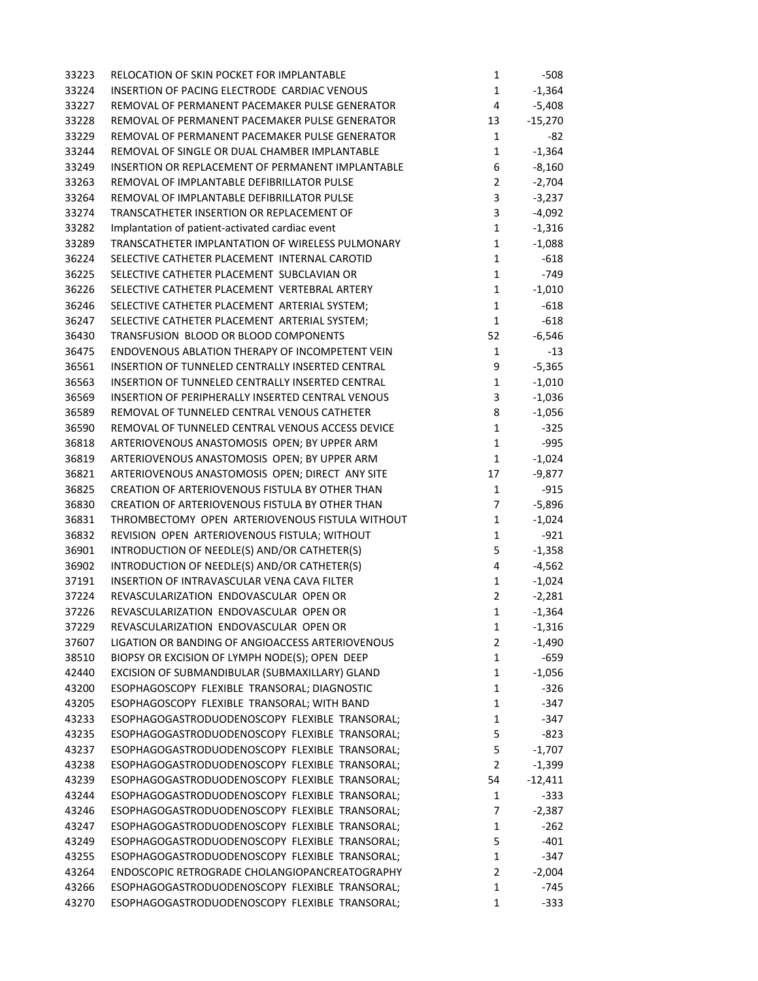| 33223 | RELOCATION OF SKIN POCKET FOR IMPLANTABLE         | $\mathbf{1}$   | -508      |
|-------|---------------------------------------------------|----------------|-----------|
| 33224 | INSERTION OF PACING ELECTRODE CARDIAC VENOUS      | $\mathbf{1}$   | $-1,364$  |
| 33227 | REMOVAL OF PERMANENT PACEMAKER PULSE GENERATOR    | 4              | $-5,408$  |
| 33228 | REMOVAL OF PERMANENT PACEMAKER PULSE GENERATOR    | 13             | $-15,270$ |
| 33229 | REMOVAL OF PERMANENT PACEMAKER PULSE GENERATOR    | $\mathbf{1}$   | $-82$     |
| 33244 | REMOVAL OF SINGLE OR DUAL CHAMBER IMPLANTABLE     | $\mathbf{1}$   | $-1,364$  |
| 33249 | INSERTION OR REPLACEMENT OF PERMANENT IMPLANTABLE | 6              | $-8,160$  |
| 33263 | REMOVAL OF IMPLANTABLE DEFIBRILLATOR PULSE        | $\overline{2}$ | $-2,704$  |
| 33264 | REMOVAL OF IMPLANTABLE DEFIBRILLATOR PULSE        | 3              | $-3,237$  |
| 33274 | TRANSCATHETER INSERTION OR REPLACEMENT OF         | 3              | $-4,092$  |
| 33282 | Implantation of patient-activated cardiac event   | $\mathbf{1}$   | $-1,316$  |
| 33289 | TRANSCATHETER IMPLANTATION OF WIRELESS PULMONARY  | $\mathbf 1$    | $-1,088$  |
| 36224 | SELECTIVE CATHETER PLACEMENT INTERNAL CAROTID     | $\mathbf{1}$   | $-618$    |
| 36225 | SELECTIVE CATHETER PLACEMENT SUBCLAVIAN OR        | $\mathbf{1}$   | $-749$    |
| 36226 | SELECTIVE CATHETER PLACEMENT VERTEBRAL ARTERY     | $\mathbf{1}$   | $-1,010$  |
| 36246 | SELECTIVE CATHETER PLACEMENT ARTERIAL SYSTEM;     | $\mathbf{1}$   | $-618$    |
| 36247 | SELECTIVE CATHETER PLACEMENT ARTERIAL SYSTEM;     | $\mathbf{1}$   | $-618$    |
| 36430 | TRANSFUSION BLOOD OR BLOOD COMPONENTS             | 52             | $-6,546$  |
| 36475 | ENDOVENOUS ABLATION THERAPY OF INCOMPETENT VEIN   | $\mathbf 1$    | $-13$     |
| 36561 | INSERTION OF TUNNELED CENTRALLY INSERTED CENTRAL  | 9              | $-5,365$  |
| 36563 | INSERTION OF TUNNELED CENTRALLY INSERTED CENTRAL  | $\mathbf{1}$   | $-1,010$  |
| 36569 | INSERTION OF PERIPHERALLY INSERTED CENTRAL VENOUS | 3              | $-1,036$  |
| 36589 | REMOVAL OF TUNNELED CENTRAL VENOUS CATHETER       | 8              | $-1,056$  |
| 36590 | REMOVAL OF TUNNELED CENTRAL VENOUS ACCESS DEVICE  | $\mathbf 1$    | $-325$    |
| 36818 | ARTERIOVENOUS ANASTOMOSIS OPEN; BY UPPER ARM      | $\mathbf{1}$   | $-995$    |
| 36819 | ARTERIOVENOUS ANASTOMOSIS OPEN; BY UPPER ARM      | $\mathbf{1}$   | $-1,024$  |
| 36821 | ARTERIOVENOUS ANASTOMOSIS OPEN; DIRECT ANY SITE   | 17             | $-9,877$  |
| 36825 | CREATION OF ARTERIOVENOUS FISTULA BY OTHER THAN   | $\mathbf{1}$   | $-915$    |
| 36830 | CREATION OF ARTERIOVENOUS FISTULA BY OTHER THAN   | 7              | $-5,896$  |
| 36831 | THROMBECTOMY OPEN ARTERIOVENOUS FISTULA WITHOUT   | $\mathbf 1$    | $-1,024$  |
| 36832 | REVISION OPEN ARTERIOVENOUS FISTULA; WITHOUT      | $\mathbf 1$    | $-921$    |
| 36901 | INTRODUCTION OF NEEDLE(S) AND/OR CATHETER(S)      | 5              | $-1,358$  |
| 36902 | INTRODUCTION OF NEEDLE(S) AND/OR CATHETER(S)      | $\pmb{4}$      | $-4,562$  |
| 37191 | INSERTION OF INTRAVASCULAR VENA CAVA FILTER       | $\mathbf 1$    | $-1,024$  |
| 37224 | REVASCULARIZATION ENDOVASCULAR OPEN OR            | $\overline{2}$ | $-2,281$  |
| 37226 | REVASCULARIZATION ENDOVASCULAR OPEN OR            | $\mathbf{1}$   | $-1,364$  |
| 37229 | REVASCULARIZATION ENDOVASCULAR OPENOR             | 1              | -1,316    |
| 37607 | LIGATION OR BANDING OF ANGIOACCESS ARTERIOVENOUS  | 2              | $-1,490$  |
| 38510 | BIOPSY OR EXCISION OF LYMPH NODE(S); OPEN DEEP    | $\mathbf{1}$   | -659      |
| 42440 | EXCISION OF SUBMANDIBULAR (SUBMAXILLARY) GLAND    | 1              | $-1,056$  |
| 43200 | ESOPHAGOSCOPY FLEXIBLE TRANSORAL; DIAGNOSTIC      | 1              | $-326$    |
| 43205 | ESOPHAGOSCOPY FLEXIBLE TRANSORAL; WITH BAND       | 1              | $-347$    |
| 43233 | ESOPHAGOGASTRODUODENOSCOPY FLEXIBLE TRANSORAL;    | $\mathbf{1}$   | $-347$    |
| 43235 | ESOPHAGOGASTRODUODENOSCOPY FLEXIBLE TRANSORAL;    | 5              | $-823$    |
| 43237 | ESOPHAGOGASTRODUODENOSCOPY FLEXIBLE TRANSORAL;    | 5              | $-1,707$  |
| 43238 | ESOPHAGOGASTRODUODENOSCOPY FLEXIBLE TRANSORAL;    | 2              | $-1,399$  |
| 43239 | ESOPHAGOGASTRODUODENOSCOPY FLEXIBLE TRANSORAL;    | 54             | $-12,411$ |
| 43244 | ESOPHAGOGASTRODUODENOSCOPY FLEXIBLE TRANSORAL;    | 1              | $-333$    |
| 43246 | ESOPHAGOGASTRODUODENOSCOPY FLEXIBLE TRANSORAL;    | 7              | $-2,387$  |
| 43247 | ESOPHAGOGASTRODUODENOSCOPY FLEXIBLE TRANSORAL;    | $\mathbf{1}$   | $-262$    |
| 43249 | ESOPHAGOGASTRODUODENOSCOPY FLEXIBLE TRANSORAL;    | 5              | $-401$    |
| 43255 | ESOPHAGOGASTRODUODENOSCOPY FLEXIBLE TRANSORAL;    | 1              | $-347$    |
| 43264 | ENDOSCOPIC RETROGRADE CHOLANGIOPANCREATOGRAPHY    | 2              | $-2,004$  |
| 43266 | ESOPHAGOGASTRODUODENOSCOPY FLEXIBLE TRANSORAL;    | 1              | $-745$    |
| 43270 | ESOPHAGOGASTRODUODENOSCOPY FLEXIBLE TRANSORAL;    | $\mathbf{1}$   | $-333$    |
|       |                                                   |                |           |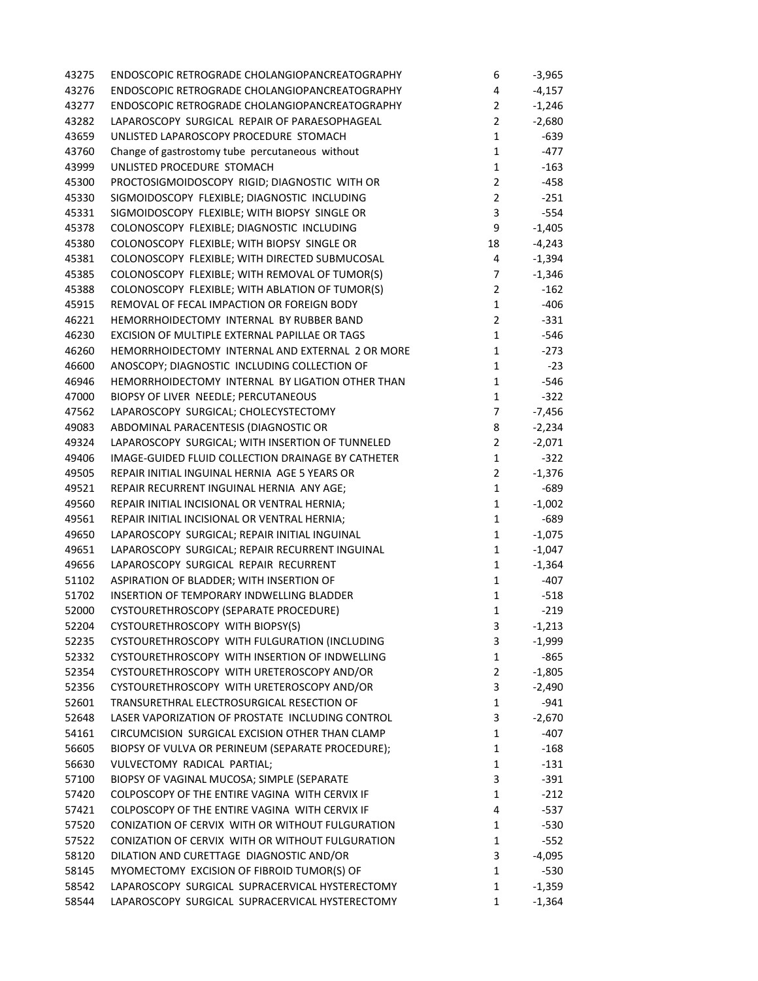| 43275 | ENDOSCOPIC RETROGRADE CHOLANGIOPANCREATOGRAPHY     | 6                | $-3,965$ |
|-------|----------------------------------------------------|------------------|----------|
| 43276 | ENDOSCOPIC RETROGRADE CHOLANGIOPANCREATOGRAPHY     | 4                | $-4,157$ |
| 43277 | ENDOSCOPIC RETROGRADE CHOLANGIOPANCREATOGRAPHY     | $\overline{2}$   | $-1,246$ |
| 43282 | LAPAROSCOPY SURGICAL REPAIR OF PARAESOPHAGEAL      | $\overline{2}$   | $-2,680$ |
| 43659 | UNLISTED LAPAROSCOPY PROCEDURE STOMACH             | $\mathbf{1}$     | $-639$   |
| 43760 | Change of gastrostomy tube percutaneous without    | $\mathbf{1}$     | -477     |
| 43999 | UNLISTED PROCEDURE STOMACH                         | $\mathbf{1}$     | $-163$   |
| 45300 | PROCTOSIGMOIDOSCOPY RIGID; DIAGNOSTIC WITH OR      | $\overline{2}$   | -458     |
| 45330 | SIGMOIDOSCOPY FLEXIBLE; DIAGNOSTIC INCLUDING       | $\overline{2}$   | $-251$   |
| 45331 | SIGMOIDOSCOPY FLEXIBLE; WITH BIOPSY SINGLE OR      | 3                | -554     |
| 45378 | COLONOSCOPY FLEXIBLE; DIAGNOSTIC INCLUDING         | 9                | $-1,405$ |
| 45380 | COLONOSCOPY FLEXIBLE; WITH BIOPSY SINGLE OR        | 18               | $-4,243$ |
| 45381 | COLONOSCOPY FLEXIBLE; WITH DIRECTED SUBMUCOSAL     | 4                | $-1,394$ |
| 45385 | COLONOSCOPY FLEXIBLE; WITH REMOVAL OF TUMOR(S)     | 7                | $-1,346$ |
| 45388 | COLONOSCOPY FLEXIBLE; WITH ABLATION OF TUMOR(S)    | $\overline{2}$   | $-162$   |
| 45915 | REMOVAL OF FECAL IMPACTION OR FOREIGN BODY         | $\mathbf{1}$     | $-406$   |
| 46221 | HEMORRHOIDECTOMY INTERNAL BY RUBBER BAND           | $\overline{2}$   | $-331$   |
| 46230 | EXCISION OF MULTIPLE EXTERNAL PAPILLAE OR TAGS     | $\mathbf{1}$     | -546     |
| 46260 | HEMORRHOIDECTOMY INTERNAL AND EXTERNAL 2 OR MORE   | $\mathbf{1}$     | $-273$   |
| 46600 | ANOSCOPY; DIAGNOSTIC INCLUDING COLLECTION OF       | $\mathbf{1}$     | $-23$    |
| 46946 | HEMORRHOIDECTOMY INTERNAL BY LIGATION OTHER THAN   | $\mathbf{1}$     | -546     |
| 47000 | BIOPSY OF LIVER NEEDLE; PERCUTANEOUS               | $\mathbf{1}$     | $-322$   |
| 47562 | LAPAROSCOPY SURGICAL; CHOLECYSTECTOMY              | $\overline{7}$   | $-7,456$ |
| 49083 | ABDOMINAL PARACENTESIS (DIAGNOSTIC OR              | 8                | $-2,234$ |
| 49324 | LAPAROSCOPY SURGICAL; WITH INSERTION OF TUNNELED   | $\overline{2}$   | $-2,071$ |
| 49406 | IMAGE-GUIDED FLUID COLLECTION DRAINAGE BY CATHETER | $\mathbf{1}$     | $-322$   |
| 49505 | REPAIR INITIAL INGUINAL HERNIA AGE 5 YEARS OR      | $\overline{2}$   | $-1,376$ |
| 49521 | REPAIR RECURRENT INGUINAL HERNIA ANY AGE;          | $\mathbf 1$      | -689     |
| 49560 | REPAIR INITIAL INCISIONAL OR VENTRAL HERNIA;       | $\mathbf 1$      | $-1,002$ |
| 49561 | REPAIR INITIAL INCISIONAL OR VENTRAL HERNIA;       | $\mathbf 1$      | -689     |
| 49650 | LAPAROSCOPY SURGICAL; REPAIR INITIAL INGUINAL      | $\mathbf 1$      | $-1,075$ |
| 49651 | LAPAROSCOPY SURGICAL; REPAIR RECURRENT INGUINAL    | $\mathbf{1}$     | $-1,047$ |
| 49656 | LAPAROSCOPY SURGICAL REPAIR RECURRENT              | $\mathbf{1}$     | $-1,364$ |
| 51102 | ASPIRATION OF BLADDER; WITH INSERTION OF           | $\mathbf 1$      | -407     |
| 51702 | INSERTION OF TEMPORARY INDWELLING BLADDER          | $\mathbf 1$      | $-518$   |
| 52000 | CYSTOURETHROSCOPY (SEPARATE PROCEDURE)             | 1                | $-219$   |
| 52204 | CYSTOURETHROSCOPY WITH BIOPSY(S)                   | 3                | $-1,213$ |
| 52235 | CYSTOURETHROSCOPY WITH FULGURATION (INCLUDING      | 3                | $-1,999$ |
| 52332 | CYSTOURETHROSCOPY WITH INSERTION OF INDWELLING     | $\mathbf 1$      | -865     |
| 52354 | CYSTOURETHROSCOPY WITH URETEROSCOPY AND/OR         | $\overline{2}$   | $-1,805$ |
| 52356 | CYSTOURETHROSCOPY WITH URETEROSCOPY AND/OR         | 3                | $-2,490$ |
| 52601 | TRANSURETHRAL ELECTROSURGICAL RESECTION OF         | $\mathbf{1}$     | $-941$   |
| 52648 | LASER VAPORIZATION OF PROSTATE INCLUDING CONTROL   | 3                | $-2,670$ |
| 54161 | CIRCUMCISION SURGICAL EXCISION OTHER THAN CLAMP    | 1                | -407     |
| 56605 | BIOPSY OF VULVA OR PERINEUM (SEPARATE PROCEDURE);  | $\mathbf 1$      | $-168$   |
| 56630 | VULVECTOMY RADICAL PARTIAL;                        | 1                | $-131$   |
| 57100 | BIOPSY OF VAGINAL MUCOSA; SIMPLE (SEPARATE         | 3                | $-391$   |
| 57420 | COLPOSCOPY OF THE ENTIRE VAGINA WITH CERVIX IF     | 1                | $-212$   |
| 57421 | COLPOSCOPY OF THE ENTIRE VAGINA WITH CERVIX IF     | 4                | -537     |
| 57520 | CONIZATION OF CERVIX WITH OR WITHOUT FULGURATION   | 1                | $-530$   |
|       | CONIZATION OF CERVIX WITH OR WITHOUT FULGURATION   |                  |          |
| 57522 |                                                    | $\mathbf 1$      | $-552$   |
| 58120 | DILATION AND CURETTAGE DIAGNOSTIC AND/OR           | 3<br>$\mathbf 1$ | -4,095   |
| 58145 | MYOMECTOMY EXCISION OF FIBROID TUMOR(S) OF         |                  | $-530$   |
| 58542 | LAPAROSCOPY SURGICAL SUPRACERVICAL HYSTERECTOMY    | 1                | $-1,359$ |
| 58544 | LAPAROSCOPY SURGICAL SUPRACERVICAL HYSTERECTOMY    | 1                | $-1,364$ |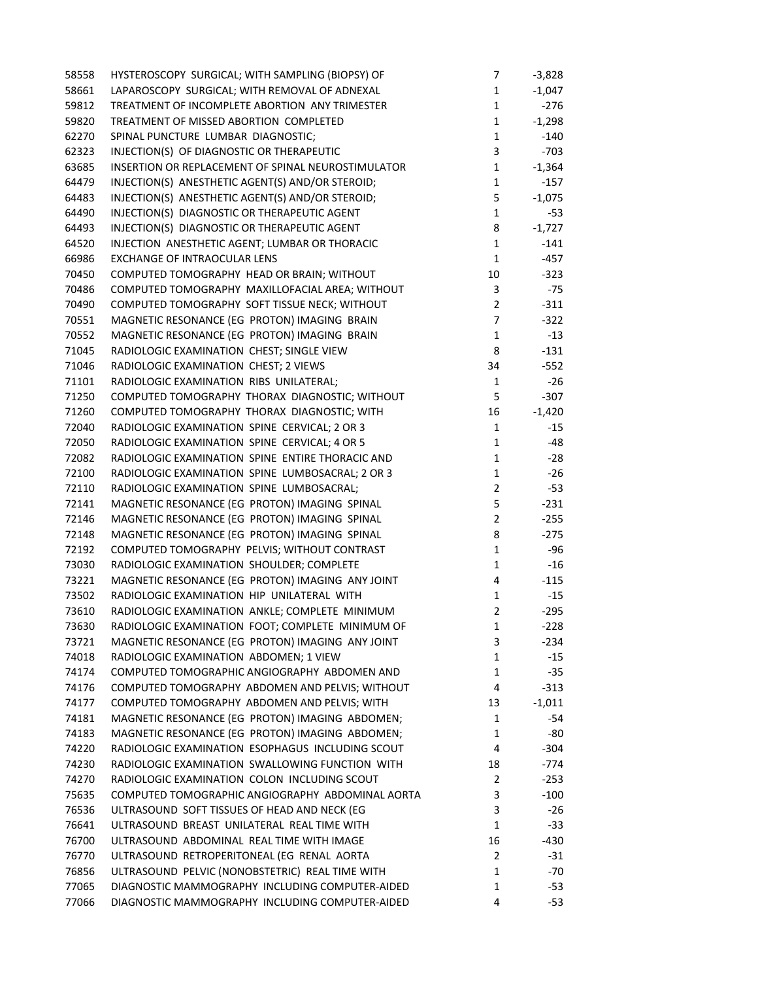| 58558 | HYSTEROSCOPY SURGICAL; WITH SAMPLING (BIOPSY) OF   | 7              | $-3,828$ |
|-------|----------------------------------------------------|----------------|----------|
| 58661 | LAPAROSCOPY SURGICAL; WITH REMOVAL OF ADNEXAL      | $\mathbf 1$    | $-1,047$ |
| 59812 | TREATMENT OF INCOMPLETE ABORTION ANY TRIMESTER     | $\mathbf{1}$   | $-276$   |
| 59820 | TREATMENT OF MISSED ABORTION COMPLETED             | $\mathbf{1}$   | $-1,298$ |
| 62270 | SPINAL PUNCTURE LUMBAR DIAGNOSTIC;                 | $\mathbf 1$    | $-140$   |
| 62323 | INJECTION(S) OF DIAGNOSTIC OR THERAPEUTIC          | 3              | $-703$   |
| 63685 | INSERTION OR REPLACEMENT OF SPINAL NEUROSTIMULATOR | $\mathbf{1}$   | $-1,364$ |
| 64479 | INJECTION(S) ANESTHETIC AGENT(S) AND/OR STEROID;   | $\mathbf{1}$   | $-157$   |
| 64483 | INJECTION(S) ANESTHETIC AGENT(S) AND/OR STEROID;   | 5              | $-1,075$ |
| 64490 | INJECTION(S) DIAGNOSTIC OR THERAPEUTIC AGENT       | $\mathbf{1}$   | -53      |
| 64493 | INJECTION(S) DIAGNOSTIC OR THERAPEUTIC AGENT       | 8              | $-1,727$ |
| 64520 | INJECTION ANESTHETIC AGENT; LUMBAR OR THORACIC     | $\mathbf{1}$   | $-141$   |
| 66986 | EXCHANGE OF INTRAOCULAR LENS                       | $\mathbf{1}$   | $-457$   |
| 70450 | COMPUTED TOMOGRAPHY HEAD OR BRAIN; WITHOUT         | 10             | $-323$   |
| 70486 | COMPUTED TOMOGRAPHY MAXILLOFACIAL AREA; WITHOUT    | 3              | -75      |
| 70490 | COMPUTED TOMOGRAPHY SOFT TISSUE NECK; WITHOUT      | $\overline{2}$ | $-311$   |
| 70551 | MAGNETIC RESONANCE (EG PROTON) IMAGING BRAIN       | $\overline{7}$ | $-322$   |
| 70552 | MAGNETIC RESONANCE (EG PROTON) IMAGING BRAIN       | $\mathbf{1}$   | $-13$    |
| 71045 | RADIOLOGIC EXAMINATION CHEST; SINGLE VIEW          | 8              | $-131$   |
| 71046 | RADIOLOGIC EXAMINATION CHEST; 2 VIEWS              | 34             | $-552$   |
| 71101 | RADIOLOGIC EXAMINATION RIBS UNILATERAL;            | $\mathbf{1}$   | $-26$    |
| 71250 | COMPUTED TOMOGRAPHY THORAX DIAGNOSTIC; WITHOUT     | 5              | $-307$   |
| 71260 | COMPUTED TOMOGRAPHY THORAX DIAGNOSTIC; WITH        | 16             | $-1,420$ |
| 72040 | RADIOLOGIC EXAMINATION SPINE CERVICAL; 2 OR 3      | $\mathbf{1}$   | $-15$    |
| 72050 | RADIOLOGIC EXAMINATION SPINE CERVICAL; 4 OR 5      | $\mathbf{1}$   | -48      |
| 72082 | RADIOLOGIC EXAMINATION SPINE ENTIRE THORACIC AND   | $\mathbf{1}$   | -28      |
| 72100 | RADIOLOGIC EXAMINATION SPINE LUMBOSACRAL; 2 OR 3   | $\mathbf 1$    | $-26$    |
| 72110 | RADIOLOGIC EXAMINATION SPINE LUMBOSACRAL;          | $\overline{2}$ | $-53$    |
| 72141 | MAGNETIC RESONANCE (EG PROTON) IMAGING SPINAL      | 5              | $-231$   |
| 72146 | MAGNETIC RESONANCE (EG PROTON) IMAGING SPINAL      | $\overline{2}$ | $-255$   |
| 72148 | MAGNETIC RESONANCE (EG PROTON) IMAGING SPINAL      | 8              | $-275$   |
| 72192 | COMPUTED TOMOGRAPHY PELVIS; WITHOUT CONTRAST       | $\mathbf{1}$   | -96      |
| 73030 | RADIOLOGIC EXAMINATION SHOULDER; COMPLETE          | $\mathbf{1}$   | $-16$    |
| 73221 | MAGNETIC RESONANCE (EG PROTON) IMAGING ANY JOINT   | 4              | $-115$   |
| 73502 | RADIOLOGIC EXAMINATION HIP UNILATERAL WITH         | $\mathbf{1}$   | $-15$    |
| 73610 | RADIOLOGIC EXAMINATION ANKLE; COMPLETE MINIMUM     | $\overline{2}$ | $-295$   |
| 73630 | RADIOLOGIC EXAMINATION FOOT; COMPLETE MINIMUM OF   | 1              | $-228$   |
| 73721 | MAGNETIC RESONANCE (EG PROTON) IMAGING ANY JOINT   | 3              | $-234$   |
| 74018 | RADIOLOGIC EXAMINATION ABDOMEN; 1 VIEW             | $\mathbf{1}$   | $-15$    |
| 74174 | COMPUTED TOMOGRAPHIC ANGIOGRAPHY ABDOMEN AND       | $\mathbf{1}$   | -35      |
| 74176 | COMPUTED TOMOGRAPHY ABDOMEN AND PELVIS; WITHOUT    | 4              | $-313$   |
| 74177 | COMPUTED TOMOGRAPHY ABDOMEN AND PELVIS; WITH       | 13             | $-1,011$ |
| 74181 | MAGNETIC RESONANCE (EG PROTON) IMAGING ABDOMEN;    | 1              | -54      |
| 74183 | MAGNETIC RESONANCE (EG PROTON) IMAGING ABDOMEN;    | 1              | -80      |
| 74220 | RADIOLOGIC EXAMINATION ESOPHAGUS INCLUDING SCOUT   | 4              | $-304$   |
| 74230 | RADIOLOGIC EXAMINATION SWALLOWING FUNCTION WITH    | 18             | $-774$   |
| 74270 | RADIOLOGIC EXAMINATION COLON INCLUDING SCOUT       | $\overline{2}$ | $-253$   |
| 75635 | COMPUTED TOMOGRAPHIC ANGIOGRAPHY ABDOMINAL AORTA   | 3              | $-100$   |
| 76536 | ULTRASOUND SOFT TISSUES OF HEAD AND NECK (EG       | 3              | $-26$    |
| 76641 | ULTRASOUND BREAST UNILATERAL REAL TIME WITH        | $\mathbf{1}$   | $-33$    |
| 76700 | ULTRASOUND ABDOMINAL REAL TIME WITH IMAGE          | 16             | -430     |
| 76770 | ULTRASOUND RETROPERITONEAL (EG RENAL AORTA         | $\overline{2}$ | $-31$    |
| 76856 | ULTRASOUND PELVIC (NONOBSTETRIC) REAL TIME WITH    | $\mathbf{1}$   | $-70$    |
| 77065 | DIAGNOSTIC MAMMOGRAPHY INCLUDING COMPUTER-AIDED    | $\mathbf{1}$   | $-53$    |
| 77066 | DIAGNOSTIC MAMMOGRAPHY INCLUDING COMPUTER-AIDED    | 4              | $-53$    |
|       |                                                    |                |          |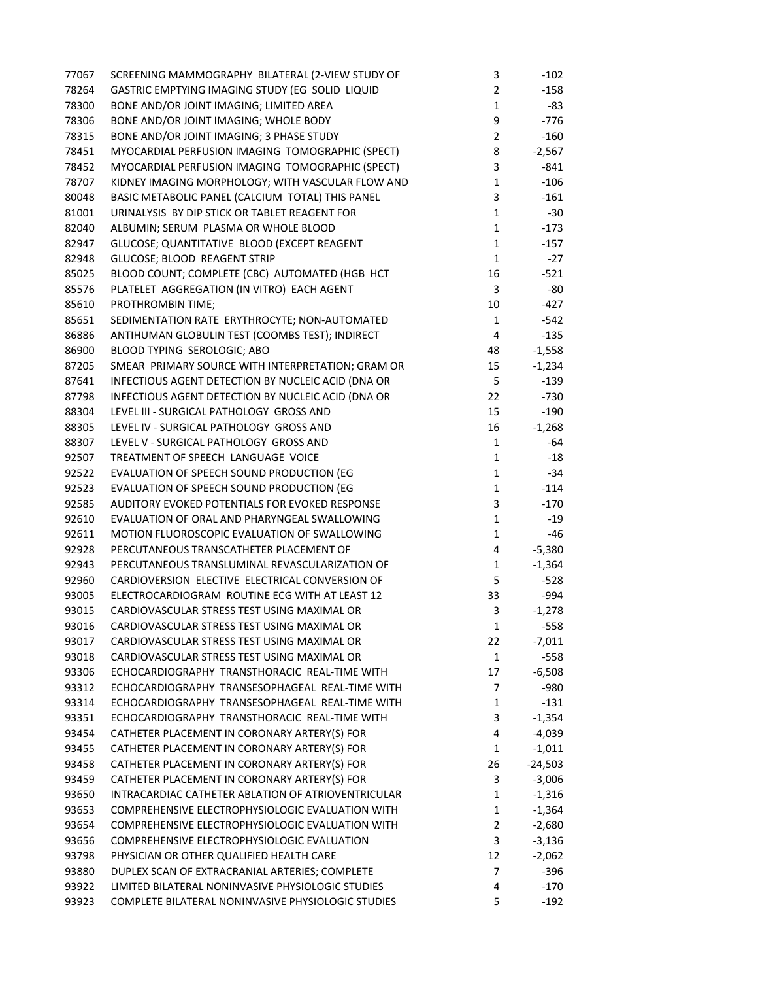| 77067 | SCREENING MAMMOGRAPHY BILATERAL (2-VIEW STUDY OF   | 3              | $-102$    |
|-------|----------------------------------------------------|----------------|-----------|
| 78264 | GASTRIC EMPTYING IMAGING STUDY (EG SOLID LIQUID    | $\overline{2}$ | $-158$    |
| 78300 | BONE AND/OR JOINT IMAGING; LIMITED AREA            | $\mathbf{1}$   | -83       |
| 78306 | BONE AND/OR JOINT IMAGING; WHOLE BODY              | 9              | -776      |
| 78315 | BONE AND/OR JOINT IMAGING; 3 PHASE STUDY           | $\overline{2}$ | $-160$    |
| 78451 | MYOCARDIAL PERFUSION IMAGING TOMOGRAPHIC (SPECT)   | 8              | $-2,567$  |
| 78452 | MYOCARDIAL PERFUSION IMAGING TOMOGRAPHIC (SPECT)   | 3              | -841      |
| 78707 | KIDNEY IMAGING MORPHOLOGY; WITH VASCULAR FLOW AND  | $\mathbf 1$    | $-106$    |
| 80048 | BASIC METABOLIC PANEL (CALCIUM TOTAL) THIS PANEL   | 3              | $-161$    |
| 81001 | URINALYSIS BY DIP STICK OR TABLET REAGENT FOR      | $\mathbf{1}$   | $-30$     |
| 82040 | ALBUMIN; SERUM PLASMA OR WHOLE BLOOD               | $\mathbf{1}$   | $-173$    |
| 82947 | GLUCOSE; QUANTITATIVE BLOOD (EXCEPT REAGENT        | $\mathbf{1}$   | $-157$    |
| 82948 | GLUCOSE; BLOOD REAGENT STRIP                       | $\mathbf{1}$   | $-27$     |
| 85025 | BLOOD COUNT; COMPLETE (CBC) AUTOMATED (HGB HCT     | 16             | $-521$    |
| 85576 | PLATELET AGGREGATION (IN VITRO) EACH AGENT         | 3              | -80       |
| 85610 | PROTHROMBIN TIME;                                  | 10             | -427      |
| 85651 | SEDIMENTATION RATE ERYTHROCYTE; NON-AUTOMATED      | $\mathbf{1}$   | -542      |
| 86886 | ANTIHUMAN GLOBULIN TEST (COOMBS TEST); INDIRECT    | 4              | $-135$    |
| 86900 | BLOOD TYPING SEROLOGIC; ABO                        | 48             | $-1,558$  |
| 87205 | SMEAR PRIMARY SOURCE WITH INTERPRETATION; GRAM OR  | 15             | $-1,234$  |
| 87641 | INFECTIOUS AGENT DETECTION BY NUCLEIC ACID (DNA OR | 5              | $-139$    |
| 87798 | INFECTIOUS AGENT DETECTION BY NUCLEIC ACID (DNA OR | 22             | $-730$    |
| 88304 | LEVEL III - SURGICAL PATHOLOGY GROSS AND           | 15             | $-190$    |
| 88305 | LEVEL IV - SURGICAL PATHOLOGY GROSS AND            | 16             | $-1,268$  |
| 88307 | LEVEL V - SURGICAL PATHOLOGY GROSS AND             | 1              | -64       |
| 92507 | TREATMENT OF SPEECH LANGUAGE VOICE                 | $\mathbf{1}$   | $-18$     |
| 92522 | EVALUATION OF SPEECH SOUND PRODUCTION (EG          | $\mathbf{1}$   | -34       |
| 92523 | EVALUATION OF SPEECH SOUND PRODUCTION (EG          | 1              | $-114$    |
| 92585 | AUDITORY EVOKED POTENTIALS FOR EVOKED RESPONSE     | 3              | $-170$    |
| 92610 | EVALUATION OF ORAL AND PHARYNGEAL SWALLOWING       | $\mathbf{1}$   | $-19$     |
| 92611 | MOTION FLUOROSCOPIC EVALUATION OF SWALLOWING       | $\mathbf{1}$   | -46       |
| 92928 | PERCUTANEOUS TRANSCATHETER PLACEMENT OF            | 4              | $-5,380$  |
| 92943 | PERCUTANEOUS TRANSLUMINAL REVASCULARIZATION OF     | 1              | $-1,364$  |
| 92960 | CARDIOVERSION ELECTIVE ELECTRICAL CONVERSION OF    | 5              | $-528$    |
| 93005 | ELECTROCARDIOGRAM ROUTINE ECG WITH AT LEAST 12     | 33             | -994      |
| 93015 | CARDIOVASCULAR STRESS TEST USING MAXIMAL OR        | 3              | $-1,278$  |
| 93016 | CARDIOVASCULAR STRESS TEST USING MAXIMAL OR        | $\mathbf{1}$   | $-558$    |
| 93017 | CARDIOVASCULAR STRESS TEST USING MAXIMAL OR        | 22             | -7,011    |
| 93018 | CARDIOVASCULAR STRESS TEST USING MAXIMAL OR        | $\mathbf{1}$   | $-558$    |
| 93306 | ECHOCARDIOGRAPHY TRANSTHORACIC REAL-TIME WITH      | 17             | $-6,508$  |
| 93312 | ECHOCARDIOGRAPHY TRANSESOPHAGEAL REAL-TIME WITH    | 7              | $-980$    |
| 93314 | ECHOCARDIOGRAPHY TRANSESOPHAGEAL REAL-TIME WITH    | 1              | $-131$    |
| 93351 | ECHOCARDIOGRAPHY TRANSTHORACIC REAL-TIME WITH      | 3              | $-1,354$  |
| 93454 | CATHETER PLACEMENT IN CORONARY ARTERY(S) FOR       | 4              | $-4,039$  |
| 93455 | CATHETER PLACEMENT IN CORONARY ARTERY(S) FOR       | 1              | $-1,011$  |
| 93458 | CATHETER PLACEMENT IN CORONARY ARTERY(S) FOR       | 26             | $-24,503$ |
| 93459 | CATHETER PLACEMENT IN CORONARY ARTERY(S) FOR       | 3              | $-3,006$  |
| 93650 | INTRACARDIAC CATHETER ABLATION OF ATRIOVENTRICULAR | 1              | $-1,316$  |
| 93653 | COMPREHENSIVE ELECTROPHYSIOLOGIC EVALUATION WITH   | 1              | $-1,364$  |
|       | COMPREHENSIVE ELECTROPHYSIOLOGIC EVALUATION WITH   | $\overline{2}$ |           |
| 93654 | COMPREHENSIVE ELECTROPHYSIOLOGIC EVALUATION        |                | $-2,680$  |
| 93656 |                                                    | 3              | $-3,136$  |
| 93798 | PHYSICIAN OR OTHER QUALIFIED HEALTH CARE           | 12<br>7        | $-2,062$  |
| 93880 | DUPLEX SCAN OF EXTRACRANIAL ARTERIES; COMPLETE     |                | $-396$    |
| 93922 | LIMITED BILATERAL NONINVASIVE PHYSIOLOGIC STUDIES  | 4              | $-170$    |
| 93923 | COMPLETE BILATERAL NONINVASIVE PHYSIOLOGIC STUDIES | 5              | $-192$    |